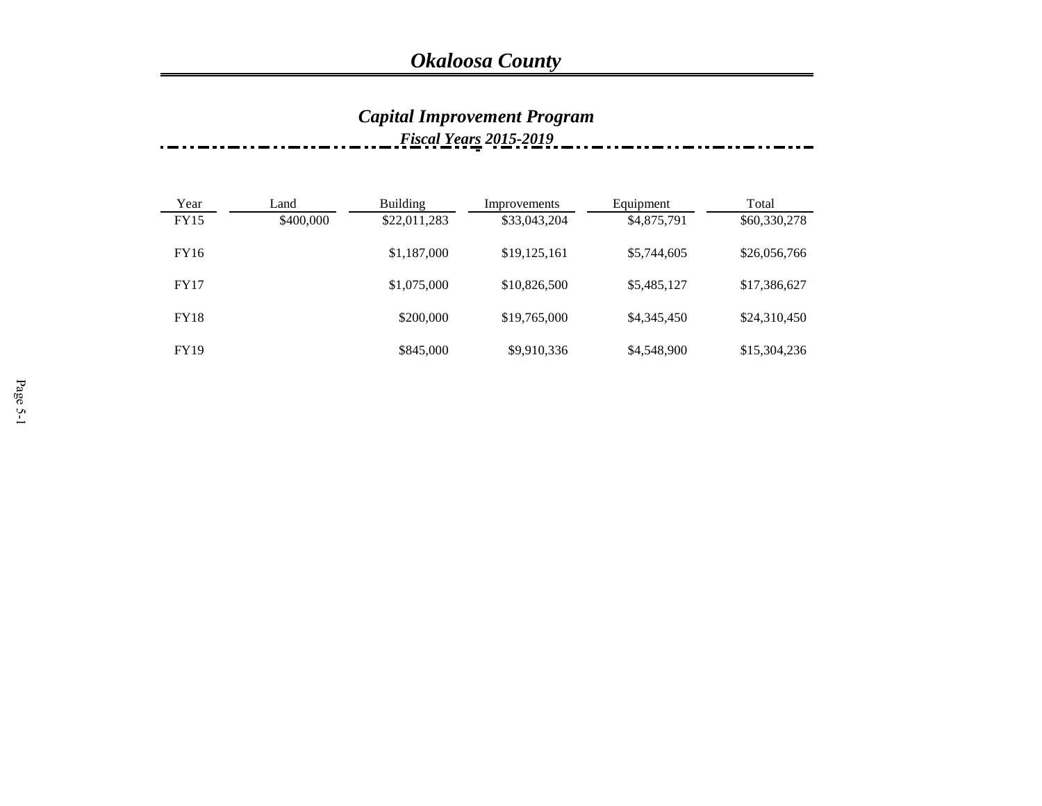#### *Capital Improvement Program Fiscal Years 2015-2019*

| Year        | Land      | <b>Building</b> | Improvements | Equipment   | Total        |
|-------------|-----------|-----------------|--------------|-------------|--------------|
| FY15        | \$400,000 | \$22,011,283    | \$33,043,204 | \$4,875,791 | \$60,330,278 |
| FY16        |           | \$1,187,000     | \$19,125,161 | \$5,744,605 | \$26,056,766 |
| <b>FY17</b> |           | \$1,075,000     | \$10,826,500 | \$5,485,127 | \$17,386,627 |
| <b>FY18</b> |           | \$200,000       | \$19,765,000 | \$4,345,450 | \$24,310,450 |
| <b>FY19</b> |           | \$845,000       | \$9,910,336  | \$4,548,900 | \$15,304,236 |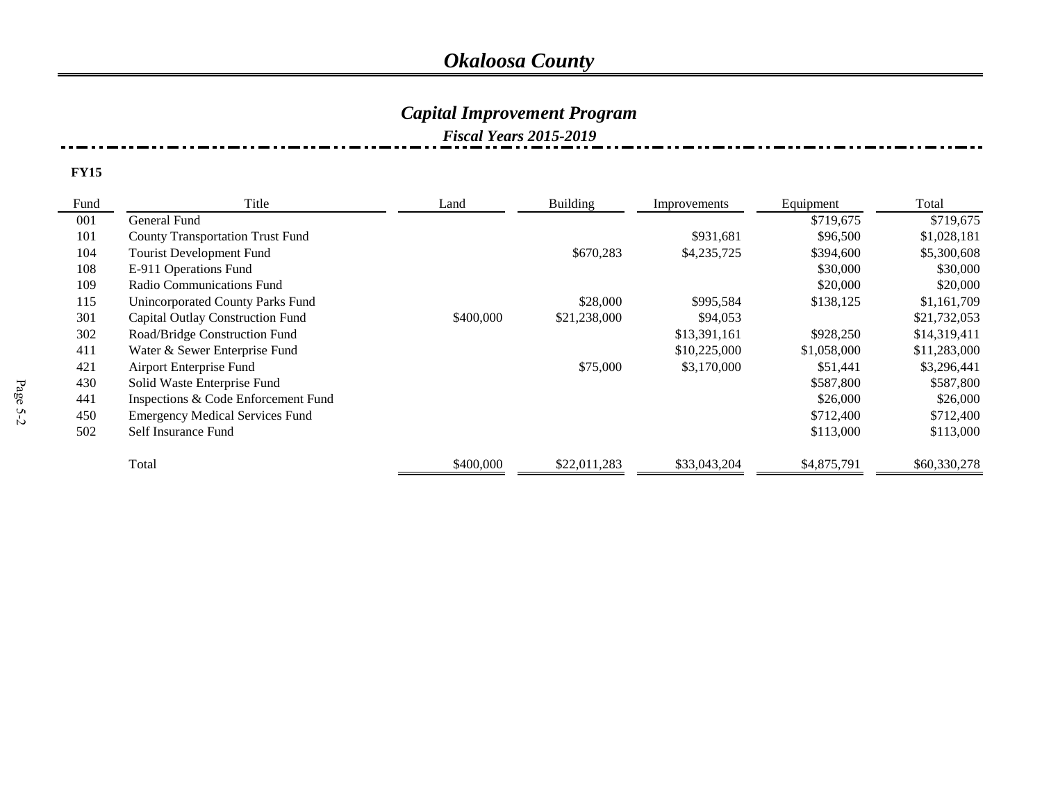### *Capital Improvement Program*

#### *Fiscal Years 2015-2019*

| Fund | Title<br>Land                           |           | <b>Building</b> | Improvements | Equipment   | Total        |
|------|-----------------------------------------|-----------|-----------------|--------------|-------------|--------------|
| 001  | General Fund                            |           |                 |              | \$719,675   | \$719,675    |
| 101  | <b>County Transportation Trust Fund</b> |           |                 | \$931,681    | \$96,500    | \$1,028,181  |
| 104  | Tourist Development Fund                |           | \$670,283       | \$4,235,725  | \$394,600   | \$5,300,608  |
| 108  | E-911 Operations Fund                   |           |                 |              | \$30,000    | \$30,000     |
| 109  | Radio Communications Fund               |           |                 |              | \$20,000    | \$20,000     |
| 115  | Unincorporated County Parks Fund        |           | \$28,000        | \$995,584    | \$138,125   | \$1,161,709  |
| 301  | <b>Capital Outlay Construction Fund</b> | \$400,000 | \$21,238,000    | \$94,053     |             | \$21,732,053 |
| 302  | Road/Bridge Construction Fund           |           |                 | \$13,391,161 | \$928,250   | \$14,319,411 |
| 411  | Water & Sewer Enterprise Fund           |           |                 | \$10,225,000 | \$1,058,000 | \$11,283,000 |
| 421  | Airport Enterprise Fund                 |           | \$75,000        | \$3,170,000  | \$51,441    | \$3,296,441  |
| 430  | Solid Waste Enterprise Fund             |           |                 |              | \$587,800   | \$587,800    |
| 441  | Inspections & Code Enforcement Fund     |           |                 |              | \$26,000    | \$26,000     |
| 450  | <b>Emergency Medical Services Fund</b>  |           |                 |              | \$712,400   | \$712,400    |
| 502  | Self Insurance Fund                     |           |                 |              | \$113,000   | \$113,000    |
|      | Total                                   | \$400,000 | \$22,011,283    | \$33,043,204 | \$4,875,791 | \$60,330,278 |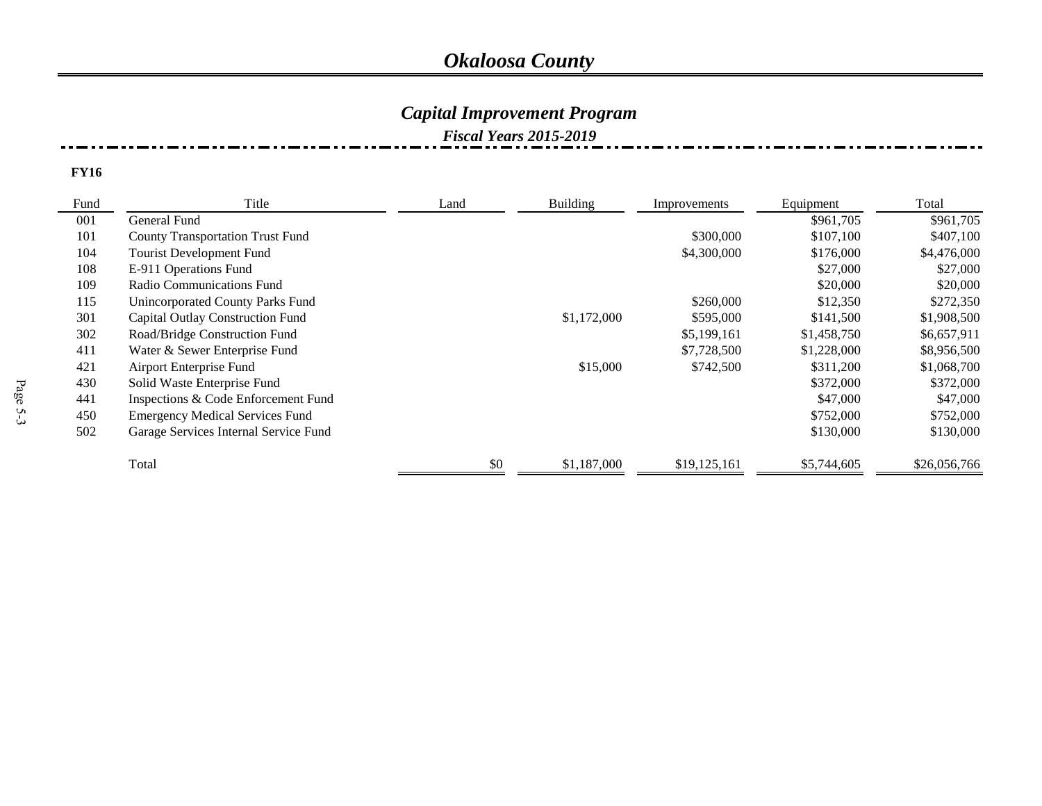### *Capital Improvement Program*

#### *Fiscal Years 2015-2019*

| Fund | Title                                   | Building<br>Land |             | Improvements | Equipment   | Total        |
|------|-----------------------------------------|------------------|-------------|--------------|-------------|--------------|
| 001  | General Fund                            |                  |             |              | \$961,705   | \$961,705    |
| 101  | <b>County Transportation Trust Fund</b> |                  |             | \$300,000    | \$107,100   | \$407,100    |
| 104  | Tourist Development Fund                |                  |             | \$4,300,000  | \$176,000   | \$4,476,000  |
| 108  | E-911 Operations Fund                   |                  |             |              | \$27,000    | \$27,000     |
| 109  | Radio Communications Fund               |                  |             |              | \$20,000    | \$20,000     |
| 115  | Unincorporated County Parks Fund        |                  |             | \$260,000    | \$12,350    | \$272,350    |
| 301  | Capital Outlay Construction Fund        |                  | \$1,172,000 | \$595,000    | \$141,500   | \$1,908,500  |
| 302  | Road/Bridge Construction Fund           |                  |             | \$5,199,161  | \$1,458,750 | \$6,657,911  |
| 411  | Water & Sewer Enterprise Fund           |                  |             | \$7,728,500  | \$1,228,000 | \$8,956,500  |
| 421  | Airport Enterprise Fund                 |                  | \$15,000    | \$742,500    | \$311,200   | \$1,068,700  |
| 430  | Solid Waste Enterprise Fund             |                  |             |              | \$372,000   | \$372,000    |
| 441  | Inspections & Code Enforcement Fund     |                  |             |              | \$47,000    | \$47,000     |
| 450  | <b>Emergency Medical Services Fund</b>  |                  |             |              | \$752,000   | \$752,000    |
| 502  | Garage Services Internal Service Fund   |                  |             |              | \$130,000   | \$130,000    |
|      | Total                                   | \$0              | \$1,187,000 | \$19,125,161 | \$5,744,605 | \$26,056,766 |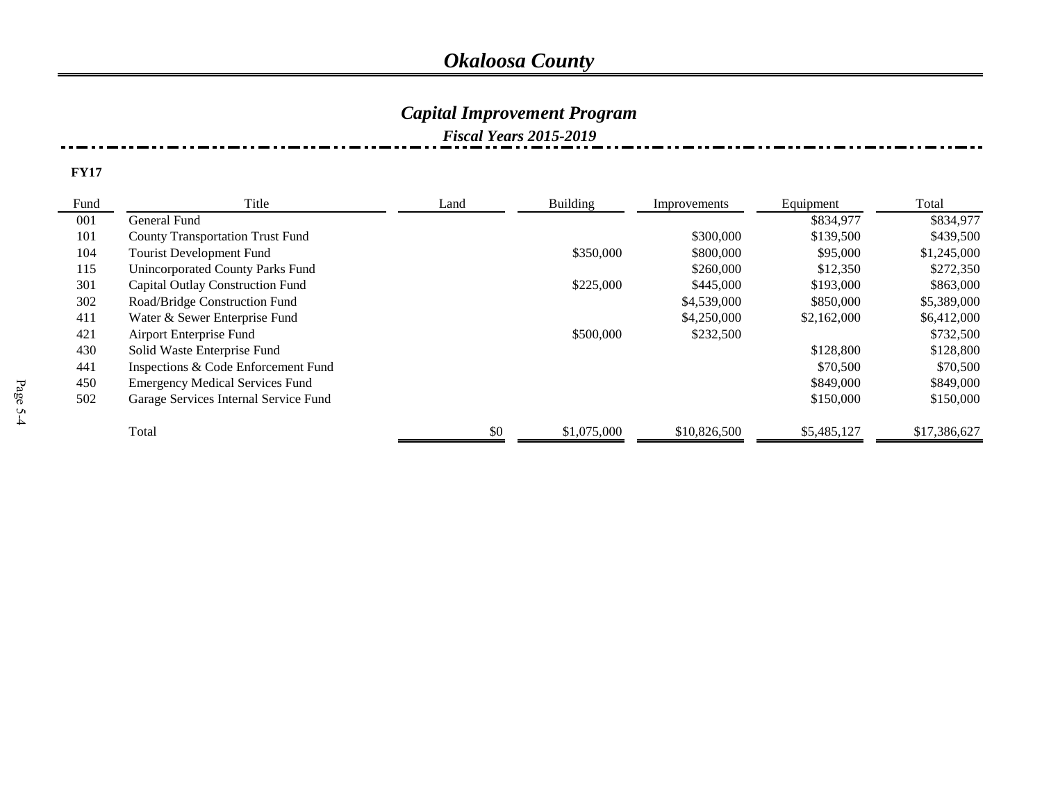## *Capital Improvement Program*

#### *Fiscal Years 2015-2019*

| Fund | Title                                   | <b>Building</b><br>Land |             | Improvements | Equipment   | Total        |
|------|-----------------------------------------|-------------------------|-------------|--------------|-------------|--------------|
| 001  | General Fund                            |                         |             |              | \$834,977   | \$834,977    |
| 101  | <b>County Transportation Trust Fund</b> |                         |             | \$300,000    | \$139,500   | \$439,500    |
| 104  | Tourist Development Fund                |                         | \$350,000   | \$800,000    | \$95,000    | \$1,245,000  |
| 115  | Unincorporated County Parks Fund        |                         |             | \$260,000    | \$12,350    | \$272,350    |
| 301  | Capital Outlay Construction Fund        |                         | \$225,000   | \$445,000    | \$193,000   | \$863,000    |
| 302  | Road/Bridge Construction Fund           |                         |             | \$4,539,000  | \$850,000   | \$5,389,000  |
| 411  | Water & Sewer Enterprise Fund           |                         |             | \$4,250,000  | \$2,162,000 | \$6,412,000  |
| 421  | Airport Enterprise Fund                 |                         | \$500,000   | \$232,500    |             | \$732,500    |
| 430  | Solid Waste Enterprise Fund             |                         |             |              | \$128,800   | \$128,800    |
| 441  | Inspections & Code Enforcement Fund     |                         |             |              | \$70,500    | \$70,500     |
| 450  | <b>Emergency Medical Services Fund</b>  |                         |             |              | \$849,000   | \$849,000    |
| 502  | Garage Services Internal Service Fund   |                         |             |              | \$150,000   | \$150,000    |
|      | Total                                   | \$0                     | \$1,075,000 | \$10,826,500 | \$5,485,127 | \$17,386,627 |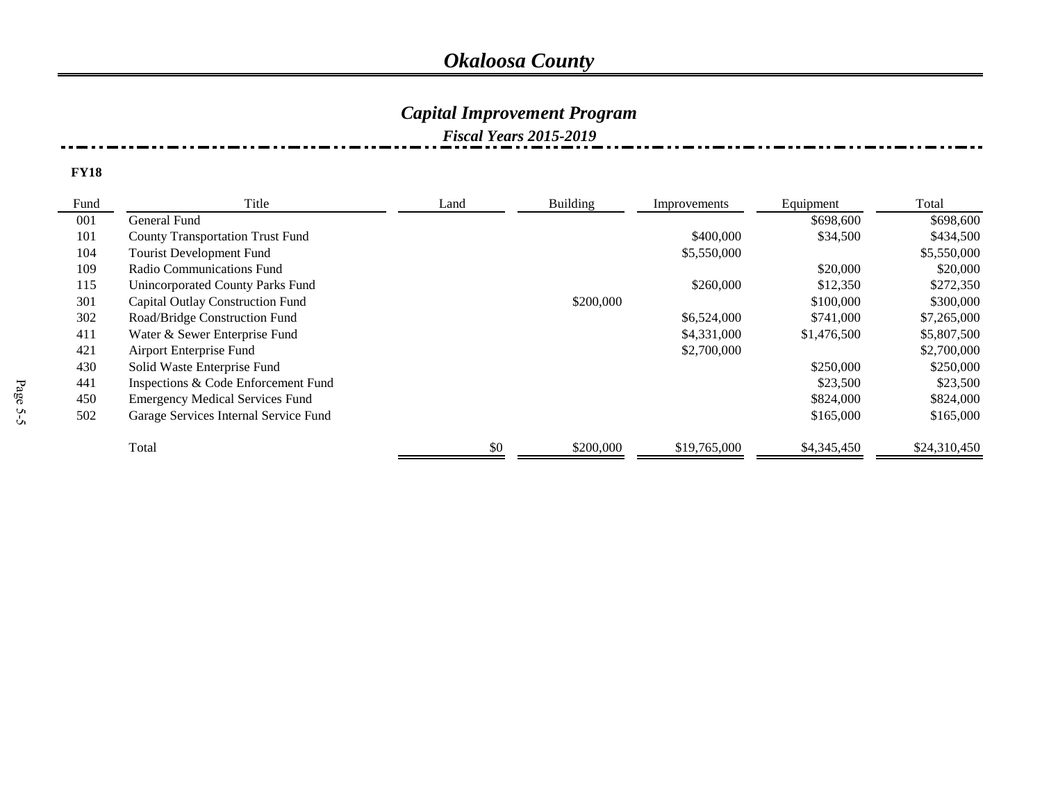### *Capital Improvement Program*

#### *Fiscal Years 2015-2019*

| Fund | Title                                   | <b>Building</b><br>Land |           | Improvements | Equipment   | Total        |
|------|-----------------------------------------|-------------------------|-----------|--------------|-------------|--------------|
| 001  | General Fund                            |                         |           |              | \$698,600   | \$698,600    |
| 101  | <b>County Transportation Trust Fund</b> |                         |           | \$400,000    | \$34,500    | \$434,500    |
| 104  | <b>Tourist Development Fund</b>         |                         |           | \$5,550,000  |             | \$5,550,000  |
| 109  | Radio Communications Fund               |                         |           |              | \$20,000    | \$20,000     |
| 115  | Unincorporated County Parks Fund        |                         |           | \$260,000    | \$12,350    | \$272,350    |
| 301  | <b>Capital Outlay Construction Fund</b> |                         | \$200,000 |              | \$100,000   | \$300,000    |
| 302  | Road/Bridge Construction Fund           |                         |           | \$6,524,000  | \$741,000   | \$7,265,000  |
| 411  | Water & Sewer Enterprise Fund           |                         |           | \$4,331,000  | \$1,476,500 | \$5,807,500  |
| 421  | Airport Enterprise Fund                 |                         |           | \$2,700,000  |             | \$2,700,000  |
| 430  | Solid Waste Enterprise Fund             |                         |           |              | \$250,000   | \$250,000    |
| 441  | Inspections & Code Enforcement Fund     |                         |           |              | \$23,500    | \$23,500     |
| 450  | <b>Emergency Medical Services Fund</b>  |                         |           |              | \$824,000   | \$824,000    |
| 502  | Garage Services Internal Service Fund   |                         |           |              | \$165,000   | \$165,000    |
|      | Total                                   | \$0                     | \$200,000 | \$19,765,000 | \$4,345,450 | \$24,310,450 |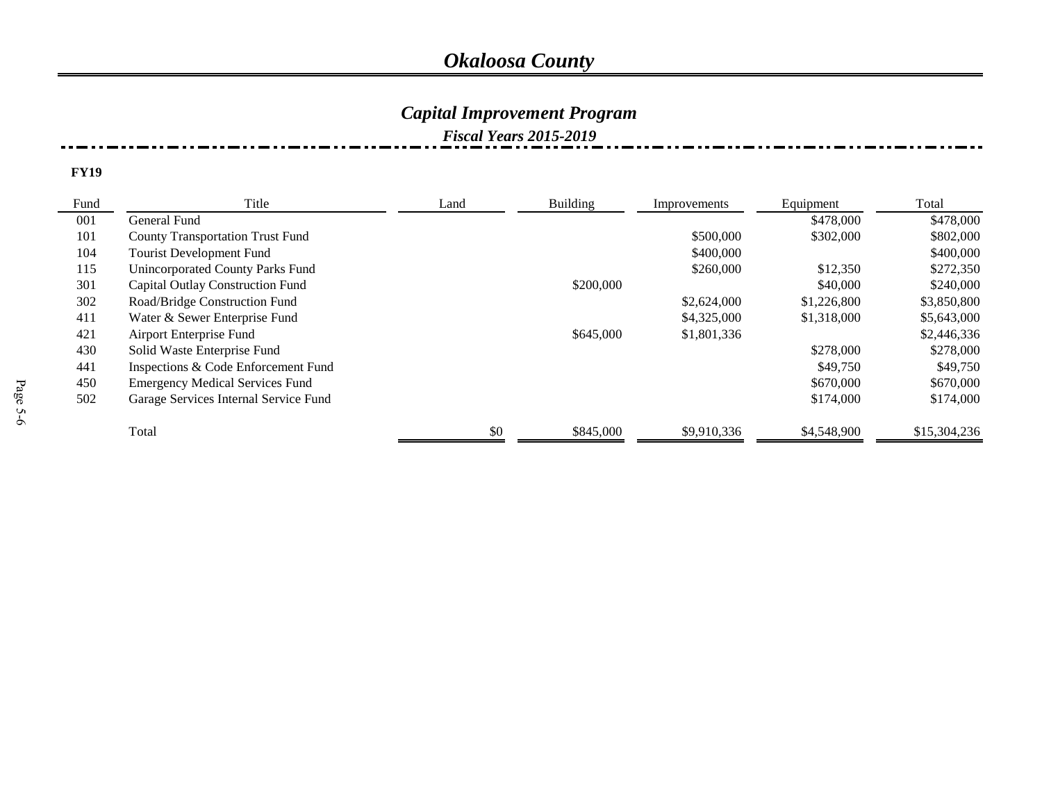## *Capital Improvement Program*

### *Fiscal Years 2015-2019*

| Fund | Title<br>Building<br>Land               |     | Improvements | Equipment   | Total       |              |
|------|-----------------------------------------|-----|--------------|-------------|-------------|--------------|
| 001  | General Fund                            |     |              |             | \$478,000   | \$478,000    |
| 101  | <b>County Transportation Trust Fund</b> |     |              | \$500,000   | \$302,000   | \$802,000    |
| 104  | <b>Tourist Development Fund</b>         |     |              | \$400,000   |             | \$400,000    |
| 115  | Unincorporated County Parks Fund        |     |              | \$260,000   | \$12,350    | \$272,350    |
| 301  | <b>Capital Outlay Construction Fund</b> |     | \$200,000    |             | \$40,000    | \$240,000    |
| 302  | Road/Bridge Construction Fund           |     |              | \$2,624,000 | \$1,226,800 | \$3,850,800  |
| 411  | Water & Sewer Enterprise Fund           |     |              | \$4,325,000 | \$1,318,000 | \$5,643,000  |
| 421  | Airport Enterprise Fund                 |     | \$645,000    | \$1,801,336 |             | \$2,446,336  |
| 430  | Solid Waste Enterprise Fund             |     |              |             | \$278,000   | \$278,000    |
| 441  | Inspections & Code Enforcement Fund     |     |              |             | \$49,750    | \$49,750     |
| 450  | <b>Emergency Medical Services Fund</b>  |     |              |             | \$670,000   | \$670,000    |
| 502  | Garage Services Internal Service Fund   |     |              |             | \$174,000   | \$174,000    |
|      | Total                                   | \$0 | \$845,000    | \$9,910,336 | \$4,548,900 | \$15,304,236 |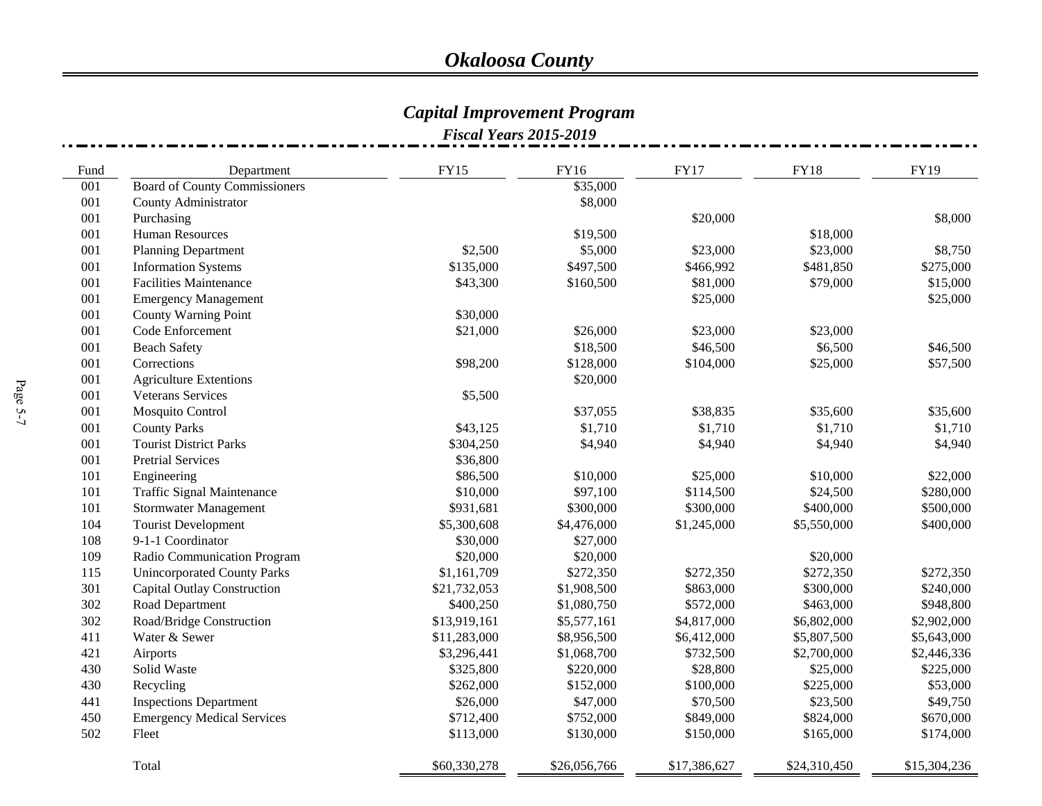# *Capital Improvement Program*

| Fund | Department                           | <b>FY15</b>  | <b>FY16</b>  | <b>FY17</b>  | <b>FY18</b>  | FY19         |
|------|--------------------------------------|--------------|--------------|--------------|--------------|--------------|
| 001  | <b>Board of County Commissioners</b> |              | \$35,000     |              |              |              |
| 001  | County Administrator                 |              | \$8,000      |              |              |              |
| 001  | Purchasing                           |              |              | \$20,000     |              | \$8,000      |
| 001  | Human Resources                      |              | \$19,500     |              | \$18,000     |              |
| 001  | <b>Planning Department</b>           | \$2,500      | \$5,000      | \$23,000     | \$23,000     | \$8,750      |
| 001  | <b>Information Systems</b>           | \$135,000    | \$497,500    | \$466,992    | \$481,850    | \$275,000    |
| 001  | <b>Facilities Maintenance</b>        | \$43,300     | \$160,500    | \$81,000     | \$79,000     | \$15,000     |
| 001  | <b>Emergency Management</b>          |              |              | \$25,000     |              | \$25,000     |
| 001  | County Warning Point                 | \$30,000     |              |              |              |              |
| 001  | Code Enforcement                     | \$21,000     | \$26,000     | \$23,000     | \$23,000     |              |
| 001  | <b>Beach Safety</b>                  |              | \$18,500     | \$46,500     | \$6,500      | \$46,500     |
| 001  | Corrections                          | \$98,200     | \$128,000    | \$104,000    | \$25,000     | \$57,500     |
| 001  | <b>Agriculture Extentions</b>        |              | \$20,000     |              |              |              |
| 001  | <b>Veterans Services</b>             | \$5,500      |              |              |              |              |
| 001  | Mosquito Control                     |              | \$37,055     | \$38,835     | \$35,600     | \$35,600     |
| 001  | <b>County Parks</b>                  | \$43,125     | \$1,710      | \$1,710      | \$1,710      | \$1,710      |
| 001  | <b>Tourist District Parks</b>        | \$304,250    | \$4,940      | \$4,940      | \$4,940      | \$4,940      |
| 001  | <b>Pretrial Services</b>             | \$36,800     |              |              |              |              |
| 101  | Engineering                          | \$86,500     | \$10,000     | \$25,000     | \$10,000     | \$22,000     |
| 101  | <b>Traffic Signal Maintenance</b>    | \$10,000     | \$97,100     | \$114,500    | \$24,500     | \$280,000    |
| 101  | <b>Stormwater Management</b>         | \$931,681    | \$300,000    | \$300,000    | \$400,000    | \$500,000    |
| 104  | <b>Tourist Development</b>           | \$5,300,608  | \$4,476,000  | \$1,245,000  | \$5,550,000  | \$400,000    |
| 108  | 9-1-1 Coordinator                    | \$30,000     | \$27,000     |              |              |              |
| 109  | Radio Communication Program          | \$20,000     | \$20,000     |              | \$20,000     |              |
| 115  | <b>Unincorporated County Parks</b>   | \$1,161,709  | \$272,350    | \$272,350    | \$272,350    | \$272,350    |
| 301  | <b>Capital Outlay Construction</b>   | \$21,732,053 | \$1,908,500  | \$863,000    | \$300,000    | \$240,000    |
| 302  | Road Department                      | \$400,250    | \$1,080,750  | \$572,000    | \$463,000    | \$948,800    |
| 302  | Road/Bridge Construction             | \$13,919,161 | \$5,577,161  | \$4,817,000  | \$6,802,000  | \$2,902,000  |
| 411  | Water & Sewer                        | \$11,283,000 | \$8,956,500  | \$6,412,000  | \$5,807,500  | \$5,643,000  |
| 421  | Airports                             | \$3,296,441  | \$1,068,700  | \$732,500    | \$2,700,000  | \$2,446,336  |
| 430  | Solid Waste                          | \$325,800    | \$220,000    | \$28,800     | \$25,000     | \$225,000    |
| 430  | Recycling                            | \$262,000    | \$152,000    | \$100,000    | \$225,000    | \$53,000     |
| 441  | <b>Inspections Department</b>        | \$26,000     | \$47,000     | \$70,500     | \$23,500     | \$49,750     |
| 450  | <b>Emergency Medical Services</b>    | \$712,400    | \$752,000    | \$849,000    | \$824,000    | \$670,000    |
| 502  | Fleet                                | \$113,000    | \$130,000    | \$150,000    | \$165,000    | \$174,000    |
|      | Total                                | \$60,330,278 | \$26,056,766 | \$17,386,627 | \$24,310,450 | \$15,304,236 |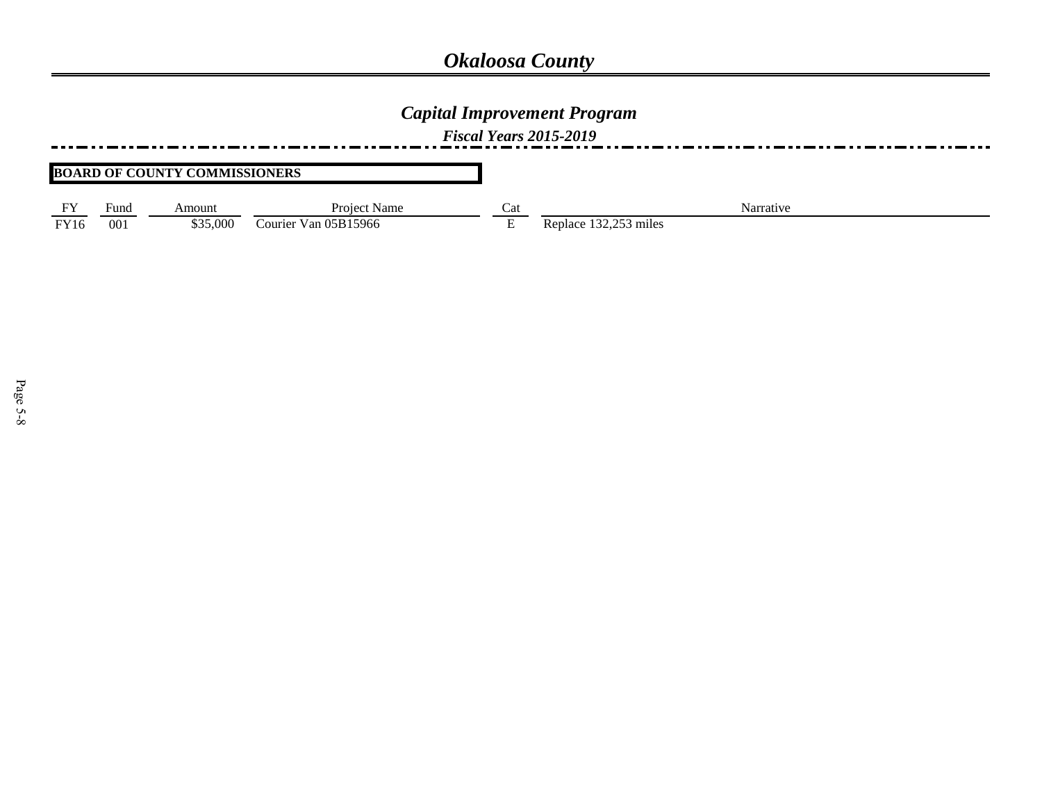### *Capital Improvement Program*

*Fiscal Years 2015-2019*

#### **BOARD OF COUNTY COMMISSIONERS**

| $-1$ | $\overline{\phantom{0}}$ |         | Project                         | ∼   |                                              |
|------|--------------------------|---------|---------------------------------|-----|----------------------------------------------|
|      | ∙und                     | Amount  | Name                            | Cai | Narrative                                    |
| EVI  | 00 <sub>1</sub>          | 000, 5د | $\cdot$ Van 05B15966<br>Courier | -   | $\cap$ $\subset$ $\cap$<br>53 miles<br>eplac |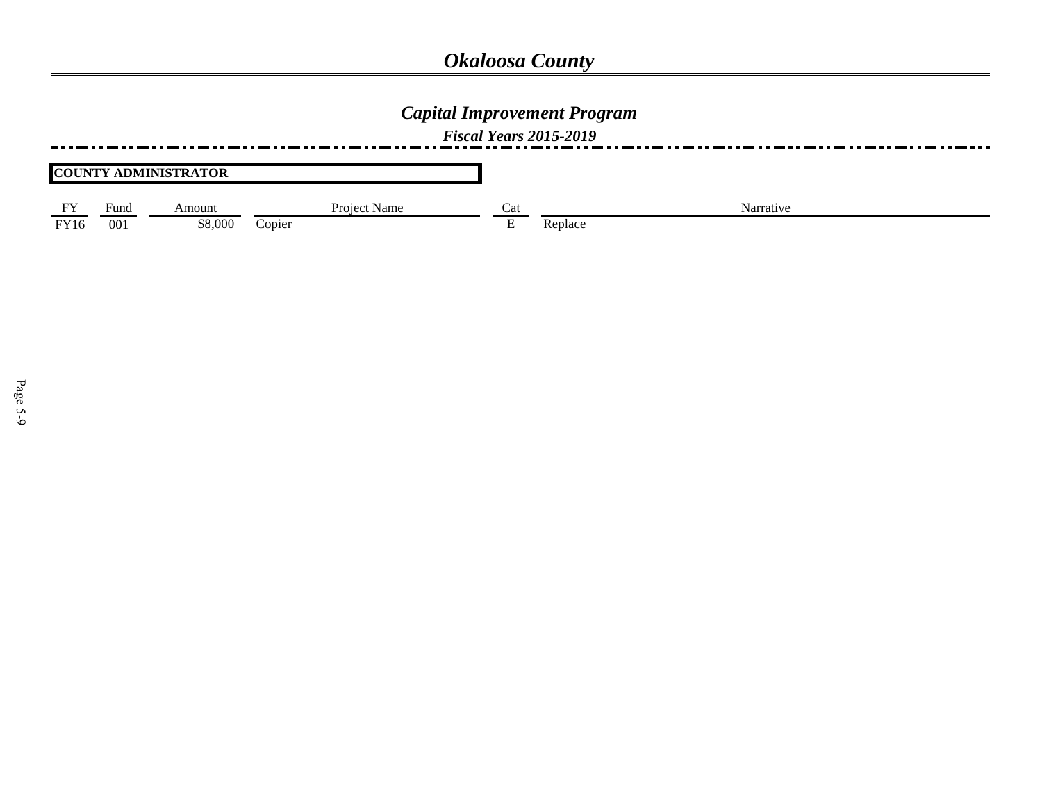### *Capital Improvement Program*

*Fiscal Years 2015-2019*

#### **COUNTY ADMINISTRATOR**

|                    | Fund            | Amoun   | Project<br>Name | $\sim$<br>Cai | Narrative |
|--------------------|-----------------|---------|-----------------|---------------|-----------|
| FY1<br><b>FY10</b> | 00 <sub>1</sub> | \$8.000 | Copiei          |               | ⊕place    |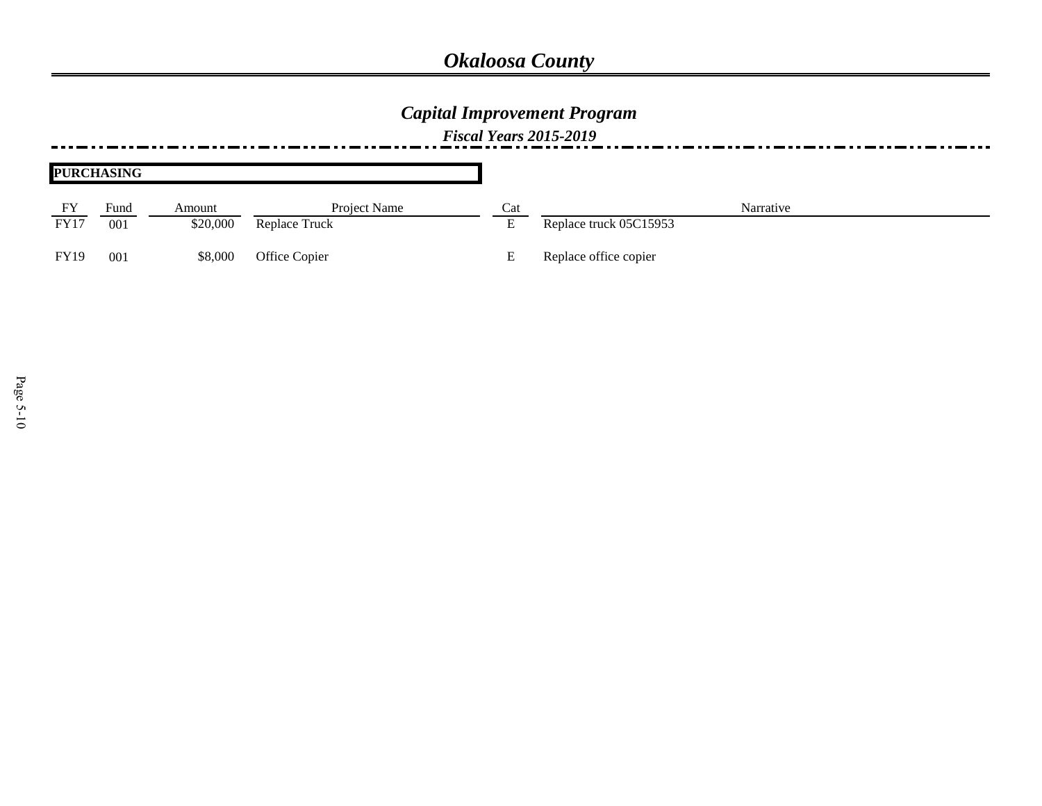## *Capital Improvement Program*

|             | <b>PURCHASING</b> |          |               |     |                        |
|-------------|-------------------|----------|---------------|-----|------------------------|
| FY          | Fund              | Amount   | Project Name  | Cat | Narrative              |
| <b>FY17</b> | 001               | \$20,000 | Replace Truck |     | Replace truck 05C15953 |
| <b>FY19</b> | 001               | \$8,000  | Office Copier |     | Replace office copier  |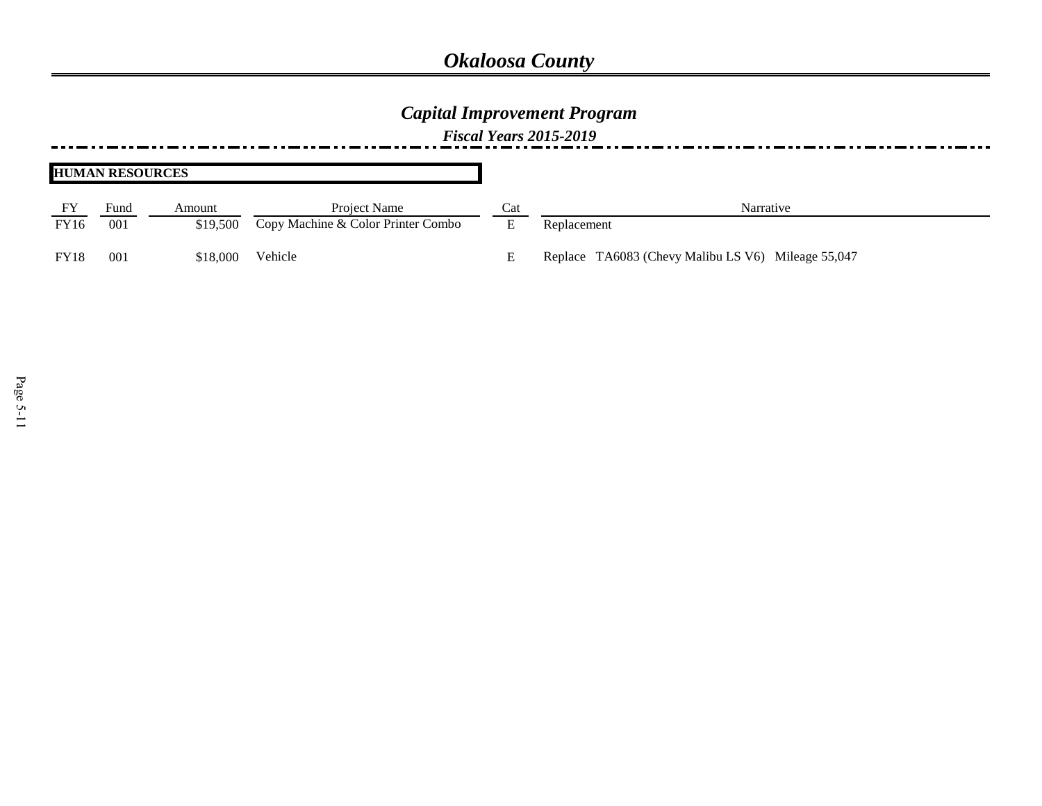## *Capital Improvement Program*

|             | <b>HUMAN RESOURCES</b> |          |                                    |     |                                                    |
|-------------|------------------------|----------|------------------------------------|-----|----------------------------------------------------|
|             | Fund                   | Amount   | Project Name                       | Cat | Narrative                                          |
| <b>FY16</b> | 001                    | \$19,500 | Copy Machine & Color Printer Combo | E   | Replacement                                        |
| <b>FY18</b> | 001                    | \$18,000 | Vehicle                            |     | Replace TA6083 (Chevy Malibu LS V6) Mileage 55,047 |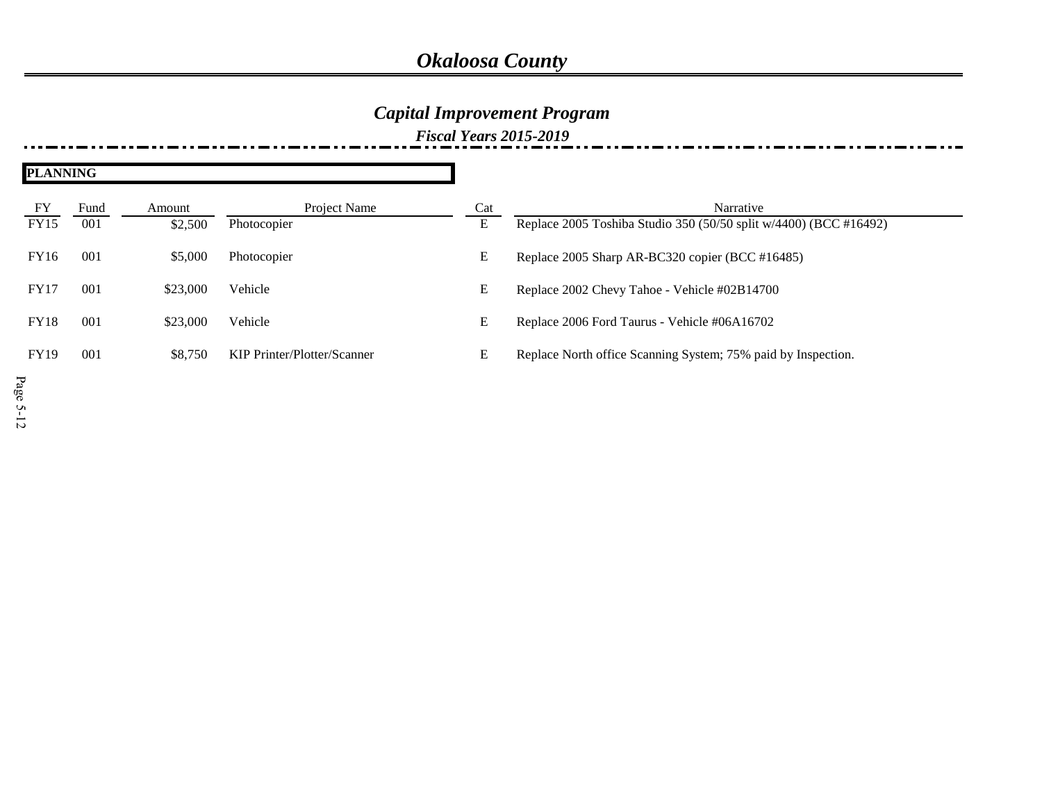## *Capital Improvement Program*

| <b>PLANNING</b>   |             |                   |                             |          |                                                                                |
|-------------------|-------------|-------------------|-----------------------------|----------|--------------------------------------------------------------------------------|
| FY<br><b>FY15</b> | Fund<br>001 | Amount<br>\$2,500 | Project Name<br>Photocopier | Cat<br>E | Narrative<br>Replace 2005 Toshiba Studio 350 (50/50 split w/4400) (BCC #16492) |
| <b>FY16</b>       | 001         | \$5,000           | Photocopier                 | E        | Replace 2005 Sharp AR-BC320 copier (BCC #16485)                                |
| <b>FY17</b>       | 001         | \$23,000          | Vehicle                     | E        | Replace 2002 Chevy Tahoe - Vehicle #02B14700                                   |
| <b>FY18</b>       | 001         | \$23,000          | Vehicle                     | E        | Replace 2006 Ford Taurus - Vehicle #06A16702                                   |
| <b>FY19</b>       | 001         | \$8,750           | KIP Printer/Plotter/Scanner | E        | Replace North office Scanning System; 75% paid by Inspection.                  |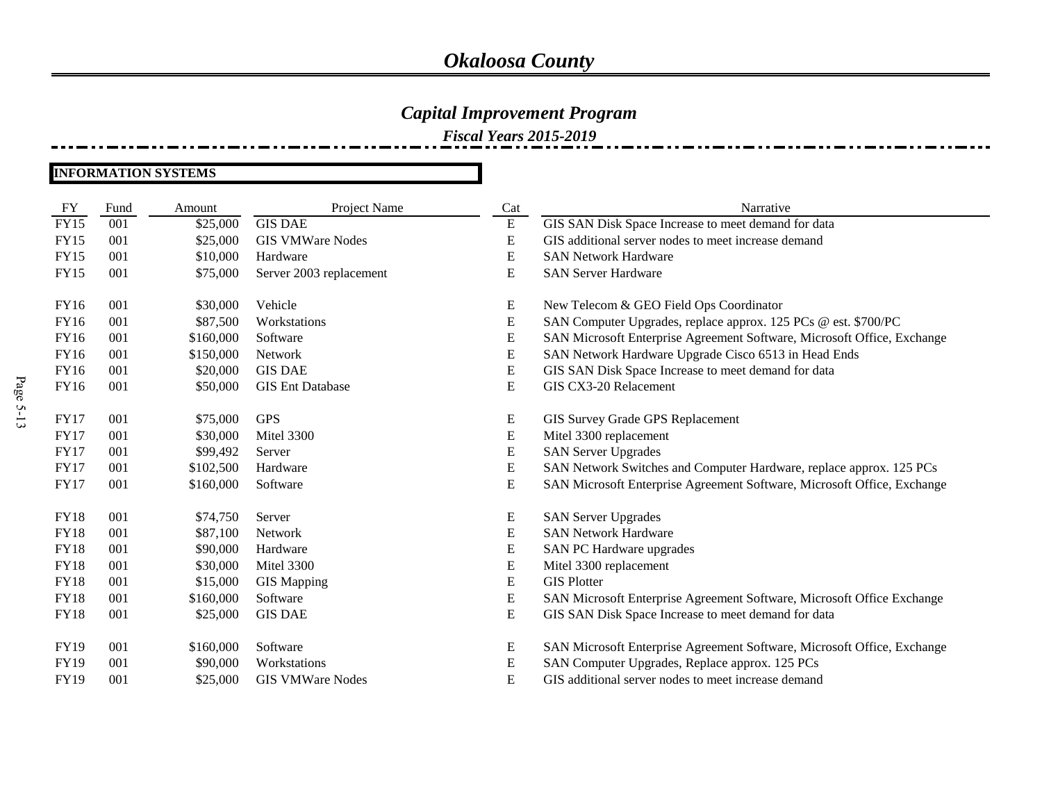### *Capital Improvement Program*

*Fiscal Years 2015-2019*

#### **INFORMATION SYSTEMS**

| <b>FY</b>   | Fund | Amount    | Project Name            | Cat       | Narrative                                                               |
|-------------|------|-----------|-------------------------|-----------|-------------------------------------------------------------------------|
| <b>FY15</b> | 001  | \$25,000  | <b>GIS DAE</b>          | ${\bf E}$ | GIS SAN Disk Space Increase to meet demand for data                     |
| <b>FY15</b> | 001  | \$25,000  | <b>GIS VMWare Nodes</b> | ${\bf E}$ | GIS additional server nodes to meet increase demand                     |
| <b>FY15</b> | 001  | \$10,000  | Hardware                | ${\bf E}$ | <b>SAN Network Hardware</b>                                             |
| <b>FY15</b> | 001  | \$75,000  | Server 2003 replacement | E         | <b>SAN Server Hardware</b>                                              |
| FY16        | 001  | \$30,000  | Vehicle                 | E         | New Telecom & GEO Field Ops Coordinator                                 |
| FY16        | 001  | \$87,500  | Workstations            | ${\bf E}$ | SAN Computer Upgrades, replace approx. 125 PCs @ est. \$700/PC          |
| <b>FY16</b> | 001  | \$160,000 | Software                | ${\bf E}$ | SAN Microsoft Enterprise Agreement Software, Microsoft Office, Exchange |
| FY16        | 001  | \$150,000 | Network                 | ${\bf E}$ | SAN Network Hardware Upgrade Cisco 6513 in Head Ends                    |
| <b>FY16</b> | 001  | \$20,000  | <b>GIS DAE</b>          | ${\bf E}$ | GIS SAN Disk Space Increase to meet demand for data                     |
| FY16        | 001  | \$50,000  | <b>GIS Ent Database</b> | ${\bf E}$ | GIS CX3-20 Relacement                                                   |
| <b>FY17</b> | 001  | \$75,000  | <b>GPS</b>              | ${\bf E}$ | GIS Survey Grade GPS Replacement                                        |
| <b>FY17</b> | 001  | \$30,000  | Mitel 3300              | ${\bf E}$ | Mitel 3300 replacement                                                  |
| <b>FY17</b> | 001  | \$99,492  | Server                  | ${\bf E}$ | <b>SAN Server Upgrades</b>                                              |
| <b>FY17</b> | 001  | \$102,500 | Hardware                | ${\bf E}$ | SAN Network Switches and Computer Hardware, replace approx. 125 PCs     |
| <b>FY17</b> | 001  | \$160,000 | Software                | ${\bf E}$ | SAN Microsoft Enterprise Agreement Software, Microsoft Office, Exchange |
| <b>FY18</b> | 001  | \$74,750  | Server                  | ${\bf E}$ | <b>SAN Server Upgrades</b>                                              |
| <b>FY18</b> | 001  | \$87,100  | Network                 | ${\bf E}$ | <b>SAN Network Hardware</b>                                             |
| <b>FY18</b> | 001  | \$90,000  | Hardware                | ${\bf E}$ | SAN PC Hardware upgrades                                                |
| <b>FY18</b> | 001  | \$30,000  | Mitel 3300              | ${\bf E}$ | Mitel 3300 replacement                                                  |
| <b>FY18</b> | 001  | \$15,000  | <b>GIS</b> Mapping      | ${\bf E}$ | <b>GIS Plotter</b>                                                      |
| <b>FY18</b> | 001  | \$160,000 | Software                | ${\bf E}$ | SAN Microsoft Enterprise Agreement Software, Microsoft Office Exchange  |
| <b>FY18</b> | 001  | \$25,000  | <b>GIS DAE</b>          | ${\bf E}$ | GIS SAN Disk Space Increase to meet demand for data                     |
| FY19        | 001  | \$160,000 | Software                | ${\bf E}$ | SAN Microsoft Enterprise Agreement Software, Microsoft Office, Exchange |
| <b>FY19</b> | 001  | \$90,000  | Workstations            | E         | SAN Computer Upgrades, Replace approx. 125 PCs                          |
| FY19        | 001  | \$25,000  | <b>GIS VMWare Nodes</b> | E         | GIS additional server nodes to meet increase demand                     |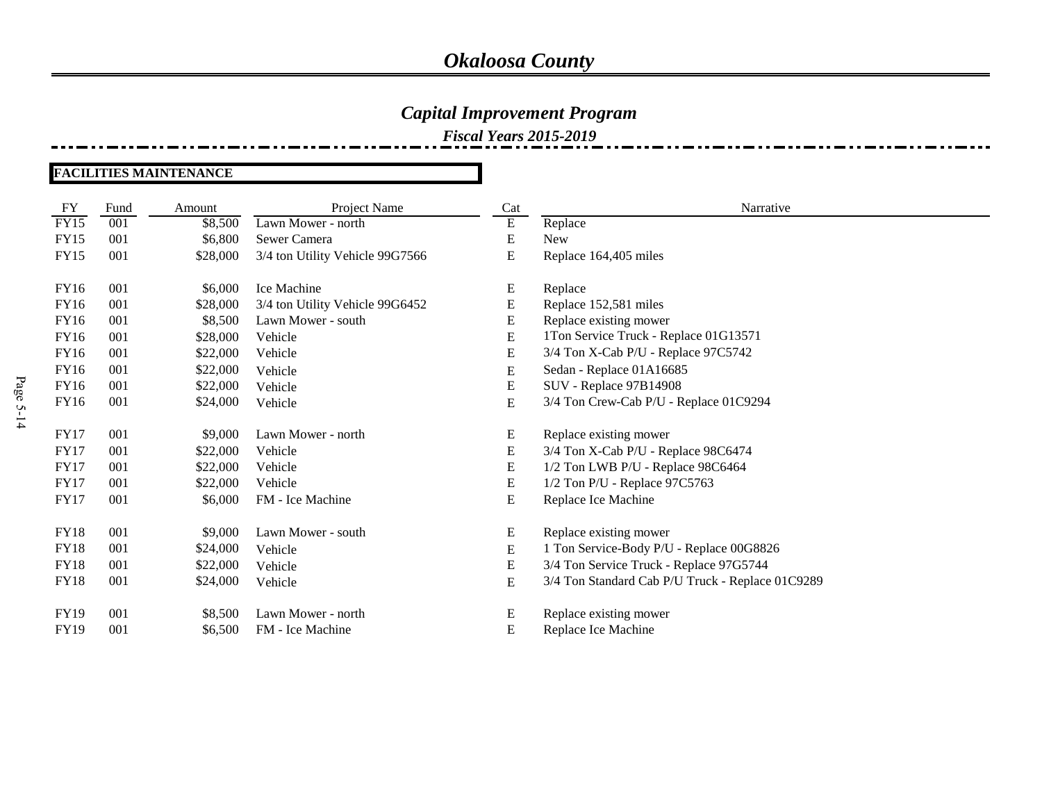### *Capital Improvement Program*

*Fiscal Years 2015-2019*

#### **FACILITIES MAINTENANCE**

| FY          | Fund | Amount   | Project Name                    | Cat                     | Narrative                                        |
|-------------|------|----------|---------------------------------|-------------------------|--------------------------------------------------|
| FY15        | 001  | \$8,500  | Lawn Mower - north              | $\overline{\mathrm{E}}$ | Replace                                          |
| <b>FY15</b> | 001  | \$6,800  | Sewer Camera                    | E                       | <b>New</b>                                       |
| <b>FY15</b> | 001  | \$28,000 | 3/4 ton Utility Vehicle 99G7566 | E                       | Replace 164,405 miles                            |
|             |      |          |                                 |                         |                                                  |
| <b>FY16</b> | 001  | \$6,000  | Ice Machine                     | E                       | Replace                                          |
| <b>FY16</b> | 001  | \$28,000 | 3/4 ton Utility Vehicle 99G6452 | E                       | Replace 152,581 miles                            |
| <b>FY16</b> | 001  | \$8,500  | Lawn Mower - south              | E                       | Replace existing mower                           |
| <b>FY16</b> | 001  | \$28,000 | Vehicle                         | E                       | 1Ton Service Truck - Replace 01G13571            |
| <b>FY16</b> | 001  | \$22,000 | Vehicle                         | E                       | 3/4 Ton X-Cab P/U - Replace 97C5742              |
| <b>FY16</b> | 001  | \$22,000 | Vehicle                         | E                       | Sedan - Replace 01A16685                         |
| <b>FY16</b> | 001  | \$22,000 | Vehicle                         | E                       | SUV - Replace 97B14908                           |
| <b>FY16</b> | 001  | \$24,000 | Vehicle                         | E                       | 3/4 Ton Crew-Cab P/U - Replace 01C9294           |
|             |      |          |                                 |                         |                                                  |
| <b>FY17</b> | 001  | \$9,000  | Lawn Mower - north              | E                       | Replace existing mower                           |
| FY17        | 001  | \$22,000 | Vehicle                         | E                       | 3/4 Ton X-Cab P/U - Replace 98C6474              |
| FY17        | 001  | \$22,000 | Vehicle                         | E                       | 1/2 Ton LWB P/U - Replace 98C6464                |
| <b>FY17</b> | 001  | \$22,000 | Vehicle                         | E                       | 1/2 Ton P/U - Replace 97C5763                    |
| <b>FY17</b> | 001  | \$6,000  | FM - Ice Machine                | E                       | Replace Ice Machine                              |
| <b>FY18</b> | 001  | \$9,000  | Lawn Mower - south              | E                       | Replace existing mower                           |
| <b>FY18</b> | 001  | \$24,000 |                                 |                         | 1 Ton Service-Body P/U - Replace 00G8826         |
| <b>FY18</b> | 001  | \$22,000 | Vehicle                         | E<br>${\bf E}$          | 3/4 Ton Service Truck - Replace 97G5744          |
|             |      |          | Vehicle                         |                         |                                                  |
| <b>FY18</b> | 001  | \$24,000 | Vehicle                         | ${\bf E}$               | 3/4 Ton Standard Cab P/U Truck - Replace 01C9289 |
| <b>FY19</b> | 001  | \$8,500  | Lawn Mower - north              | E                       | Replace existing mower                           |
| <b>FY19</b> | 001  | \$6,500  | FM - Ice Machine                | E                       | Replace Ice Machine                              |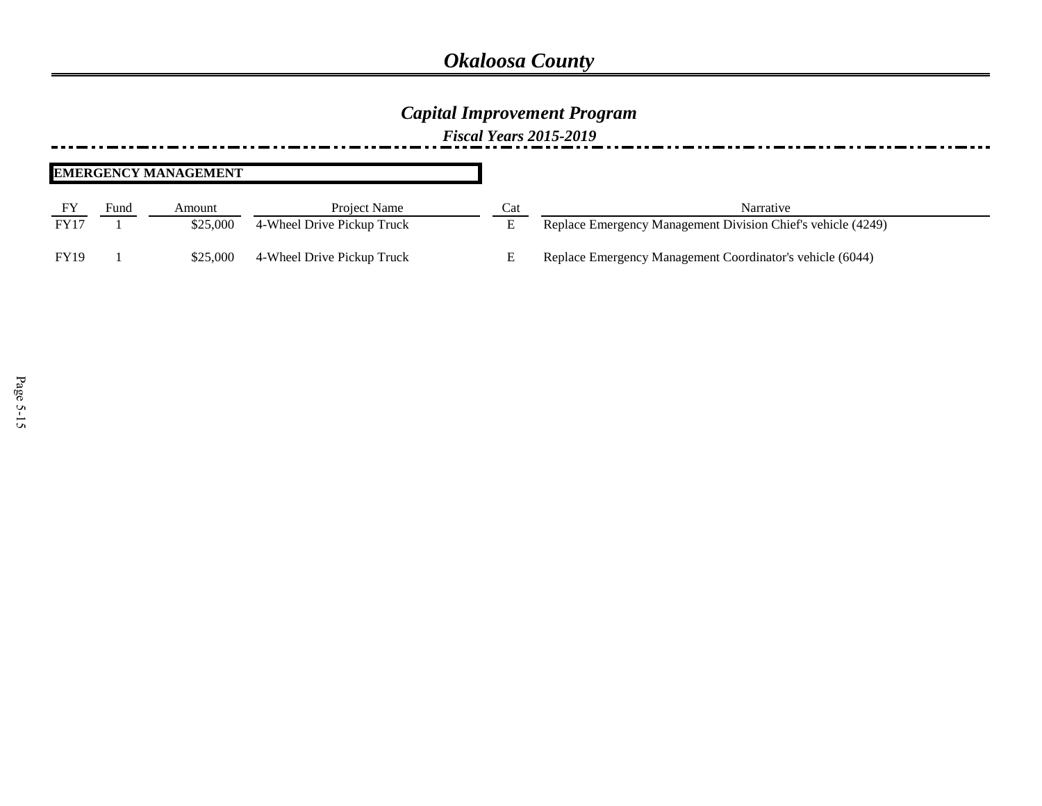### *Capital Improvement Program*

*Fiscal Years 2015-2019*

#### **EMERGENCY MANAGEMENT**

|             | Fund | Amount   | Project Name               | Cat | Narrative                                                    |
|-------------|------|----------|----------------------------|-----|--------------------------------------------------------------|
| <b>FY17</b> |      | \$25,000 | 4-Wheel Drive Pickup Truck |     | Replace Emergency Management Division Chief's vehicle (4249) |
| <b>FY19</b> |      | \$25,000 | 4-Wheel Drive Pickup Truck |     | Replace Emergency Management Coordinator's vehicle (6044)    |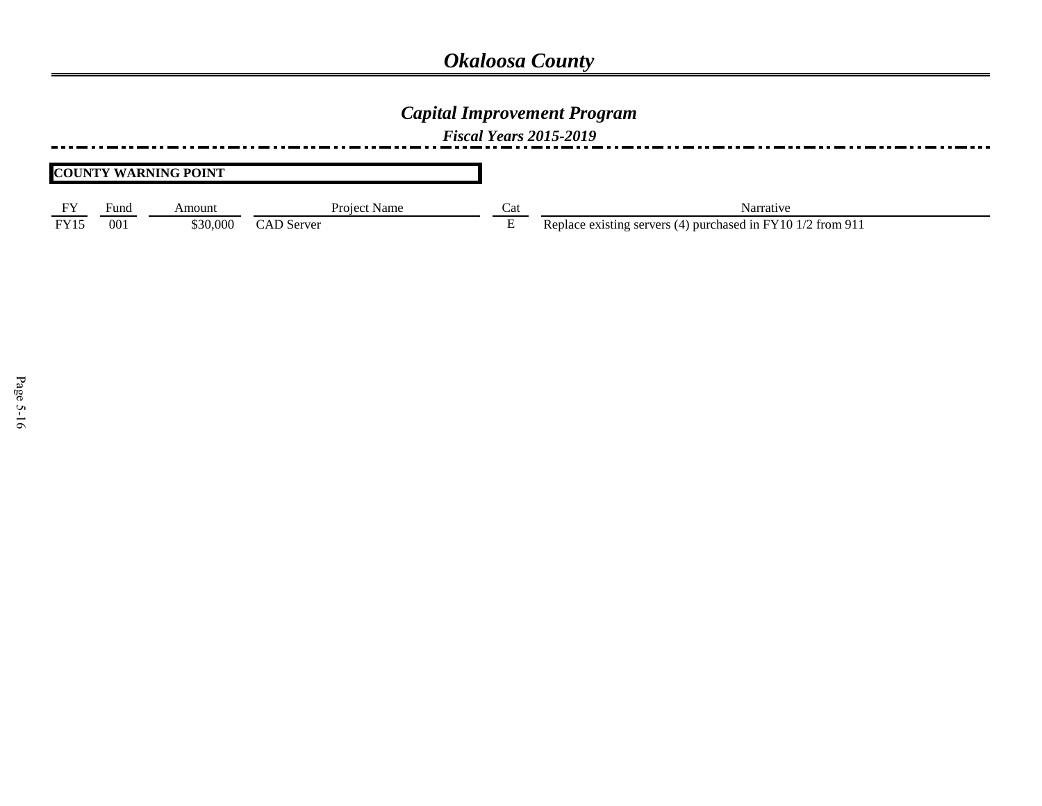### *Capital Improvement Program*

*Fiscal Years 2015-2019*

#### **COUNTY WARNING POINT**

| $E$ V       | Fund | Amount   | Project Name      | Ca | Narrative                                                   |
|-------------|------|----------|-------------------|----|-------------------------------------------------------------|
| <b>FY15</b> | 001  | \$30,000 | <b>CAD</b> Server |    | Replace existing servers (4) purchased in FY10 1/2 from 911 |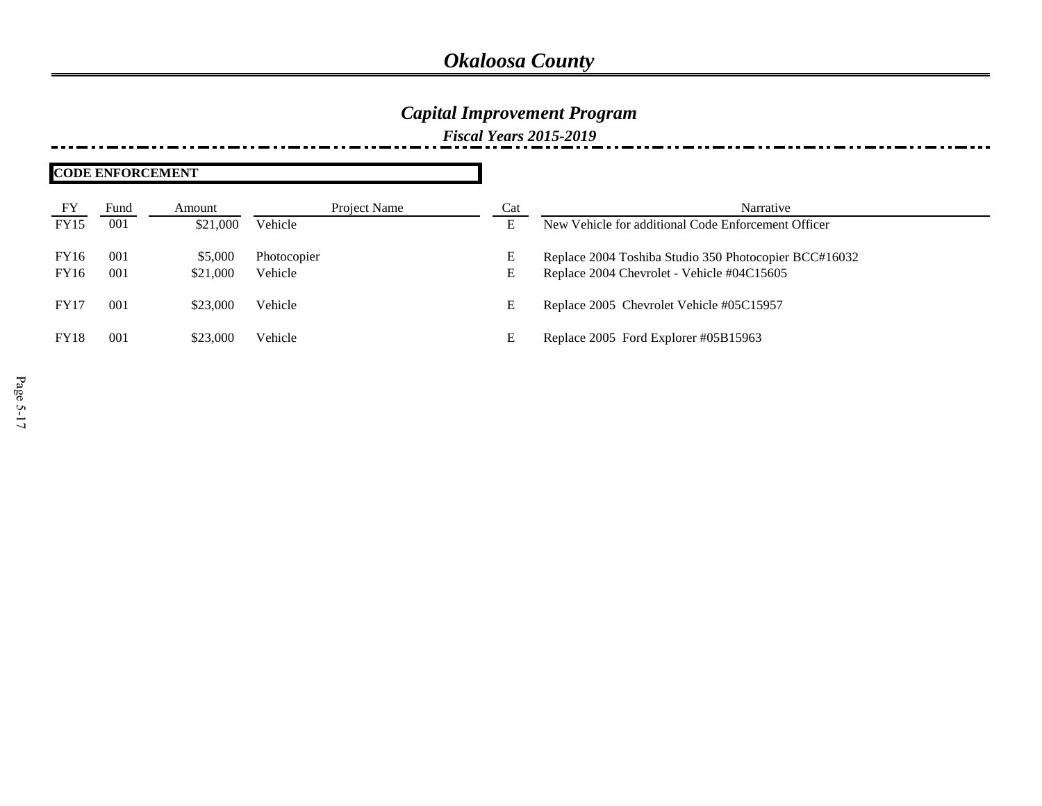## *Capital Improvement Program*

| <b>CODE ENFORCEMENT</b> |      |          |              |     |                                                       |
|-------------------------|------|----------|--------------|-----|-------------------------------------------------------|
| FY                      | Fund | Amount   | Project Name | Cat | Narrative                                             |
| <b>FY15</b>             | 001  | \$21,000 | Vehicle      | Е   | New Vehicle for additional Code Enforcement Officer   |
| FY16                    | 001  | \$5,000  | Photocopier  | E   | Replace 2004 Toshiba Studio 350 Photocopier BCC#16032 |
| FY16                    | 001  | \$21,000 | Vehicle      | E   | Replace 2004 Chevrolet - Vehicle #04C15605            |
| FY17                    | 001  | \$23,000 | Vehicle      | E   | Replace 2005 Chevrolet Vehicle #05C15957              |
| <b>FY18</b>             | 001  | \$23,000 | Vehicle      | E   | Replace 2005 Ford Explorer #05B15963                  |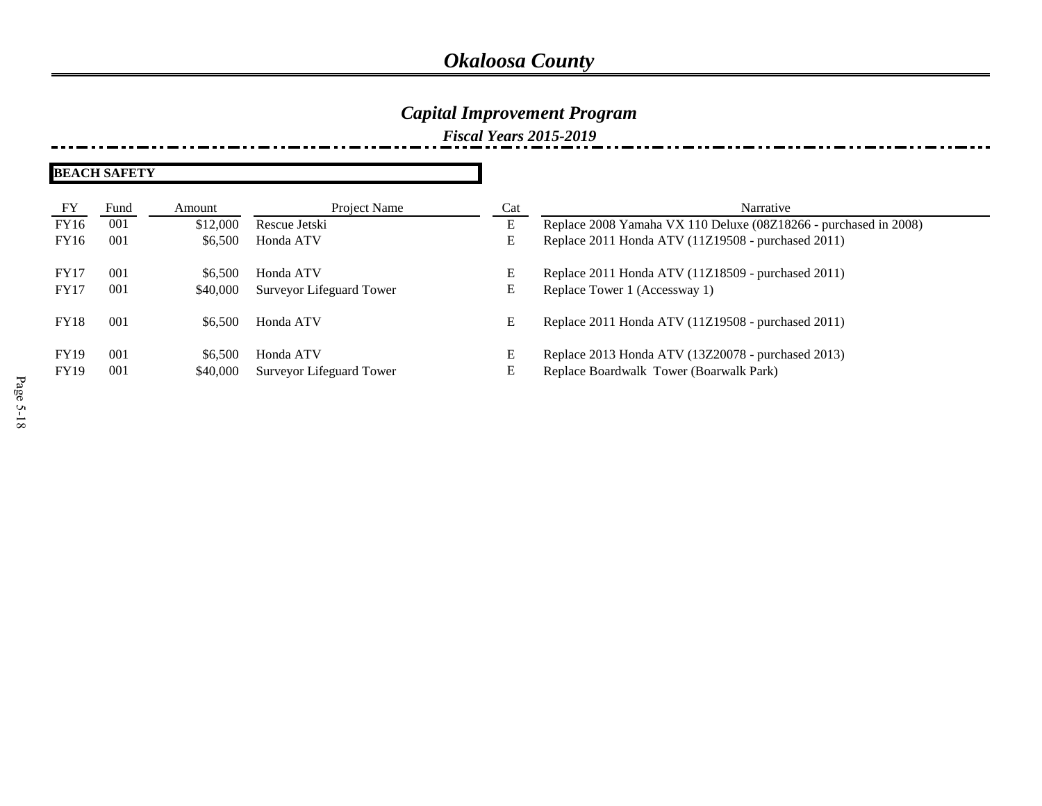## *Capital Improvement Program*

| FY                         | Fund       | Amount              | Project Name                          | Cat    | Narrative                                                                                     |
|----------------------------|------------|---------------------|---------------------------------------|--------|-----------------------------------------------------------------------------------------------|
| <b>FY16</b>                | 001        | \$12,000            | Rescue Jetski                         | E      | Replace 2008 Yamaha VX 110 Deluxe (08Z18266 - purchased in 2008)                              |
| <b>FY16</b>                | 001        | \$6,500             | Honda ATV                             | E      | Replace 2011 Honda ATV (11Z19508 - purchased 2011)                                            |
| <b>FY17</b>                | -001       | \$6.500             | Honda ATV                             | E      | Replace 2011 Honda ATV (11Z18509 - purchased 2011)                                            |
| <b>FY17</b>                | 001        | \$40,000            | Surveyor Lifeguard Tower              | E      | Replace Tower 1 (Accessway 1)                                                                 |
| <b>FY18</b>                | 001        | \$6,500             | Honda ATV                             | E      | Replace 2011 Honda ATV (11Z19508 - purchased 2011)                                            |
| <b>FY19</b><br><b>FY19</b> | 001<br>001 | \$6,500<br>\$40,000 | Honda ATV<br>Surveyor Lifeguard Tower | E<br>E | Replace 2013 Honda ATV (13Z20078 - purchased 2013)<br>Replace Boardwalk Tower (Boarwalk Park) |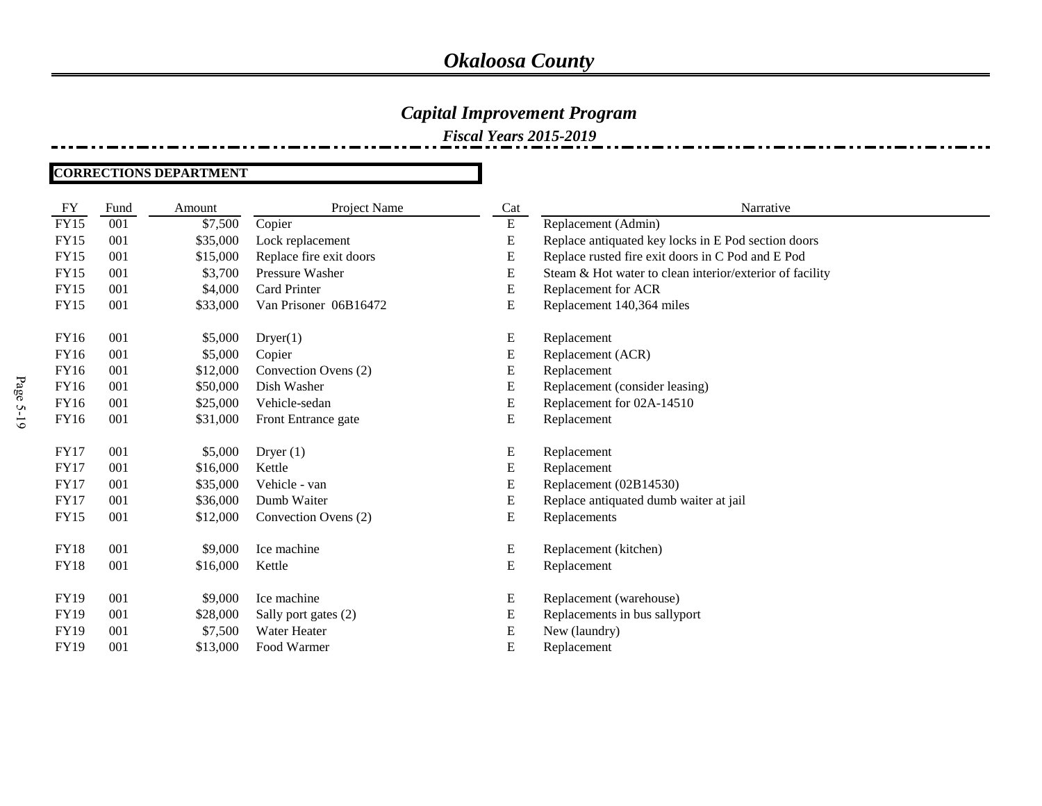### *Capital Improvement Program*

*Fiscal Years 2015-2019*

#### **CORRECTIONS DEPARTMENT**

| <b>FY</b>   | Fund | Amount   | Project Name            | Cat       | Narrative                                                |
|-------------|------|----------|-------------------------|-----------|----------------------------------------------------------|
| <b>FY15</b> | 001  | \$7,500  | Copier                  | ${\bf E}$ | Replacement (Admin)                                      |
| <b>FY15</b> | 001  | \$35,000 | Lock replacement        | E         | Replace antiquated key locks in E Pod section doors      |
| FY15        | 001  | \$15,000 | Replace fire exit doors | E         | Replace rusted fire exit doors in C Pod and E Pod        |
| <b>FY15</b> | 001  | \$3,700  | Pressure Washer         | ${\bf E}$ | Steam & Hot water to clean interior/exterior of facility |
| FY15        | 001  | \$4,000  | Card Printer            | Е         | Replacement for ACR                                      |
| <b>FY15</b> | 001  | \$33,000 | Van Prisoner 06B16472   | E         | Replacement 140,364 miles                                |
|             |      |          |                         |           |                                                          |
| FY16        | 001  | \$5,000  | Dryer(1)                | E         | Replacement                                              |
| <b>FY16</b> | 001  | \$5,000  | Copier                  | ${\bf E}$ | Replacement (ACR)                                        |
| <b>FY16</b> | 001  | \$12,000 | Convection Ovens (2)    | E         | Replacement                                              |
| FY16        | 001  | \$50,000 | Dish Washer             | E         | Replacement (consider leasing)                           |
| <b>FY16</b> | 001  | \$25,000 | Vehicle-sedan           | Е         | Replacement for 02A-14510                                |
| FY16        | 001  | \$31,000 | Front Entrance gate     | Е         | Replacement                                              |
|             |      |          |                         |           |                                                          |
| <b>FY17</b> | 001  | \$5,000  | Dryer $(1)$             | E         | Replacement                                              |
| <b>FY17</b> | 001  | \$16,000 | Kettle                  | Е         | Replacement                                              |
| <b>FY17</b> | 001  | \$35,000 | Vehicle - van           | E         | Replacement (02B14530)                                   |
| <b>FY17</b> | 001  | \$36,000 | Dumb Waiter             | E         | Replace antiquated dumb waiter at jail                   |
| <b>FY15</b> | 001  | \$12,000 | Convection Ovens (2)    | E         | Replacements                                             |
| <b>FY18</b> | 001  | \$9,000  | Ice machine             | ${\bf E}$ | Replacement (kitchen)                                    |
| <b>FY18</b> | 001  | \$16,000 | Kettle                  | E         | Replacement                                              |
|             |      |          |                         |           |                                                          |
| <b>FY19</b> | 001  | \$9,000  | Ice machine             | E         | Replacement (warehouse)                                  |
| <b>FY19</b> | 001  | \$28,000 | Sally port gates (2)    | Е         | Replacements in bus sallyport                            |
| <b>FY19</b> | 001  | \$7,500  | Water Heater            | Е         | New (laundry)                                            |
| <b>FY19</b> | 001  | \$13,000 | Food Warmer             | E         | Replacement                                              |
|             |      |          |                         |           |                                                          |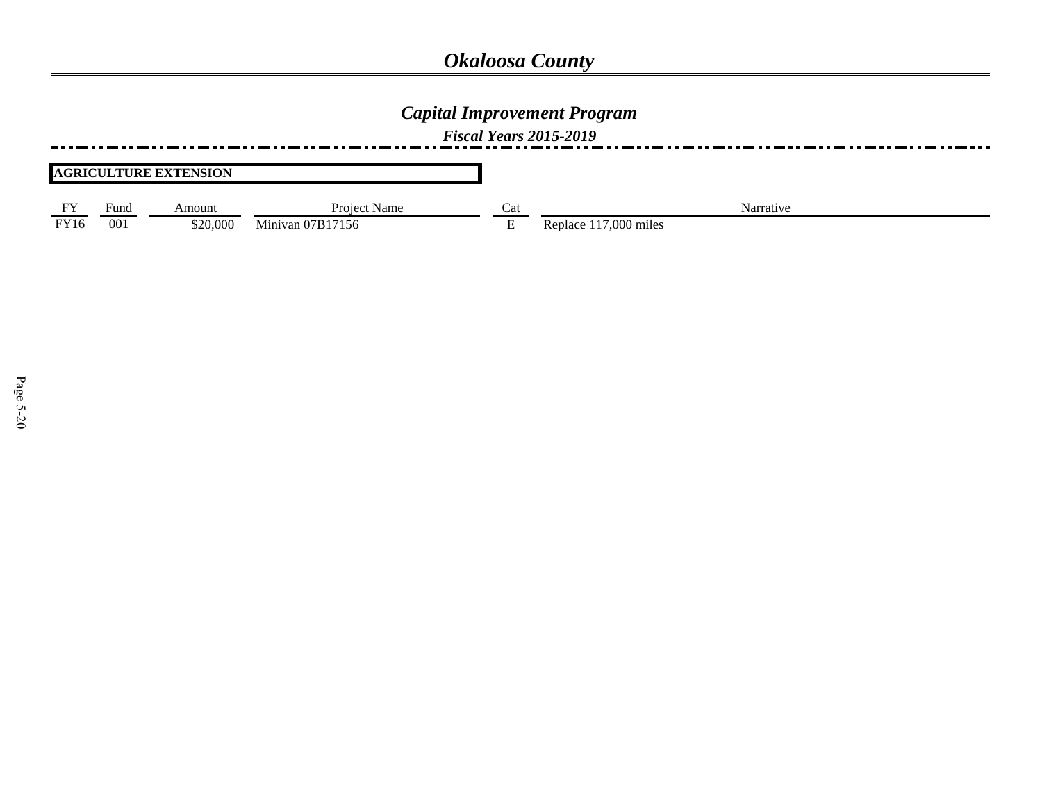### *Capital Improvement Program*

*Fiscal Years 2015-2019*

#### **AGRICULTURE EXTENSION**

| <b>DX</b> | ⊦und | Amount   | Project<br>Name               | Cat | Narrative                        |
|-----------|------|----------|-------------------------------|-----|----------------------------------|
| FY16      | 00   | \$20,000 | --<br>/ R<br>156<br>Minivan U |     | .000<br>$\cdot$ $\cdot$<br>miles |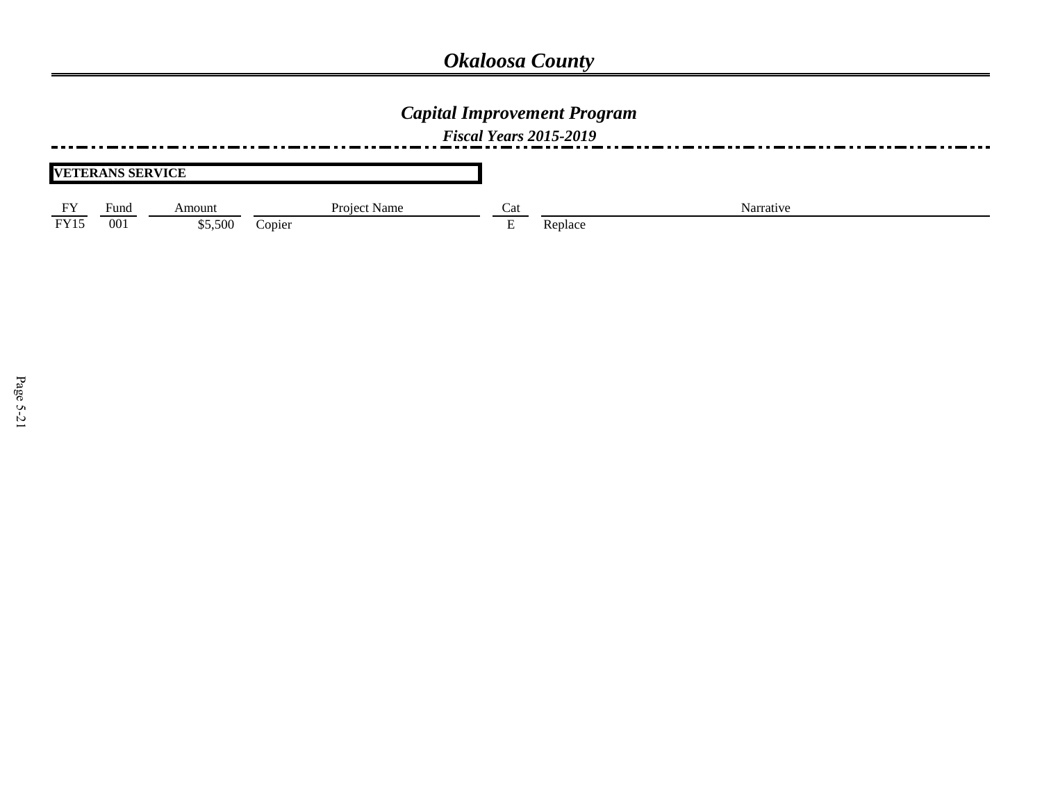## *Capital Improvement Program*

| <b>VETERANS SERVICE</b> |                      |         |              |          |           |
|-------------------------|----------------------|---------|--------------|----------|-----------|
| FY                      | $\mathbf{r}$<br>Funa | Amount  | Project Name | Cat      | Narrative |
| <b>FY15</b>             | 001                  | \$5,500 | Copier       | <u>.</u> | Replace   |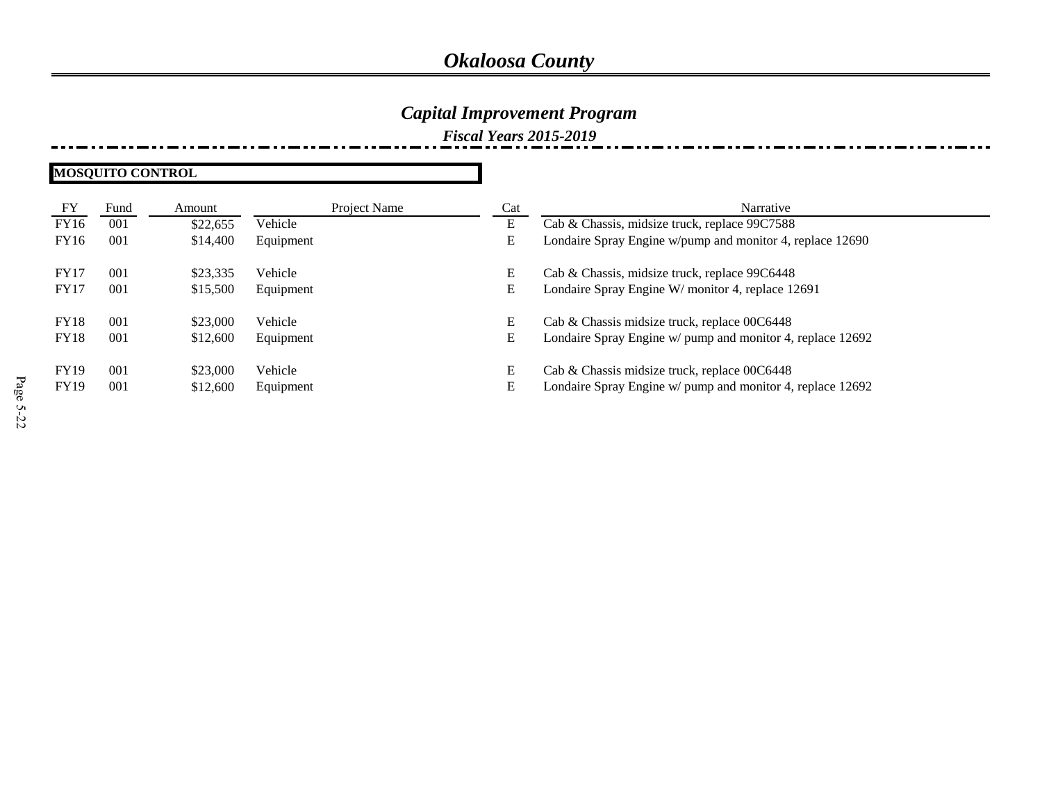### *Capital Improvement Program*

*Fiscal Years 2015-2019*

**MOSQUITO CONTROL**

| FY          | Fund | Amount   | Project Name | Cat | Narrative                                                  |
|-------------|------|----------|--------------|-----|------------------------------------------------------------|
| FY16        | 001  | \$22,655 | Vehicle      | E   | Cab & Chassis, midsize truck, replace 99C7588              |
| FY16        | 001  | \$14,400 | Equipment    | E   | Londaire Spray Engine w/pump and monitor 4, replace 12690  |
| <b>FY17</b> | 001  | \$23,335 | Vehicle      | E   | Cab & Chassis, midsize truck, replace 99C6448              |
| <b>FY17</b> | 001  | \$15,500 | Equipment    | E   | Londaire Spray Engine W/ monitor 4, replace 12691          |
| <b>FY18</b> | 001  | \$23,000 | Vehicle      | Е   | Cab & Chassis midsize truck, replace 00C6448               |
| <b>FY18</b> | 001  | \$12,600 | Equipment    | E   | Londaire Spray Engine w/ pump and monitor 4, replace 12692 |
| <b>FY19</b> | 001  | \$23,000 | Vehicle      | E   | Cab & Chassis midsize truck, replace 00C6448               |
| <b>FY19</b> | 001  | \$12,600 | Equipment    | E   | Londaire Spray Engine w/ pump and monitor 4, replace 12692 |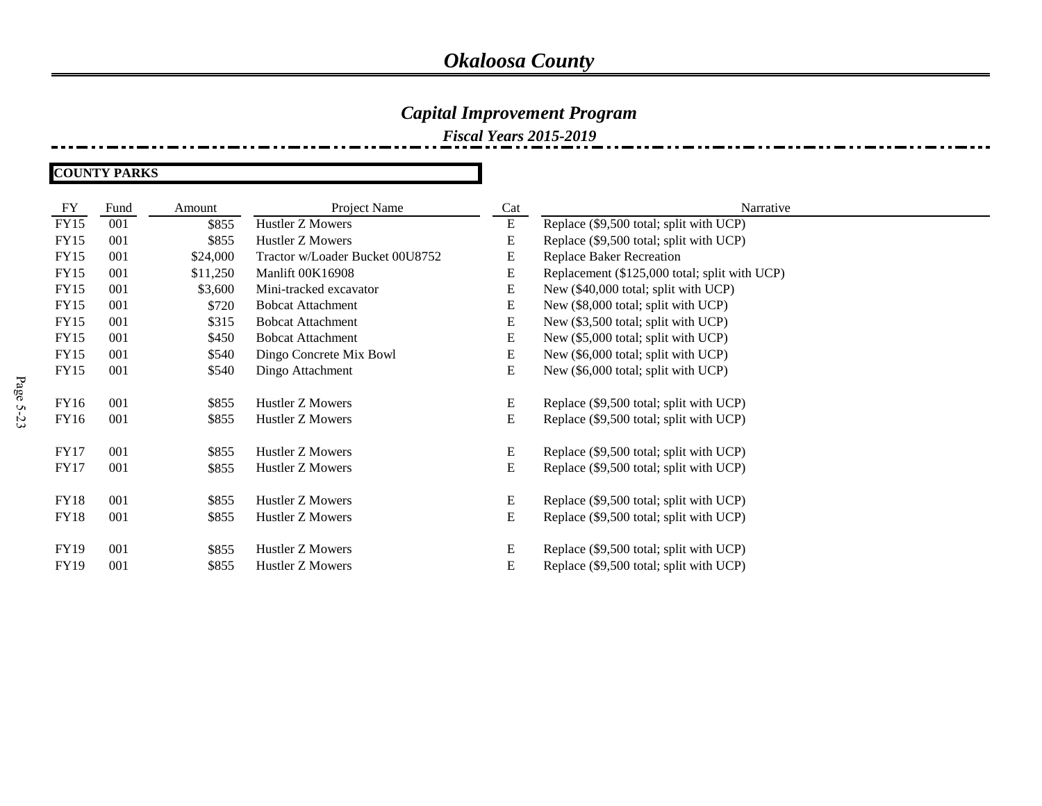### *Capital Improvement Program*

*Fiscal Years 2015-2019*

#### **COUNTY PARKS**

| FY          | Fund | Amount   | Project Name                    | Cat | Narrative                                     |
|-------------|------|----------|---------------------------------|-----|-----------------------------------------------|
| <b>FY15</b> | 001  | \$855    | <b>Hustler Z Mowers</b>         | E   | Replace (\$9,500 total; split with UCP)       |
| <b>FY15</b> | 001  | \$855    | Hustler Z Mowers                | E   | Replace (\$9,500 total; split with UCP)       |
| <b>FY15</b> | 001  | \$24,000 | Tractor w/Loader Bucket 00U8752 | E   | <b>Replace Baker Recreation</b>               |
| <b>FY15</b> | 001  | \$11,250 | Manlift 00K16908                | E   | Replacement (\$125,000 total; split with UCP) |
| <b>FY15</b> | 001  | \$3,600  | Mini-tracked excavator          | E   | New (\$40,000 total; split with UCP)          |
| <b>FY15</b> | 001  | \$720    | <b>Bobcat Attachment</b>        | E   | New (\$8,000 total; split with UCP)           |
| <b>FY15</b> | 001  | \$315    | <b>Bobcat Attachment</b>        | E   | New (\$3,500 total; split with UCP)           |
| <b>FY15</b> | 001  | \$450    | <b>Bobcat Attachment</b>        | E   | New (\$5,000 total; split with UCP)           |
| <b>FY15</b> | 001  | \$540    | Dingo Concrete Mix Bowl         | E   | New (\$6,000 total; split with UCP)           |
| FY15        | 001  | \$540    | Dingo Attachment                | E   | New (\$6,000 total; split with UCP)           |
|             |      |          |                                 |     |                                               |
| <b>FY16</b> | 001  | \$855    | <b>Hustler Z Mowers</b>         | E   | Replace (\$9,500 total; split with UCP)       |
| <b>FY16</b> | 001  | \$855    | Hustler Z Mowers                | E   | Replace (\$9,500 total; split with UCP)       |
|             |      |          |                                 |     |                                               |
| <b>FY17</b> | 001  | \$855    | Hustler Z Mowers                | E   | Replace (\$9,500 total; split with UCP)       |
| <b>FY17</b> | 001  | \$855    | Hustler Z Mowers                | E   | Replace (\$9,500 total; split with UCP)       |
| <b>FY18</b> | 001  | \$855    | Hustler Z Mowers                | E   | Replace (\$9,500 total; split with UCP)       |
| <b>FY18</b> | 001  | \$855    | Hustler Z Mowers                | E   | Replace (\$9,500 total; split with UCP)       |
|             |      |          |                                 |     |                                               |
| <b>FY19</b> | 001  | \$855    | Hustler Z Mowers                | E   | Replace (\$9,500 total; split with UCP)       |
| <b>FY19</b> | 001  | \$855    | Hustler Z Mowers                | E   | Replace (\$9,500 total; split with UCP)       |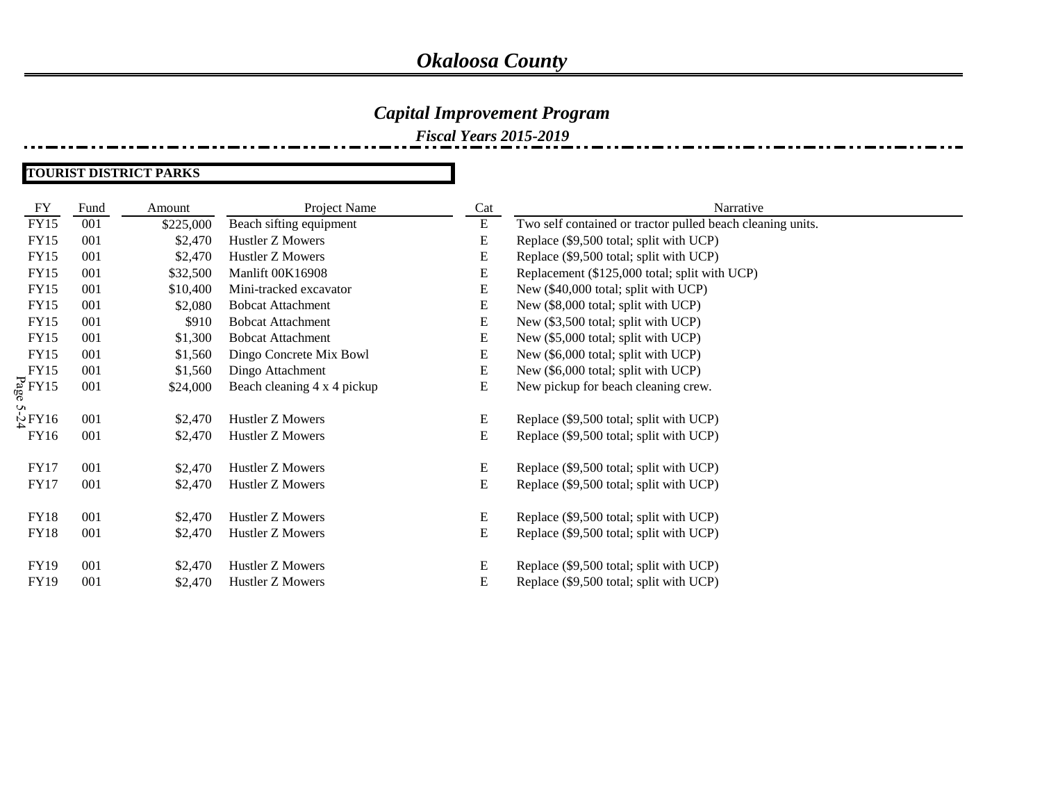### *Capital Improvement Program*

*Fiscal Years 2015-2019*

#### **TOURIST DISTRICT PARKS**

| FY                  | Fund | Amount    | Project Name                | Cat       | Narrative                                                  |
|---------------------|------|-----------|-----------------------------|-----------|------------------------------------------------------------|
| <b>FY15</b>         | 001  | \$225,000 | Beach sifting equipment     | ${\bf E}$ | Two self contained or tractor pulled beach cleaning units. |
| <b>FY15</b>         | 001  | \$2,470   | Hustler Z Mowers            | ${\bf E}$ | Replace (\$9,500 total; split with UCP)                    |
| <b>FY15</b>         | 001  | \$2,470   | Hustler Z Mowers            | E         | Replace (\$9,500 total; split with UCP)                    |
| <b>FY15</b>         | 001  | \$32,500  | Manlift 00K16908            | E         | Replacement (\$125,000 total; split with UCP)              |
| FY15                | 001  | \$10,400  | Mini-tracked excavator      | E         | New (\$40,000 total; split with UCP)                       |
| <b>FY15</b>         | 001  | \$2,080   | <b>Bobcat Attachment</b>    | E         | New (\$8,000 total; split with UCP)                        |
| <b>FY15</b>         | 001  | \$910     | <b>Bobcat Attachment</b>    | E         | New (\$3,500 total; split with UCP)                        |
| <b>FY15</b>         | 001  | \$1,300   | <b>Bobcat Attachment</b>    | E         | New (\$5,000 total; split with UCP)                        |
| <b>FY15</b>         | 001  | \$1,560   | Dingo Concrete Mix Bowl     | E         | New (\$6,000 total; split with UCP)                        |
| FY15                | 001  | \$1,560   | Dingo Attachment            | E         | New (\$6,000 total; split with UCP)                        |
| $\frac{1}{60}$ FY15 | 001  | \$24,000  | Beach cleaning 4 x 4 pickup | E         | New pickup for beach cleaning crew.                        |
|                     |      |           |                             |           |                                                            |
| $\frac{1}{2}$ FY16  | 001  | \$2,470   | Hustler Z Mowers            | E         | Replace (\$9,500 total; split with UCP)                    |
| FY16                | 001  | \$2,470   | Hustler Z Mowers            | E         | Replace (\$9,500 total; split with UCP)                    |
|                     |      |           |                             |           |                                                            |
| <b>FY17</b>         | 001  | \$2,470   | Hustler Z Mowers            | E         | Replace (\$9,500 total; split with UCP)                    |
| <b>FY17</b>         | 001  | \$2,470   | Hustler Z Mowers            | ${\bf E}$ | Replace (\$9,500 total; split with UCP)                    |
|                     |      |           |                             |           |                                                            |
| <b>FY18</b>         | 001  | \$2,470   | Hustler Z Mowers            | E         | Replace (\$9,500 total; split with UCP)                    |
| <b>FY18</b>         | 001  | \$2,470   | Hustler Z Mowers            | E         | Replace (\$9,500 total; split with UCP)                    |
| FY19                | 001  | \$2,470   | Hustler Z Mowers            | E         | Replace (\$9,500 total; split with UCP)                    |
|                     | 001  |           |                             | E         |                                                            |
| FY19                |      | \$2,470   | Hustler Z Mowers            |           | Replace (\$9,500 total; split with UCP)                    |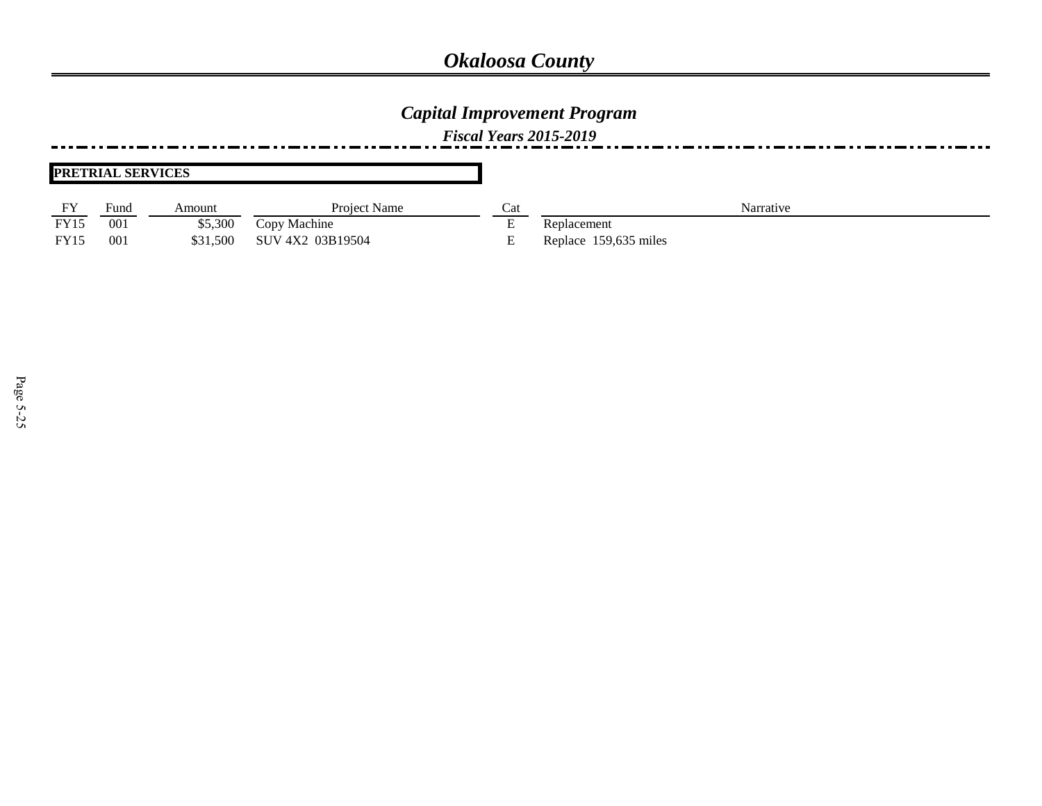### *Capital Improvement Program*

*Fiscal Years 2015-2019*

#### **PRETRIAL SERVICES**

| $E$ V       | $_{\text{Funa}}$ | Amount   | Project Name     |          | Narrative             |
|-------------|------------------|----------|------------------|----------|-----------------------|
| <b>FY15</b> | 00 <sup>2</sup>  | \$5,300  | Copy Machine     | <u>.</u> | Replacement           |
| <b>FY15</b> | 00               | \$31.500 | SUV 4X2 03B19504 | ∸        | Replace 159,635 miles |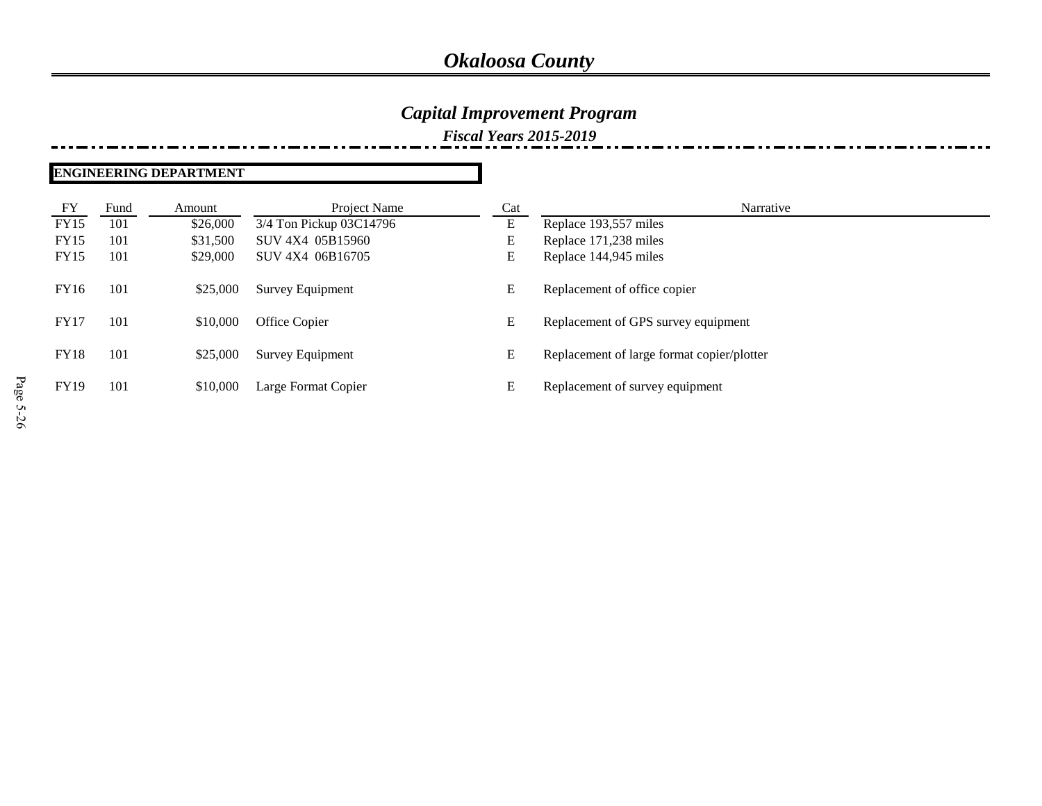### *Capital Improvement Program*

*Fiscal Years 2015-2019*

#### **ENGINEERING DEPARTMENT**

| FY          | Fund | Amount   | Project Name            | Cat | Narrative                                  |
|-------------|------|----------|-------------------------|-----|--------------------------------------------|
| <b>FY15</b> | 101  | \$26,000 | 3/4 Ton Pickup 03C14796 | E   | Replace 193,557 miles                      |
| <b>FY15</b> | 101  | \$31,500 | SUV 4X4 05B15960        | E   | Replace 171,238 miles                      |
| <b>FY15</b> | 101  | \$29,000 | SUV 4X4 06B16705        | E   | Replace 144,945 miles                      |
| FY16        | 101  | \$25,000 | Survey Equipment        | E   | Replacement of office copier               |
| <b>FY17</b> | 101  | \$10,000 | Office Copier           | E   | Replacement of GPS survey equipment        |
| <b>FY18</b> | 101  | \$25,000 | Survey Equipment        | E   | Replacement of large format copier/plotter |
| <b>FY19</b> | 101  | \$10,000 | Large Format Copier     | E   | Replacement of survey equipment            |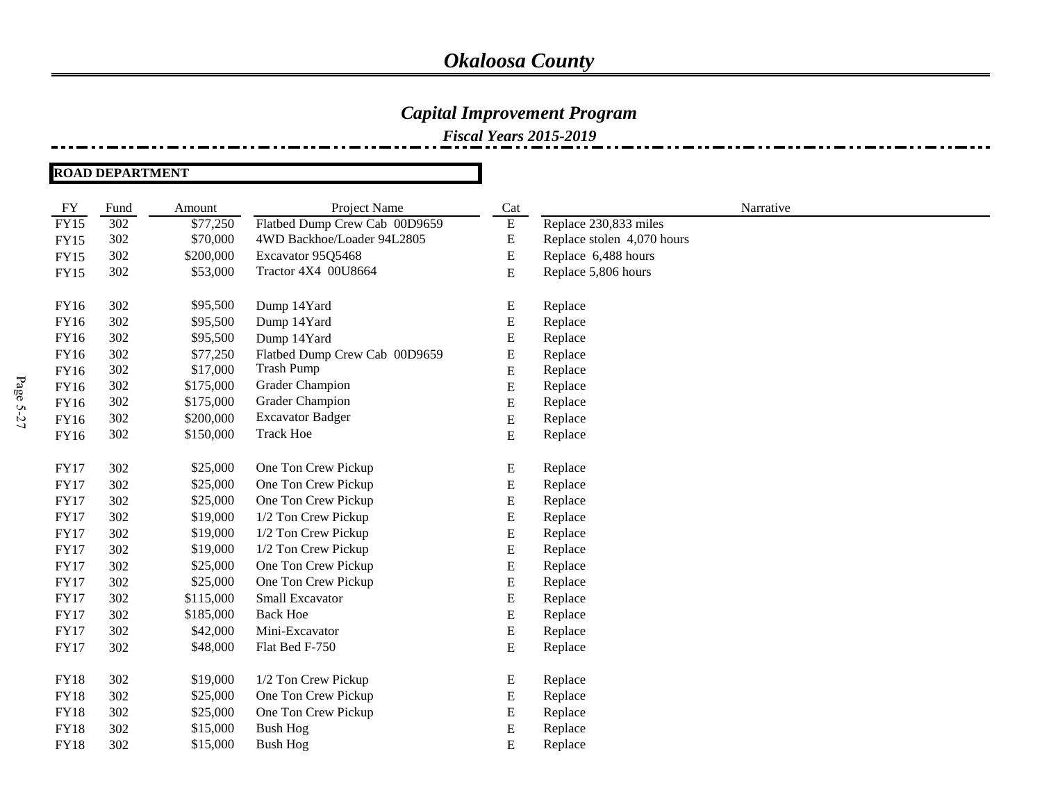### *Capital Improvement Program*

*Fiscal Years 2015-2019*

**ROAD DEPARTMENT**

| FY          | Fund | Amount    | Project Name                  | Cat       | Narrative                  |
|-------------|------|-----------|-------------------------------|-----------|----------------------------|
| <b>FY15</b> | 302  | \$77,250  | Flatbed Dump Crew Cab 00D9659 | ${\bf E}$ | Replace 230,833 miles      |
| <b>FY15</b> | 302  | \$70,000  | 4WD Backhoe/Loader 94L2805    | E         | Replace stolen 4,070 hours |
| <b>FY15</b> | 302  | \$200,000 | Excavator 95Q5468             | E         | Replace 6,488 hours        |
| <b>FY15</b> | 302  | \$53,000  | Tractor 4X4 00U8664           | ${\bf E}$ | Replace 5,806 hours        |
|             |      |           |                               |           |                            |
| FY16        | 302  | \$95,500  | Dump 14Yard                   | E         | Replace                    |
| <b>FY16</b> | 302  | \$95,500  | Dump 14Yard                   | E         | Replace                    |
| <b>FY16</b> | 302  | \$95,500  | Dump 14Yard                   | E         | Replace                    |
| FY16        | 302  | \$77,250  | Flatbed Dump Crew Cab 00D9659 | E         | Replace                    |
| <b>FY16</b> | 302  | \$17,000  | <b>Trash Pump</b>             | E         | Replace                    |
| FY16        | 302  | \$175,000 | <b>Grader Champion</b>        | E         | Replace                    |
| <b>FY16</b> | 302  | \$175,000 | <b>Grader Champion</b>        | E         | Replace                    |
| FY16        | 302  | \$200,000 | <b>Excavator Badger</b>       | ${\bf E}$ | Replace                    |
| FY16        | 302  | \$150,000 | <b>Track Hoe</b>              | E         | Replace                    |
|             |      |           |                               |           |                            |
| <b>FY17</b> | 302  | \$25,000  | One Ton Crew Pickup           | E         | Replace                    |
| <b>FY17</b> | 302  | \$25,000  | One Ton Crew Pickup           | E         | Replace                    |
| <b>FY17</b> | 302  | \$25,000  | One Ton Crew Pickup           | E         | Replace                    |
| <b>FY17</b> | 302  | \$19,000  | 1/2 Ton Crew Pickup           | E         | Replace                    |
| <b>FY17</b> | 302  | \$19,000  | 1/2 Ton Crew Pickup           | E         | Replace                    |
| <b>FY17</b> | 302  | \$19,000  | 1/2 Ton Crew Pickup           | ${\bf E}$ | Replace                    |
| <b>FY17</b> | 302  | \$25,000  | One Ton Crew Pickup           | E         | Replace                    |
| <b>FY17</b> | 302  | \$25,000  | One Ton Crew Pickup           | E         | Replace                    |
| <b>FY17</b> | 302  | \$115,000 | Small Excavator               | E         | Replace                    |
| <b>FY17</b> | 302  | \$185,000 | <b>Back Hoe</b>               | E         | Replace                    |
| <b>FY17</b> | 302  | \$42,000  | Mini-Excavator                | ${\bf E}$ | Replace                    |
| <b>FY17</b> | 302  | \$48,000  | Flat Bed F-750                | E         | Replace                    |
|             |      |           |                               |           |                            |
| <b>FY18</b> | 302  | \$19,000  | 1/2 Ton Crew Pickup           | E         | Replace                    |
| <b>FY18</b> | 302  | \$25,000  | One Ton Crew Pickup           | E         | Replace                    |
| <b>FY18</b> | 302  | \$25,000  | One Ton Crew Pickup           | E         | Replace                    |
| <b>FY18</b> | 302  | \$15,000  | <b>Bush Hog</b>               | ${\bf E}$ | Replace                    |
| <b>FY18</b> | 302  | \$15,000  | <b>Bush Hog</b>               | ${\bf E}$ | Replace                    |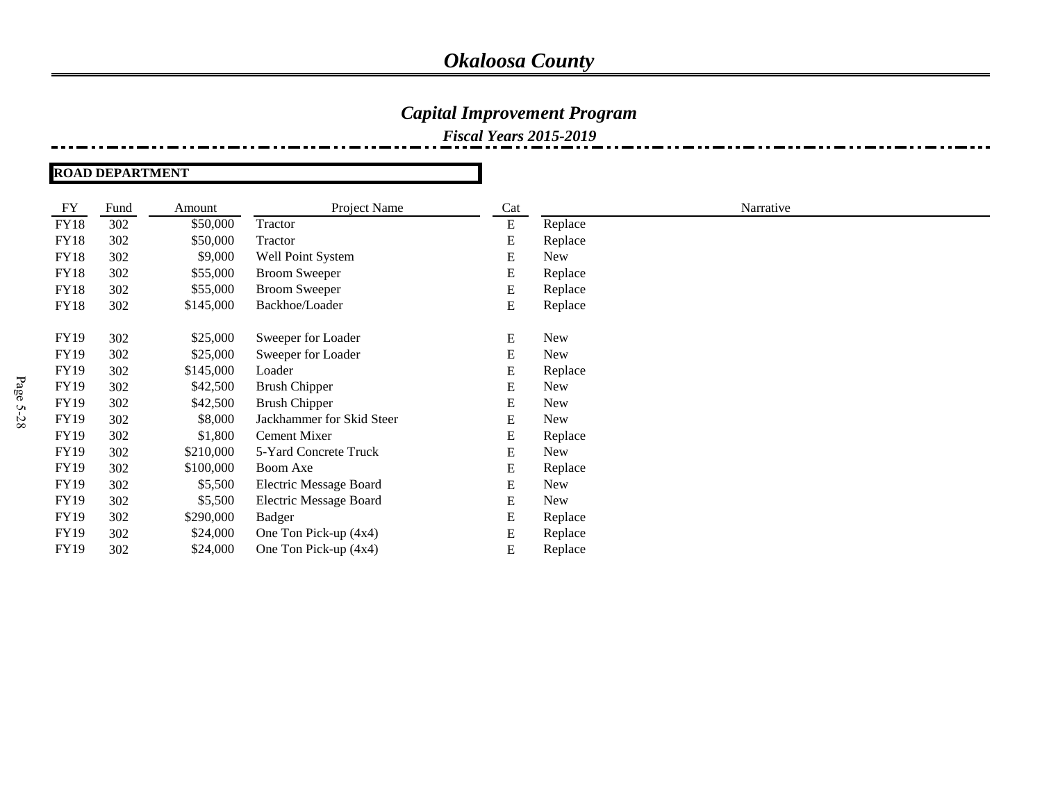### *Capital Improvement Program*

*Fiscal Years 2015-2019*

**ROAD DEPARTMENT**

| FY          | Fund | Amount    | Project Name                  | Cat       |            | Narrative |
|-------------|------|-----------|-------------------------------|-----------|------------|-----------|
| <b>FY18</b> | 302  | \$50,000  | Tractor                       | E         | Replace    |           |
| <b>FY18</b> | 302  | \$50,000  | Tractor                       | E         | Replace    |           |
| <b>FY18</b> | 302  | \$9,000   | Well Point System             | E         | <b>New</b> |           |
| <b>FY18</b> | 302  | \$55,000  | <b>Broom Sweeper</b>          | E         | Replace    |           |
| <b>FY18</b> | 302  | \$55,000  | <b>Broom Sweeper</b>          | E         | Replace    |           |
| <b>FY18</b> | 302  | \$145,000 | Backhoe/Loader                | E         | Replace    |           |
|             |      |           |                               |           |            |           |
| <b>FY19</b> | 302  | \$25,000  | Sweeper for Loader            | E         | <b>New</b> |           |
| <b>FY19</b> | 302  | \$25,000  | Sweeper for Loader            | E         | <b>New</b> |           |
| <b>FY19</b> | 302  | \$145,000 | Loader                        | E         | Replace    |           |
| <b>FY19</b> | 302  | \$42,500  | <b>Brush Chipper</b>          | E         | <b>New</b> |           |
| FY19        | 302  | \$42,500  | <b>Brush Chipper</b>          | ${\bf E}$ | <b>New</b> |           |
| <b>FY19</b> | 302  | \$8,000   | Jackhammer for Skid Steer     | E         | <b>New</b> |           |
| <b>FY19</b> | 302  | \$1,800   | Cement Mixer                  | E         | Replace    |           |
| <b>FY19</b> | 302  | \$210,000 | 5-Yard Concrete Truck         | E         | <b>New</b> |           |
| <b>FY19</b> | 302  | \$100,000 | Boom Axe                      | E         | Replace    |           |
| <b>FY19</b> | 302  | \$5,500   | Electric Message Board        | E         | <b>New</b> |           |
| <b>FY19</b> | 302  | \$5,500   | <b>Electric Message Board</b> | E         | <b>New</b> |           |
| FY19        | 302  | \$290,000 | <b>Badger</b>                 | E         | Replace    |           |
| FY19        | 302  | \$24,000  | One Ton Pick-up (4x4)         | E         | Replace    |           |
| FY19        | 302  | \$24,000  | One Ton Pick-up (4x4)         | E         | Replace    |           |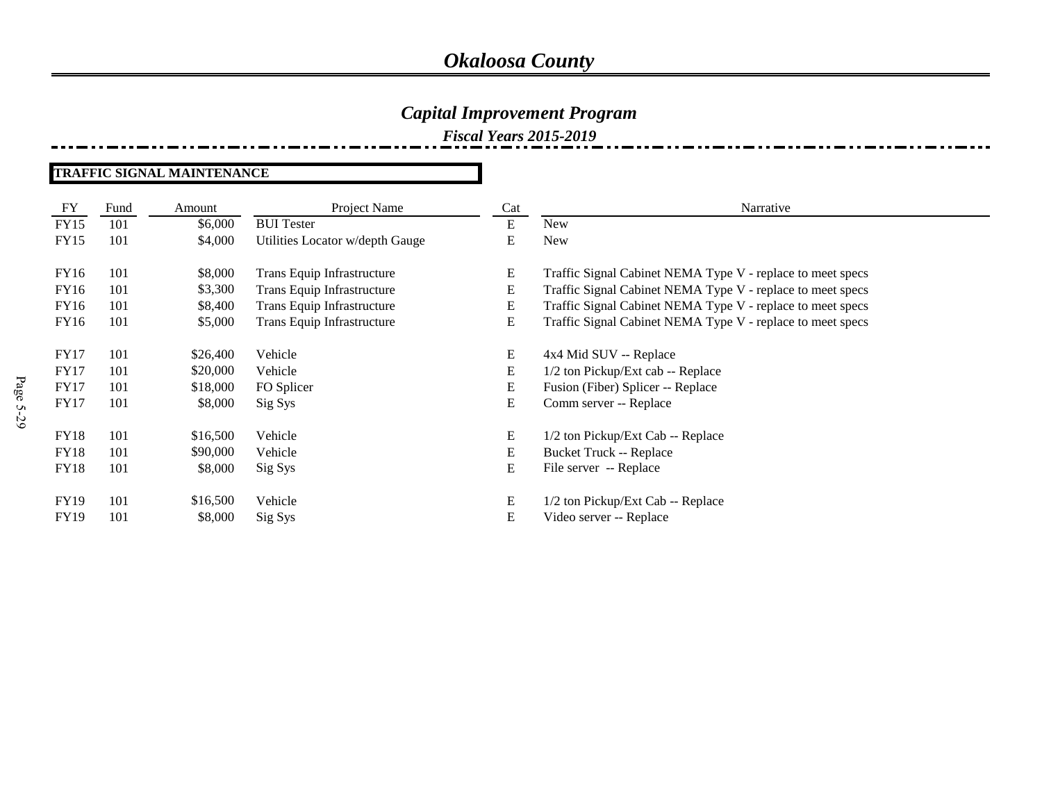*Fiscal Years 2015-2019*

#### **TRAFFIC SIGNAL MAINTENANCE**

| FY          | Fund | Amount   | Project Name                    | Cat | Narrative                                                  |
|-------------|------|----------|---------------------------------|-----|------------------------------------------------------------|
| <b>FY15</b> | 101  | \$6,000  | <b>BUI</b> Tester               | E   | New                                                        |
| FY15        | 101  | \$4,000  | Utilities Locator w/depth Gauge | E   | <b>New</b>                                                 |
|             |      |          |                                 |     |                                                            |
| FY16        | 101  | \$8,000  | Trans Equip Infrastructure      | E   | Traffic Signal Cabinet NEMA Type V - replace to meet specs |
| FY16        | 101  | \$3,300  | Trans Equip Infrastructure      | E   | Traffic Signal Cabinet NEMA Type V - replace to meet specs |
| FY16        | 101  | \$8,400  | Trans Equip Infrastructure      | E   | Traffic Signal Cabinet NEMA Type V - replace to meet specs |
| FY16        | 101  | \$5,000  | Trans Equip Infrastructure      | E   | Traffic Signal Cabinet NEMA Type V - replace to meet specs |
|             |      |          |                                 |     |                                                            |
| <b>FY17</b> | 101  | \$26,400 | Vehicle                         | E   | 4x4 Mid SUV -- Replace                                     |
| <b>FY17</b> | 101  | \$20,000 | Vehicle                         | E   | 1/2 ton Pickup/Ext cab -- Replace                          |
| <b>FY17</b> | 101  | \$18,000 | FO Splicer                      | E   | Fusion (Fiber) Splicer -- Replace                          |
| <b>FY17</b> | 101  | \$8,000  | Sig Sys                         | E   | Comm server -- Replace                                     |
|             |      |          |                                 |     |                                                            |
| <b>FY18</b> | 101  | \$16,500 | Vehicle                         | E   | 1/2 ton Pickup/Ext Cab -- Replace                          |
| <b>FY18</b> | 101  | \$90,000 | Vehicle                         | E   | <b>Bucket Truck -- Replace</b>                             |
| <b>FY18</b> | 101  | \$8,000  | Sig Sys                         | E   | File server -- Replace                                     |
|             |      |          |                                 |     |                                                            |
| <b>FY19</b> | 101  | \$16,500 | Vehicle                         | E   | 1/2 ton Pickup/Ext Cab -- Replace                          |
| <b>FY19</b> | 101  | \$8,000  | Sig Sys                         | E   | Video server -- Replace                                    |
|             |      |          |                                 |     |                                                            |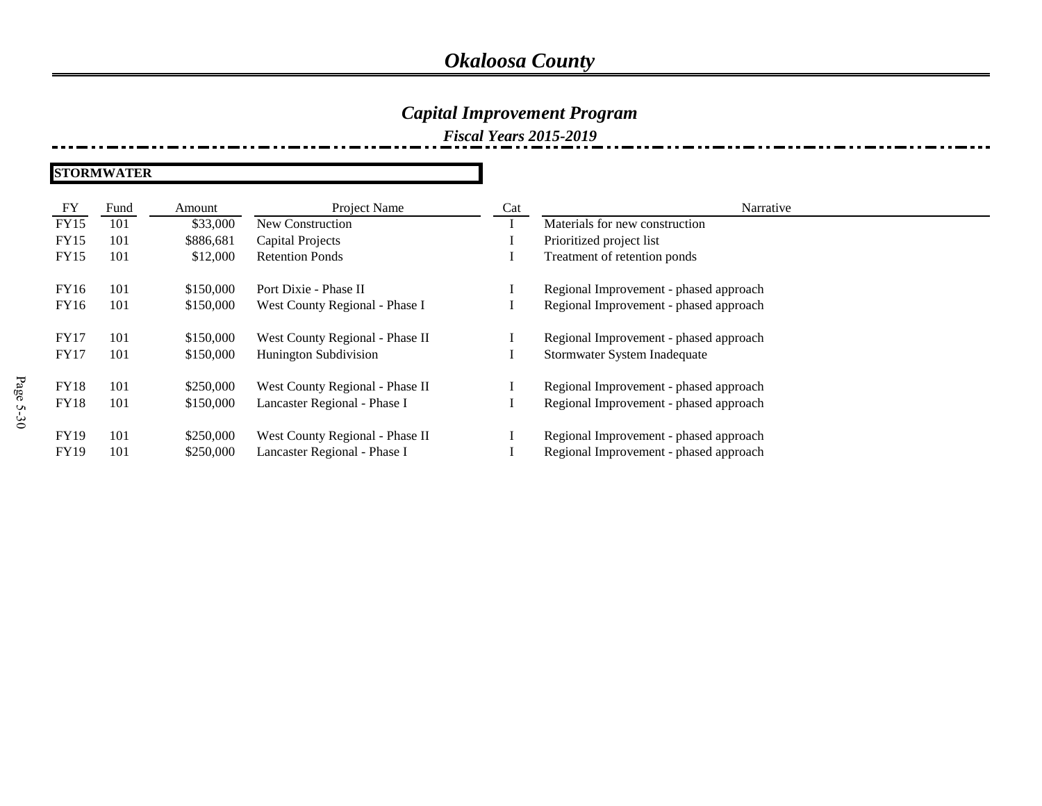### *Capital Improvement Program*

*Fiscal Years 2015-2019*

**STORMWATER**

| FY          | Fund | Amount    | Project Name                    | Cat | Narrative                              |
|-------------|------|-----------|---------------------------------|-----|----------------------------------------|
| <b>FY15</b> | 101  | \$33,000  | New Construction                |     | Materials for new construction         |
| <b>FY15</b> | 101  | \$886,681 | <b>Capital Projects</b>         |     | Prioritized project list               |
| <b>FY15</b> | 101  | \$12,000  | <b>Retention Ponds</b>          |     | Treatment of retention ponds           |
| FY16        | 101  | \$150,000 | Port Dixie - Phase II           |     | Regional Improvement - phased approach |
| FY16        | 101  | \$150,000 | West County Regional - Phase I  |     | Regional Improvement - phased approach |
| <b>FY17</b> | 101  | \$150,000 | West County Regional - Phase II |     | Regional Improvement - phased approach |
| <b>FY17</b> | 101  | \$150,000 | <b>Hunington Subdivision</b>    |     | Stormwater System Inadequate           |
| <b>FY18</b> | 101  | \$250,000 | West County Regional - Phase II |     | Regional Improvement - phased approach |
| <b>FY18</b> | 101  | \$150,000 | Lancaster Regional - Phase I    |     | Regional Improvement - phased approach |
| <b>FY19</b> | 101  | \$250,000 | West County Regional - Phase II |     | Regional Improvement - phased approach |
| <b>FY19</b> | 101  | \$250,000 | Lancaster Regional - Phase I    |     | Regional Improvement - phased approach |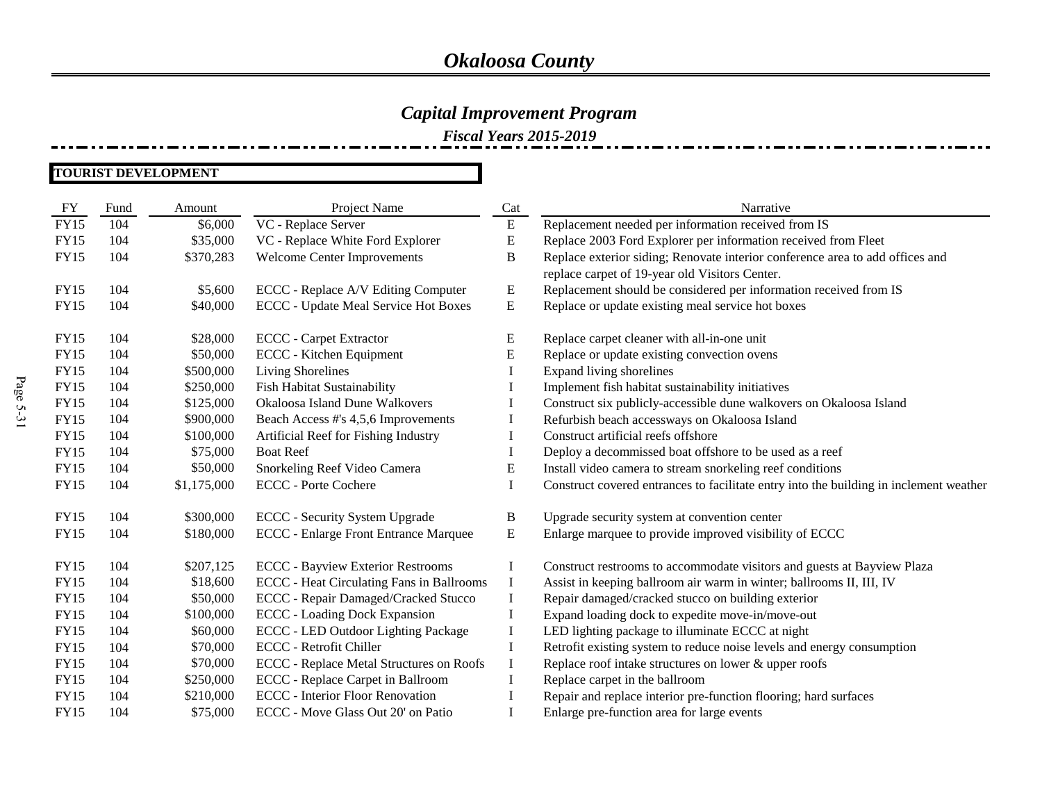### *Capital Improvement Program*

*Fiscal Years 2015-2019*

#### **TOURIST DEVELOPMENT**

| FY          | Fund | Amount      | Project Name                                     | Cat       | Narrative                                                                              |
|-------------|------|-------------|--------------------------------------------------|-----------|----------------------------------------------------------------------------------------|
| <b>FY15</b> | 104  | \$6,000     | VC - Replace Server                              | ${\bf E}$ | Replacement needed per information received from IS                                    |
| <b>FY15</b> | 104  | \$35,000    | VC - Replace White Ford Explorer                 | E         | Replace 2003 Ford Explorer per information received from Fleet                         |
| <b>FY15</b> | 104  | \$370,283   | Welcome Center Improvements                      | B         | Replace exterior siding; Renovate interior conference area to add offices and          |
|             |      |             |                                                  |           | replace carpet of 19-year old Visitors Center.                                         |
| <b>FY15</b> | 104  | \$5,600     | ECCC - Replace A/V Editing Computer              | E         | Replacement should be considered per information received from IS                      |
| <b>FY15</b> | 104  | \$40,000    | ECCC - Update Meal Service Hot Boxes             | Ε         | Replace or update existing meal service hot boxes                                      |
| <b>FY15</b> | 104  | \$28,000    | <b>ECCC</b> - Carpet Extractor                   | Е         | Replace carpet cleaner with all-in-one unit                                            |
| <b>FY15</b> | 104  | \$50,000    | ECCC - Kitchen Equipment                         | E         | Replace or update existing convection ovens                                            |
| <b>FY15</b> | 104  | \$500,000   | <b>Living Shorelines</b>                         |           | Expand living shorelines                                                               |
| <b>FY15</b> | 104  | \$250,000   | Fish Habitat Sustainability                      |           | Implement fish habitat sustainability initiatives                                      |
| <b>FY15</b> | 104  | \$125,000   | Okaloosa Island Dune Walkovers                   |           | Construct six publicly-accessible dune walkovers on Okaloosa Island                    |
| <b>FY15</b> | 104  | \$900,000   | Beach Access #'s 4,5,6 Improvements              |           | Refurbish beach accessways on Okaloosa Island                                          |
| <b>FY15</b> | 104  | \$100,000   | Artificial Reef for Fishing Industry             |           | Construct artificial reefs offshore                                                    |
| <b>FY15</b> | 104  | \$75,000    | <b>Boat Reef</b>                                 |           | Deploy a decommissed boat offshore to be used as a reef                                |
| <b>FY15</b> | 104  | \$50,000    | Snorkeling Reef Video Camera                     | E         | Install video camera to stream snorkeling reef conditions                              |
| <b>FY15</b> | 104  | \$1,175,000 | <b>ECCC</b> - Porte Cochere                      |           | Construct covered entrances to facilitate entry into the building in inclement weather |
| FY15        | 104  | \$300,000   | <b>ECCC</b> - Security System Upgrade            | B         | Upgrade security system at convention center                                           |
| <b>FY15</b> | 104  | \$180,000   | <b>ECCC</b> - Enlarge Front Entrance Marquee     | Ε         | Enlarge marquee to provide improved visibility of ECCC                                 |
| FY15        | 104  | \$207,125   | <b>ECCC</b> - Bayview Exterior Restrooms         | L         | Construct restrooms to accommodate visitors and guests at Bayview Plaza                |
| <b>FY15</b> | 104  | \$18,600    | <b>ECCC</b> - Heat Circulating Fans in Ballrooms | $\bf{l}$  | Assist in keeping ballroom air warm in winter; ballrooms II, III, IV                   |
| <b>FY15</b> | 104  | \$50,000    | ECCC - Repair Damaged/Cracked Stucco             |           | Repair damaged/cracked stucco on building exterior                                     |
| <b>FY15</b> | 104  | \$100,000   | <b>ECCC</b> - Loading Dock Expansion             |           | Expand loading dock to expedite move-in/move-out                                       |
| <b>FY15</b> | 104  | \$60,000    | <b>ECCC</b> - LED Outdoor Lighting Package       | L         | LED lighting package to illuminate ECCC at night                                       |
| <b>FY15</b> | 104  | \$70,000    | <b>ECCC</b> - Retrofit Chiller                   |           | Retrofit existing system to reduce noise levels and energy consumption                 |
| <b>FY15</b> | 104  | \$70,000    | ECCC - Replace Metal Structures on Roofs         | $\bf{l}$  | Replace roof intake structures on lower & upper roofs                                  |
| <b>FY15</b> | 104  | \$250,000   | ECCC - Replace Carpet in Ballroom                |           | Replace carpet in the ballroom                                                         |
| <b>FY15</b> | 104  | \$210,000   | <b>ECCC</b> - Interior Floor Renovation          |           | Repair and replace interior pre-function flooring; hard surfaces                       |
| <b>FY15</b> | 104  | \$75,000    | ECCC - Move Glass Out 20' on Patio               |           | Enlarge pre-function area for large events                                             |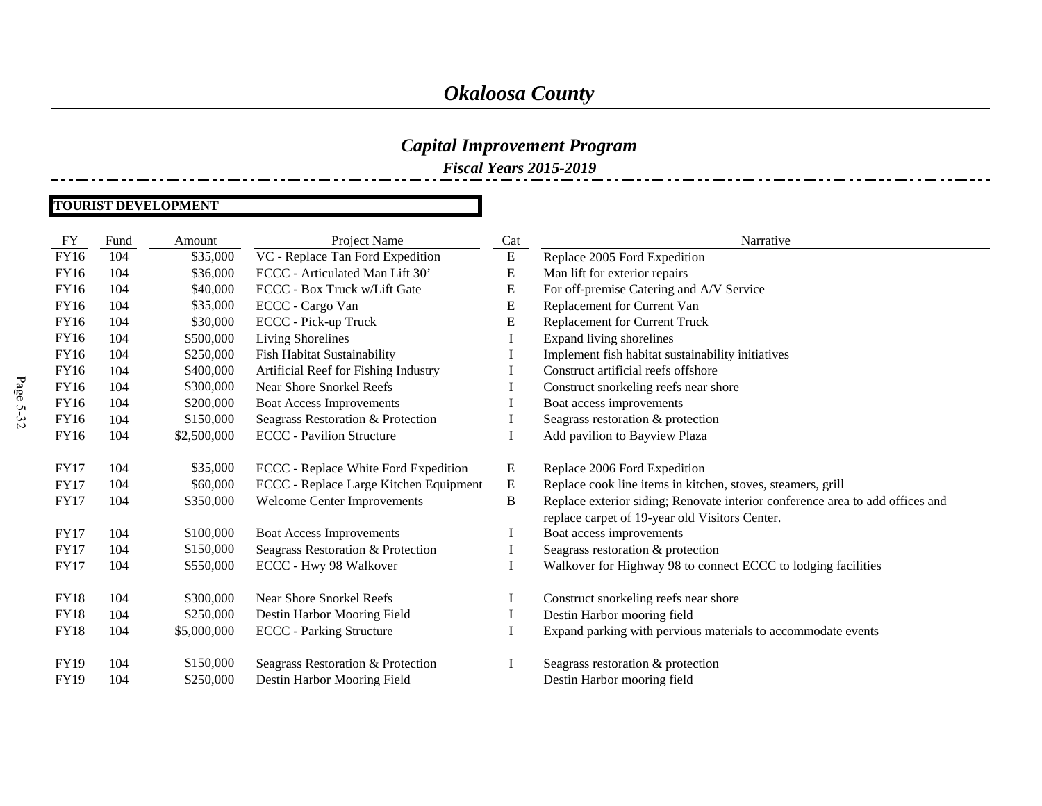# *Capital Improvement Program*

*Fiscal Years 2015-2019*

#### **TOURIST DEVELOPMENT**

| FY          | Fund | Amount      | Project Name                           | Cat       | Narrative                                                                     |
|-------------|------|-------------|----------------------------------------|-----------|-------------------------------------------------------------------------------|
| FY16        | 104  | \$35,000    | VC - Replace Tan Ford Expedition       | ${\bf E}$ | Replace 2005 Ford Expedition                                                  |
| FY16        | 104  | \$36,000    | ECCC - Articulated Man Lift 30'        | E         | Man lift for exterior repairs                                                 |
| <b>FY16</b> | 104  | \$40,000    | ECCC - Box Truck w/Lift Gate           | E         | For off-premise Catering and A/V Service                                      |
| FY16        | 104  | \$35,000    | ECCC - Cargo Van                       | E         | Replacement for Current Van                                                   |
| <b>FY16</b> | 104  | \$30,000    | ECCC - Pick-up Truck                   | E         | Replacement for Current Truck                                                 |
| <b>FY16</b> | 104  | \$500,000   | Living Shorelines                      |           | Expand living shorelines                                                      |
| FY16        | 104  | \$250,000   | Fish Habitat Sustainability            |           | Implement fish habitat sustainability initiatives                             |
| <b>FY16</b> | 104  | \$400,000   | Artificial Reef for Fishing Industry   |           | Construct artificial reefs offshore                                           |
| <b>FY16</b> | 104  | \$300,000   | <b>Near Shore Snorkel Reefs</b>        |           | Construct snorkeling reefs near shore                                         |
| FY16        | 104  | \$200,000   | <b>Boat Access Improvements</b>        |           | Boat access improvements                                                      |
| <b>FY16</b> | 104  | \$150,000   | Seagrass Restoration & Protection      |           | Seagrass restoration & protection                                             |
| <b>FY16</b> | 104  | \$2,500,000 | <b>ECCC</b> - Pavilion Structure       |           | Add pavilion to Bayview Plaza                                                 |
|             |      |             |                                        |           |                                                                               |
| <b>FY17</b> | 104  | \$35,000    | ECCC - Replace White Ford Expedition   | E         | Replace 2006 Ford Expedition                                                  |
| <b>FY17</b> | 104  | \$60,000    | ECCC - Replace Large Kitchen Equipment | E         | Replace cook line items in kitchen, stoves, steamers, grill                   |
| <b>FY17</b> | 104  | \$350,000   | Welcome Center Improvements            | B         | Replace exterior siding; Renovate interior conference area to add offices and |
|             |      |             |                                        |           | replace carpet of 19-year old Visitors Center.                                |
| <b>FY17</b> | 104  | \$100,000   | <b>Boat Access Improvements</b>        |           | Boat access improvements                                                      |
| <b>FY17</b> | 104  | \$150,000   | Seagrass Restoration & Protection      |           | Seagrass restoration & protection                                             |
| <b>FY17</b> | 104  | \$550,000   | ECCC - Hwy 98 Walkover                 |           | Walkover for Highway 98 to connect ECCC to lodging facilities                 |
|             |      |             |                                        |           |                                                                               |
| <b>FY18</b> | 104  | \$300,000   | <b>Near Shore Snorkel Reefs</b>        | $\bf{l}$  | Construct snorkeling reefs near shore                                         |
| <b>FY18</b> | 104  | \$250,000   | Destin Harbor Mooring Field            |           | Destin Harbor mooring field                                                   |
| <b>FY18</b> | 104  | \$5,000,000 | <b>ECCC</b> - Parking Structure        |           | Expand parking with pervious materials to accommodate events                  |
|             |      |             |                                        |           |                                                                               |
| <b>FY19</b> | 104  | \$150,000   | Seagrass Restoration & Protection      |           | Seagrass restoration & protection                                             |
| <b>FY19</b> | 104  | \$250,000   | Destin Harbor Mooring Field            |           | Destin Harbor mooring field                                                   |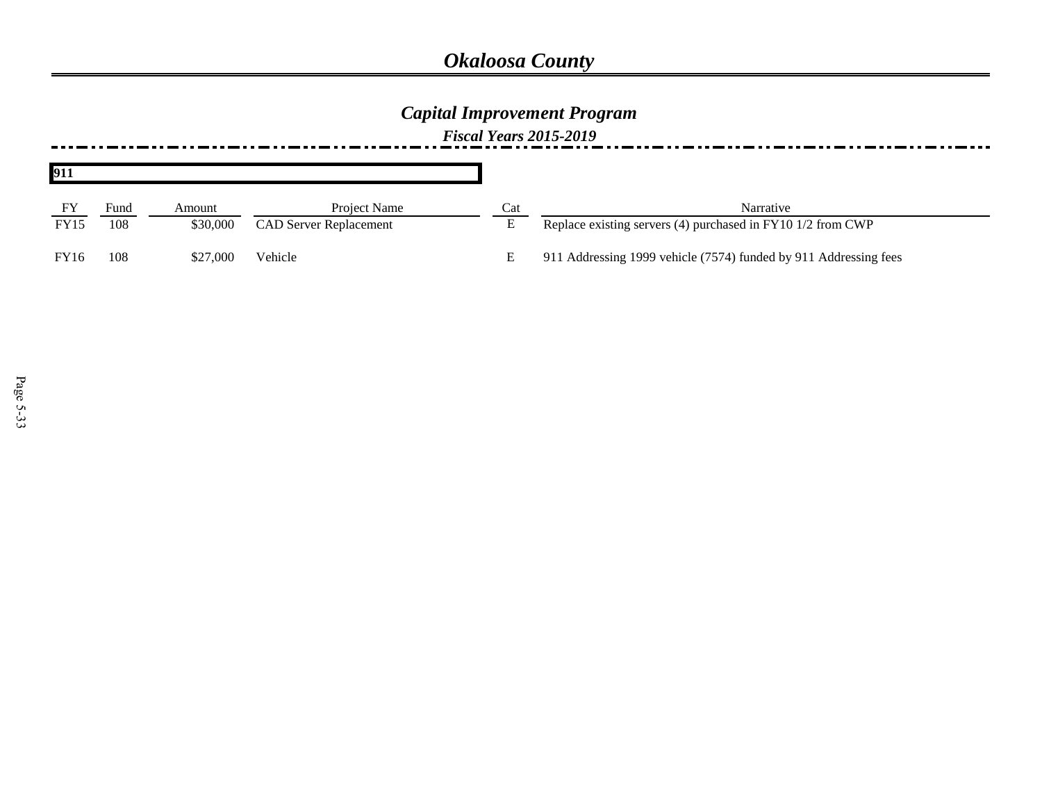## *Capital Improvement Program*

| 911         |             |                    |                                               |     |                                                                          |
|-------------|-------------|--------------------|-----------------------------------------------|-----|--------------------------------------------------------------------------|
| <b>FY15</b> | Fund<br>108 | Amount<br>\$30,000 | Project Name<br><b>CAD Server Replacement</b> | Cat | Narrative<br>Replace existing servers (4) purchased in FY10 1/2 from CWP |
| <b>FY16</b> | 108         | \$27,000           | Vehicle                                       | E   | 911 Addressing 1999 vehicle (7574) funded by 911 Addressing fees         |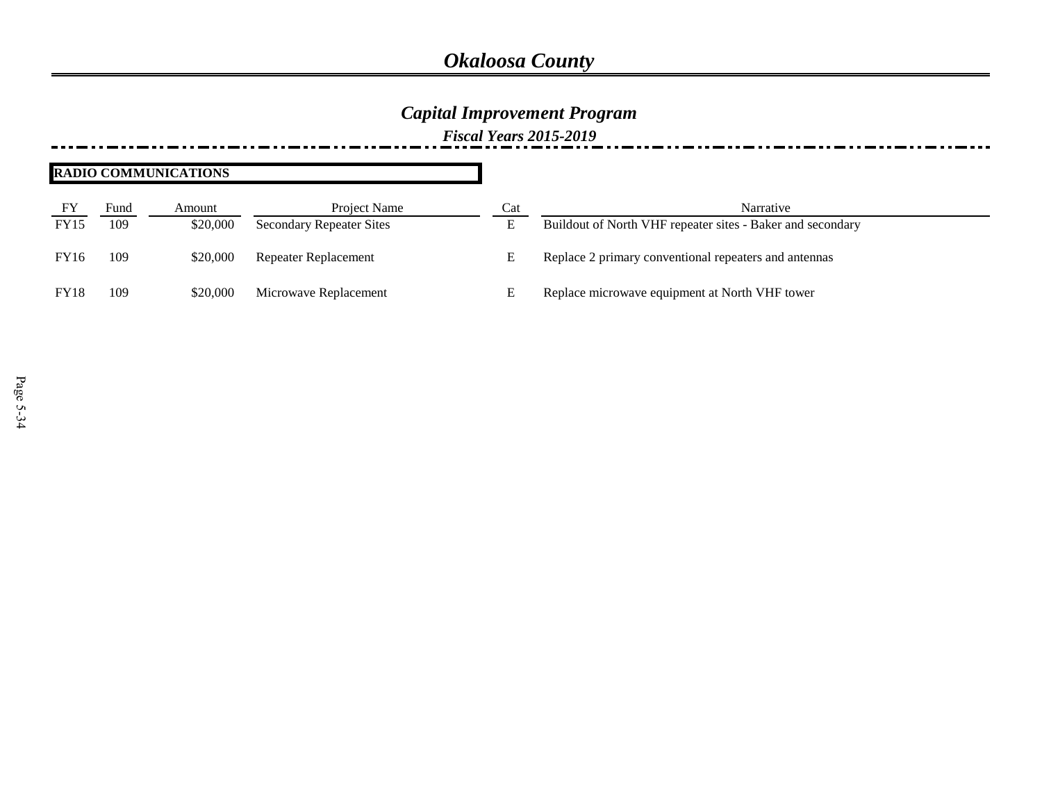### *Capital Improvement Program*

*Fiscal Years 2015-2019*

#### **RADIO COMMUNICATIONS**

| FY<br><b>FY15</b> | Fund<br>109 | Amount<br>\$20,000 | Project Name                    | Cat | Narrative                                                  |
|-------------------|-------------|--------------------|---------------------------------|-----|------------------------------------------------------------|
|                   |             |                    | <b>Secondary Repeater Sites</b> | ப   | Buildout of North VHF repeater sites - Baker and secondary |
| <b>FY16</b>       | 109         | \$20,000           | Repeater Replacement            |     | Replace 2 primary conventional repeaters and antennas      |
| <b>FY18</b>       | 109         | \$20,000           | Microwave Replacement           |     | Replace microwave equipment at North VHF tower             |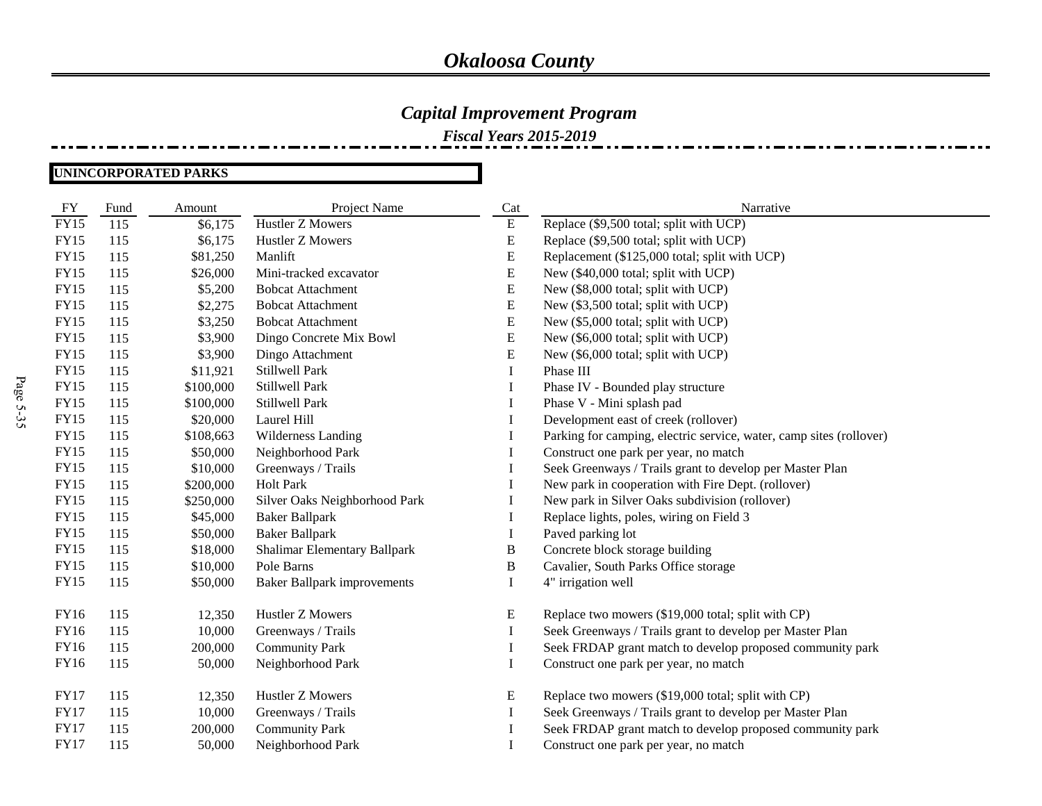### *Capital Improvement Program*

*Fiscal Years 2015-2019*

**UNINCORPORATED PARKS**

| FY          | Fund | Amount    | Project Name                        | Cat       | Narrative                                                           |
|-------------|------|-----------|-------------------------------------|-----------|---------------------------------------------------------------------|
| <b>FY15</b> | 115  | \$6,175   | Hustler Z Mowers                    | E         | Replace (\$9,500 total; split with UCP)                             |
| <b>FY15</b> | 115  | \$6,175   | Hustler Z Mowers                    | E         | Replace (\$9,500 total; split with UCP)                             |
| <b>FY15</b> | 115  | \$81,250  | Manlift                             | E         | Replacement (\$125,000 total; split with UCP)                       |
| <b>FY15</b> | 115  | \$26,000  | Mini-tracked excavator              | ${\bf E}$ | New (\$40,000 total; split with UCP)                                |
| <b>FY15</b> | 115  | \$5,200   | <b>Bobcat Attachment</b>            | ${\bf E}$ | New (\$8,000 total; split with UCP)                                 |
| <b>FY15</b> | 115  | \$2,275   | <b>Bobcat Attachment</b>            | ${\bf E}$ | New (\$3,500 total; split with UCP)                                 |
| <b>FY15</b> | 115  | \$3,250   | <b>Bobcat Attachment</b>            | ${\bf E}$ | New (\$5,000 total; split with UCP)                                 |
| <b>FY15</b> | 115  | \$3,900   | Dingo Concrete Mix Bowl             | ${\bf E}$ | New (\$6,000 total; split with UCP)                                 |
| <b>FY15</b> | 115  | \$3,900   | Dingo Attachment                    | E         | New (\$6,000 total; split with UCP)                                 |
| <b>FY15</b> | 115  | \$11,921  | Stillwell Park                      | I         | Phase III                                                           |
| <b>FY15</b> | 115  | \$100,000 | Stillwell Park                      | I         | Phase IV - Bounded play structure                                   |
| <b>FY15</b> | 115  | \$100,000 | Stillwell Park                      | I         | Phase V - Mini splash pad                                           |
| <b>FY15</b> | 115  | \$20,000  | Laurel Hill                         | Ι.        | Development east of creek (rollover)                                |
| <b>FY15</b> | 115  | \$108,663 | Wilderness Landing                  | $\bf{l}$  | Parking for camping, electric service, water, camp sites (rollover) |
| <b>FY15</b> | 115  | \$50,000  | Neighborhood Park                   | I         | Construct one park per year, no match                               |
| <b>FY15</b> | 115  | \$10,000  | Greenways / Trails                  |           | Seek Greenways / Trails grant to develop per Master Plan            |
| <b>FY15</b> | 115  | \$200,000 | <b>Holt Park</b>                    |           | New park in cooperation with Fire Dept. (rollover)                  |
| <b>FY15</b> | 115  | \$250,000 | Silver Oaks Neighborhood Park       | $\bf{I}$  | New park in Silver Oaks subdivision (rollover)                      |
| <b>FY15</b> | 115  | \$45,000  | <b>Baker Ballpark</b>               |           | Replace lights, poles, wiring on Field 3                            |
| <b>FY15</b> | 115  | \$50,000  | <b>Baker Ballpark</b>               | $\bf{I}$  | Paved parking lot                                                   |
| <b>FY15</b> | 115  | \$18,000  | <b>Shalimar Elementary Ballpark</b> | B         | Concrete block storage building                                     |
| <b>FY15</b> | 115  | \$10,000  | Pole Barns                          | B         | Cavalier, South Parks Office storage                                |
| FY15        | 115  | \$50,000  | <b>Baker Ballpark improvements</b>  | I         | 4" irrigation well                                                  |
| FY16        | 115  | 12,350    | Hustler Z Mowers                    | E         | Replace two mowers (\$19,000 total; split with CP)                  |
| FY16        | 115  | 10,000    | Greenways / Trails                  | I         | Seek Greenways / Trails grant to develop per Master Plan            |
| FY16        | 115  | 200,000   | <b>Community Park</b>               | I         | Seek FRDAP grant match to develop proposed community park           |
| FY16        | 115  | 50,000    | Neighborhood Park                   | I         | Construct one park per year, no match                               |
| <b>FY17</b> | 115  | 12,350    | Hustler Z Mowers                    | E         | Replace two mowers (\$19,000 total; split with CP)                  |
| <b>FY17</b> | 115  | 10,000    | Greenways / Trails                  | I         | Seek Greenways / Trails grant to develop per Master Plan            |
| <b>FY17</b> | 115  | 200,000   | <b>Community Park</b>               |           | Seek FRDAP grant match to develop proposed community park           |
| <b>FY17</b> | 115  | 50,000    | Neighborhood Park                   |           | Construct one park per year, no match                               |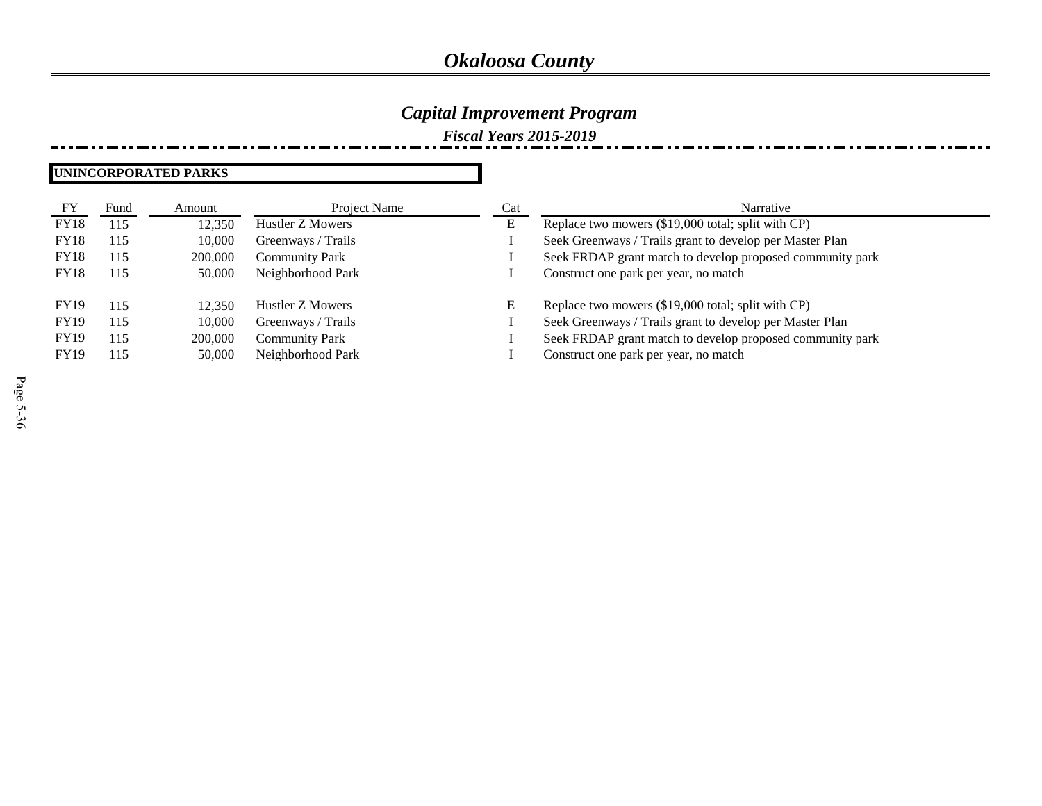### *Capital Improvement Program*

*Fiscal Years 2015-2019*

#### **UNINCORPORATED PARKS**

| FY          | Fund | Amount  | Project Name          | Cat | Narrative                                                 |
|-------------|------|---------|-----------------------|-----|-----------------------------------------------------------|
| <b>FY18</b> | 115  | 12.350  | Hustler Z Mowers      | E   | Replace two mowers (\$19,000 total; split with CP)        |
| <b>FY18</b> | 115  | 10,000  | Greenways / Trails    |     | Seek Greenways / Trails grant to develop per Master Plan  |
| <b>FY18</b> | 115  | 200,000 | <b>Community Park</b> |     | Seek FRDAP grant match to develop proposed community park |
| FY18        | 115  | 50,000  | Neighborhood Park     |     | Construct one park per year, no match                     |
|             |      |         |                       |     |                                                           |
| <b>FY19</b> | 115  | 12.350  | Hustler Z Mowers      | E   | Replace two mowers (\$19,000 total; split with CP)        |
| <b>FY19</b> | 115  | 10,000  | Greenways / Trails    |     | Seek Greenways / Trails grant to develop per Master Plan  |
| <b>FY19</b> | 115  | 200,000 | <b>Community Park</b> |     | Seek FRDAP grant match to develop proposed community park |
| <b>FY19</b> | 115  | 50,000  | Neighborhood Park     |     | Construct one park per year, no match                     |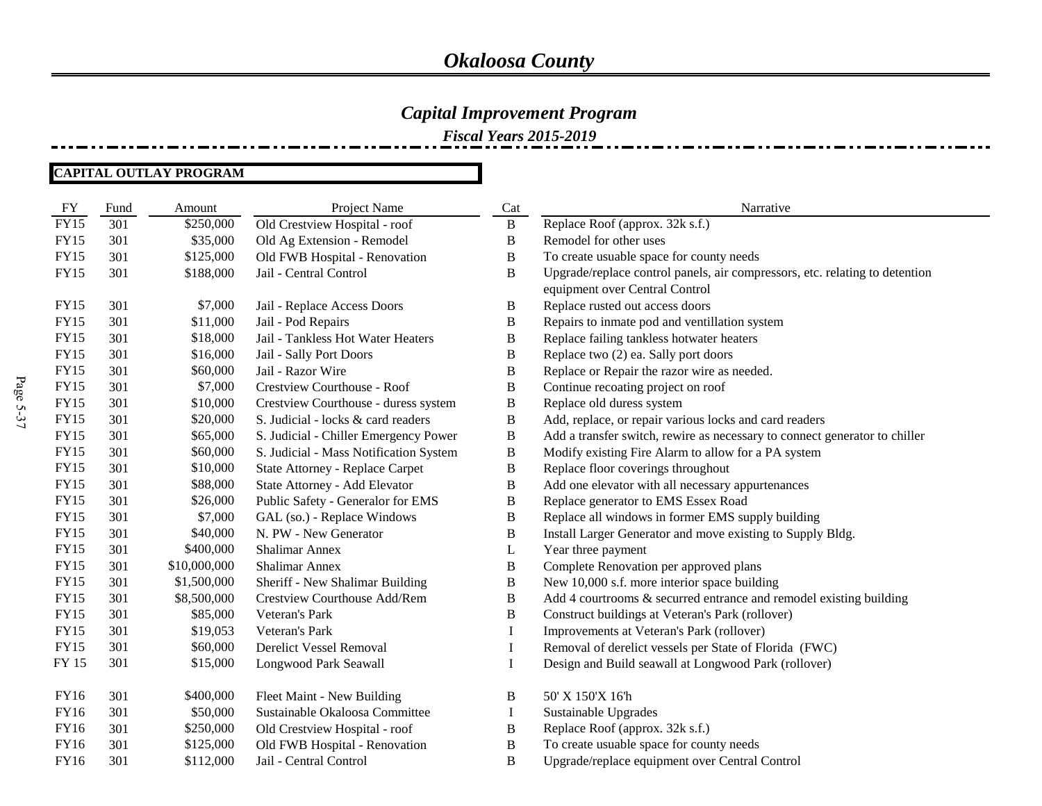*Fiscal Years 2015-2019*

#### **CAPITAL OUTLAY PROGRAM**

| <b>FY</b>   | Fund | Amount       | Project Name                           | Cat          | Narrative                                                                   |
|-------------|------|--------------|----------------------------------------|--------------|-----------------------------------------------------------------------------|
| <b>FY15</b> | 301  | \$250,000    | Old Crestview Hospital - roof          | $\mathbf{B}$ | Replace Roof (approx. 32k s.f.)                                             |
| <b>FY15</b> | 301  | \$35,000     | Old Ag Extension - Remodel             | B            | Remodel for other uses                                                      |
| <b>FY15</b> | 301  | \$125,000    | Old FWB Hospital - Renovation          | $\, {\bf B}$ | To create usuable space for county needs                                    |
| <b>FY15</b> | 301  | \$188,000    | Jail - Central Control                 | B            | Upgrade/replace control panels, air compressors, etc. relating to detention |
|             |      |              |                                        |              | equipment over Central Control                                              |
| <b>FY15</b> | 301  | \$7,000      | Jail - Replace Access Doors            | B            | Replace rusted out access doors                                             |
| <b>FY15</b> | 301  | \$11,000     | Jail - Pod Repairs                     | B            | Repairs to inmate pod and ventillation system                               |
| FY15        | 301  | \$18,000     | Jail - Tankless Hot Water Heaters      | $\, {\bf B}$ | Replace failing tankless hotwater heaters                                   |
| <b>FY15</b> | 301  | \$16,000     | Jail - Sally Port Doors                | B            | Replace two (2) ea. Sally port doors                                        |
| <b>FY15</b> | 301  | \$60,000     | Jail - Razor Wire                      | $\, {\bf B}$ | Replace or Repair the razor wire as needed.                                 |
| <b>FY15</b> | 301  | \$7,000      | Crestview Courthouse - Roof            | $\, {\bf B}$ | Continue recoating project on roof                                          |
| <b>FY15</b> | 301  | \$10,000     | Crestview Courthouse - duress system   | B            | Replace old duress system                                                   |
| <b>FY15</b> | 301  | \$20,000     | S. Judicial - locks & card readers     | $\, {\bf B}$ | Add, replace, or repair various locks and card readers                      |
| <b>FY15</b> | 301  | \$65,000     | S. Judicial - Chiller Emergency Power  | B            | Add a transfer switch, rewire as necessary to connect generator to chiller  |
| <b>FY15</b> | 301  | \$60,000     | S. Judicial - Mass Notification System | $\, {\bf B}$ | Modify existing Fire Alarm to allow for a PA system                         |
| <b>FY15</b> | 301  | \$10,000     | State Attorney - Replace Carpet        | $\mathbf B$  | Replace floor coverings throughout                                          |
| <b>FY15</b> | 301  | \$88,000     | State Attorney - Add Elevator          | $\, {\bf B}$ | Add one elevator with all necessary appurtenances                           |
| <b>FY15</b> | 301  | \$26,000     | Public Safety - Generalor for EMS      | B            | Replace generator to EMS Essex Road                                         |
| FY15        | 301  | \$7,000      | GAL (so.) - Replace Windows            | B            | Replace all windows in former EMS supply building                           |
| <b>FY15</b> | 301  | \$40,000     | N. PW - New Generator                  | $\, {\bf B}$ | Install Larger Generator and move existing to Supply Bldg.                  |
| <b>FY15</b> | 301  | \$400,000    | <b>Shalimar Annex</b>                  | L            | Year three payment                                                          |
| <b>FY15</b> | 301  | \$10,000,000 | <b>Shalimar Annex</b>                  | B            | Complete Renovation per approved plans                                      |
| <b>FY15</b> | 301  | \$1,500,000  | Sheriff - New Shalimar Building        | $\, {\bf B}$ | New 10,000 s.f. more interior space building                                |
| <b>FY15</b> | 301  | \$8,500,000  | Crestview Courthouse Add/Rem           | B            | Add 4 courtrooms & securred entrance and remodel existing building          |
| <b>FY15</b> | 301  | \$85,000     | Veteran's Park                         | $\, {\bf B}$ | Construct buildings at Veteran's Park (rollover)                            |
| <b>FY15</b> | 301  | \$19,053     | Veteran's Park                         | I            | Improvements at Veteran's Park (rollover)                                   |
| <b>FY15</b> | 301  | \$60,000     | <b>Derelict Vessel Removal</b>         | I            | Removal of derelict vessels per State of Florida (FWC)                      |
| FY 15       | 301  | \$15,000     | Longwood Park Seawall                  | I            | Design and Build seawall at Longwood Park (rollover)                        |
| FY16        | 301  | \$400,000    | Fleet Maint - New Building             | B            | 50' X 150'X 16'h                                                            |
| <b>FY16</b> | 301  | \$50,000     | Sustainable Okaloosa Committee         | I            | Sustainable Upgrades                                                        |
| FY16        | 301  | \$250,000    | Old Crestview Hospital - roof          | B            | Replace Roof (approx. 32k s.f.)                                             |
| FY16        | 301  | \$125,000    | Old FWB Hospital - Renovation          | $\, {\bf B}$ | To create usuable space for county needs                                    |
| FY16        | 301  | \$112,000    | Jail - Central Control                 | $\, {\bf B}$ | Upgrade/replace equipment over Central Control                              |
|             |      |              |                                        |              |                                                                             |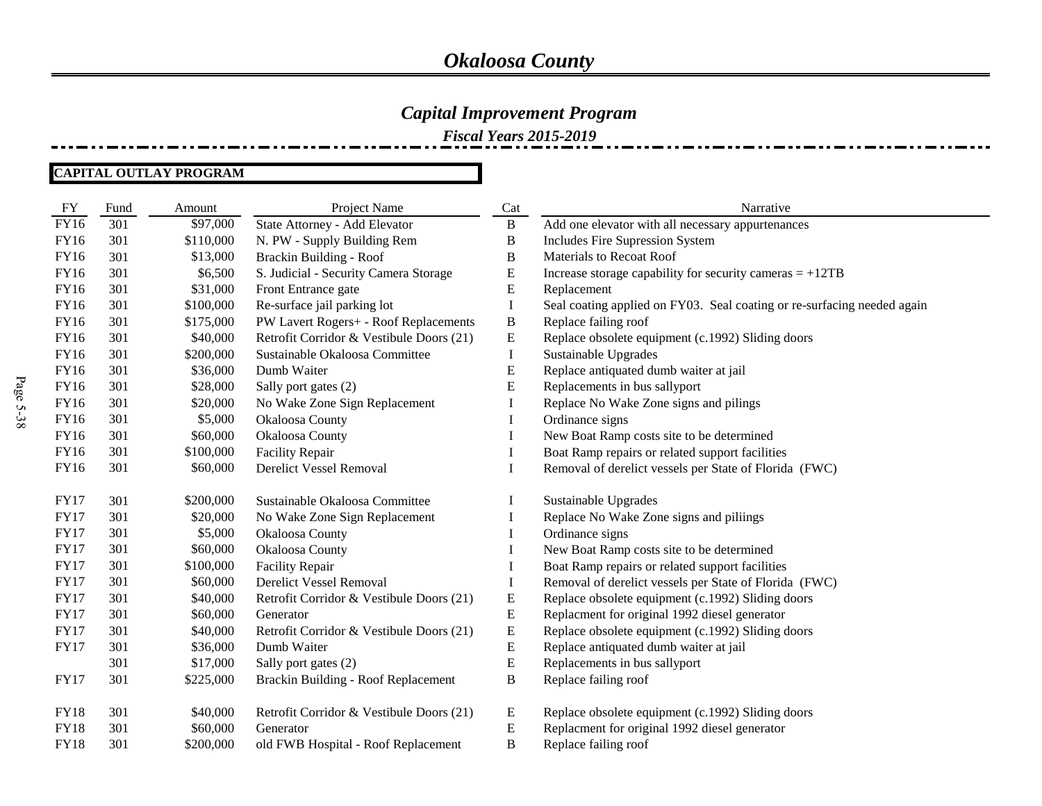### *Capital Improvement Program*

*Fiscal Years 2015-2019*

#### **CAPITAL OUTLAY PROGRAM**

| FY          | Fund | Amount    | Project Name                             | Cat          | Narrative                                                               |
|-------------|------|-----------|------------------------------------------|--------------|-------------------------------------------------------------------------|
| FY16        | 301  | \$97,000  | State Attorney - Add Elevator            | $\mathbf{B}$ | Add one elevator with all necessary appurtenances                       |
| FY16        | 301  | \$110,000 | N. PW - Supply Building Rem              | B            | Includes Fire Supression System                                         |
| FY16        | 301  | \$13,000  | Brackin Building - Roof                  | B            | Materials to Recoat Roof                                                |
| FY16        | 301  | \$6,500   | S. Judicial - Security Camera Storage    | E            | Increase storage capability for security cameras $= +12TB$              |
| FY16        | 301  | \$31,000  | Front Entrance gate                      | ${\bf E}$    | Replacement                                                             |
| FY16        | 301  | \$100,000 | Re-surface jail parking lot              | I            | Seal coating applied on FY03. Seal coating or re-surfacing needed again |
| FY16        | 301  | \$175,000 | PW Lavert Rogers+ - Roof Replacements    | $\, {\bf B}$ | Replace failing roof                                                    |
| FY16        | 301  | \$40,000  | Retrofit Corridor & Vestibule Doors (21) | E            | Replace obsolete equipment (c.1992) Sliding doors                       |
| FY16        | 301  | \$200,000 | Sustainable Okaloosa Committee           | I            | Sustainable Upgrades                                                    |
| FY16        | 301  | \$36,000  | Dumb Waiter                              | ${\bf E}$    | Replace antiquated dumb waiter at jail                                  |
| FY16        | 301  | \$28,000  | Sally port gates (2)                     | ${\bf E}$    | Replacements in bus sallyport                                           |
| FY16        | 301  | \$20,000  | No Wake Zone Sign Replacement            | I            | Replace No Wake Zone signs and pilings                                  |
| FY16        | 301  | \$5,000   | Okaloosa County                          | I            | Ordinance signs                                                         |
| FY16        | 301  | \$60,000  | Okaloosa County                          | I            | New Boat Ramp costs site to be determined                               |
| FY16        | 301  | \$100,000 | Facility Repair                          |              | Boat Ramp repairs or related support facilities                         |
| FY16        | 301  | \$60,000  | Derelict Vessel Removal                  | I            | Removal of derelict vessels per State of Florida (FWC)                  |
|             |      |           |                                          |              |                                                                         |
| <b>FY17</b> | 301  | \$200,000 | Sustainable Okaloosa Committee           |              | Sustainable Upgrades                                                    |
| <b>FY17</b> | 301  | \$20,000  | No Wake Zone Sign Replacement            | $\bf{I}$     | Replace No Wake Zone signs and piliings                                 |
| <b>FY17</b> | 301  | \$5,000   | Okaloosa County                          |              | Ordinance signs                                                         |
| <b>FY17</b> | 301  | \$60,000  | Okaloosa County                          |              | New Boat Ramp costs site to be determined                               |
| <b>FY17</b> | 301  | \$100,000 | <b>Facility Repair</b>                   |              | Boat Ramp repairs or related support facilities                         |
| <b>FY17</b> | 301  | \$60,000  | <b>Derelict Vessel Removal</b>           | I            | Removal of derelict vessels per State of Florida (FWC)                  |
| <b>FY17</b> | 301  | \$40,000  | Retrofit Corridor & Vestibule Doors (21) | ${\bf E}$    | Replace obsolete equipment (c.1992) Sliding doors                       |
| <b>FY17</b> | 301  | \$60,000  | Generator                                | E            | Replacment for original 1992 diesel generator                           |
| <b>FY17</b> | 301  | \$40,000  | Retrofit Corridor & Vestibule Doors (21) | ${\bf E}$    | Replace obsolete equipment (c.1992) Sliding doors                       |
| <b>FY17</b> | 301  | \$36,000  | Dumb Waiter                              | ${\bf E}$    | Replace antiquated dumb waiter at jail                                  |
|             | 301  | \$17,000  | Sally port gates (2)                     | ${\bf E}$    | Replacements in bus sallyport                                           |
| <b>FY17</b> | 301  | \$225,000 | Brackin Building - Roof Replacement      | B            | Replace failing roof                                                    |
| <b>FY18</b> | 301  | \$40,000  | Retrofit Corridor & Vestibule Doors (21) | E            | Replace obsolete equipment (c.1992) Sliding doors                       |
| <b>FY18</b> | 301  | \$60,000  | Generator                                | ${\bf E}$    | Replacment for original 1992 diesel generator                           |
| <b>FY18</b> | 301  | \$200,000 | old FWB Hospital - Roof Replacement      | $\, {\bf B}$ | Replace failing roof                                                    |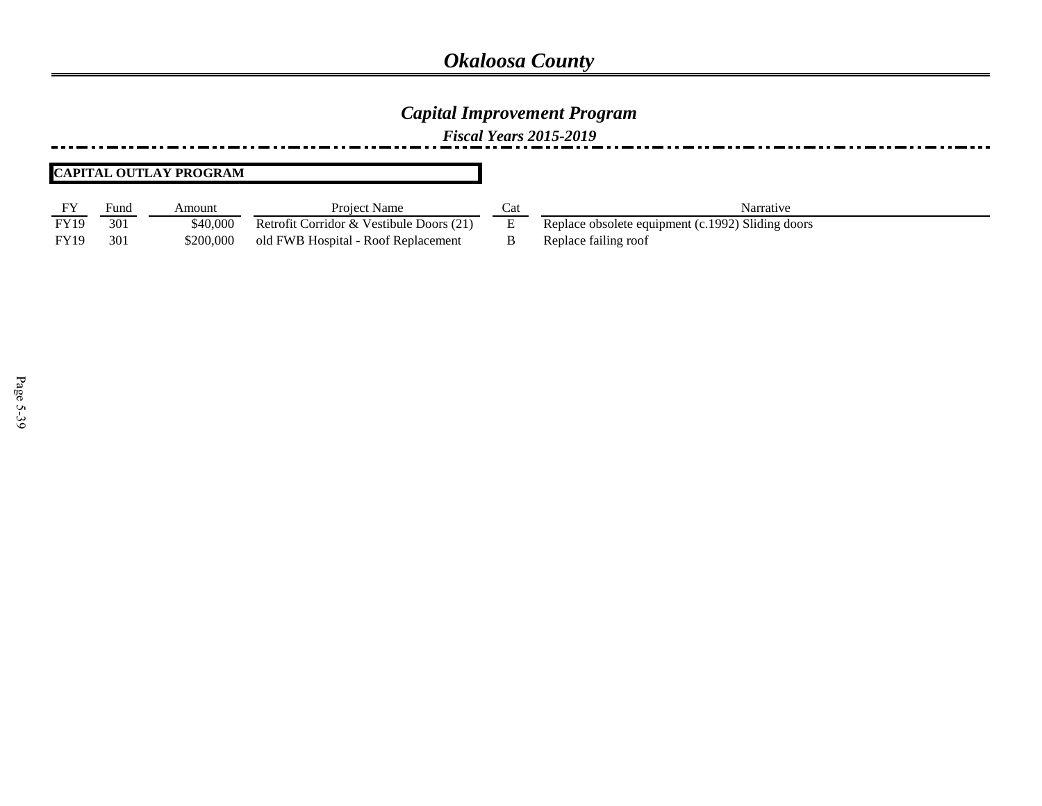### *Capital Improvement Program*

*Fiscal Years 2015-2019*

#### **CAPITAL OUTLAY PROGRAM**

| <b>FY</b>   | Fund | Amount    | <b>Project Name</b>                      | Narrative                                         |
|-------------|------|-----------|------------------------------------------|---------------------------------------------------|
| <b>FY19</b> | 301  | \$40.000  | Retrofit Corridor & Vestibule Doors (21) | Replace obsolete equipment (c.1992) Sliding doors |
| <b>FY19</b> | 301  | \$200,000 | old FWB Hospital - Roof Replacement      | Replace failing roof                              |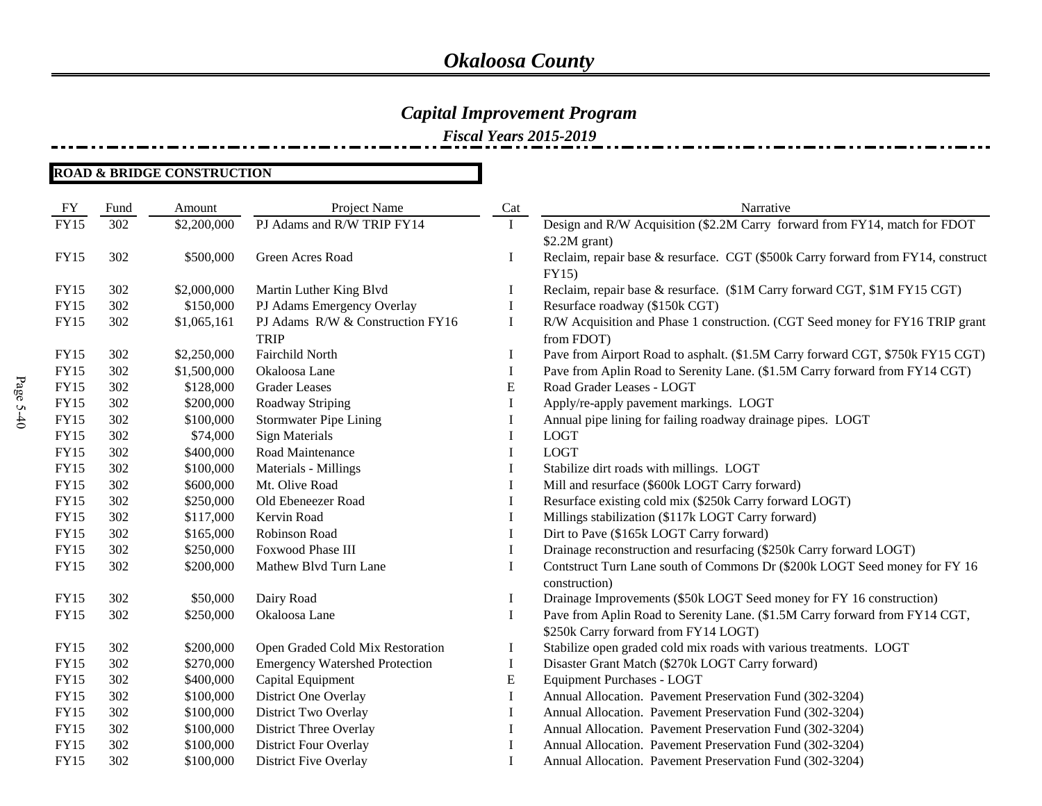*Fiscal Years 2015-2019*

| ${\rm FY}$  | Fund | Amount      | Project Name                                    | Cat         | Narrative                                                                                                           |
|-------------|------|-------------|-------------------------------------------------|-------------|---------------------------------------------------------------------------------------------------------------------|
| <b>FY15</b> | 302  | \$2,200,000 | PJ Adams and R/W TRIP FY14                      |             | Design and R/W Acquisition (\$2.2M Carry forward from FY14, match for FDOT<br>$$2.2M$ grant)                        |
| <b>FY15</b> | 302  | \$500,000   | Green Acres Road                                | I           | Reclaim, repair base & resurface. CGT (\$500k Carry forward from FY14, construct<br>FY15)                           |
| <b>FY15</b> | 302  | \$2,000,000 | Martin Luther King Blvd                         | $\bf{l}$    | Reclaim, repair base & resurface. (\$1M Carry forward CGT, \$1M FY15 CGT)                                           |
| <b>FY15</b> | 302  | \$150,000   | PJ Adams Emergency Overlay                      | I           | Resurface roadway (\$150k CGT)                                                                                      |
| <b>FY15</b> | 302  | \$1,065,161 | PJ Adams R/W & Construction FY16<br><b>TRIP</b> | $\bf I$     | R/W Acquisition and Phase 1 construction. (CGT Seed money for FY16 TRIP grant<br>from FDOT)                         |
| FY15        | 302  | \$2,250,000 | Fairchild North                                 | Ι           | Pave from Airport Road to asphalt. (\$1.5M Carry forward CGT, \$750k FY15 CGT)                                      |
| <b>FY15</b> | 302  | \$1,500,000 | Okaloosa Lane                                   | I           | Pave from Aplin Road to Serenity Lane. (\$1.5M Carry forward from FY14 CGT)                                         |
| <b>FY15</b> | 302  | \$128,000   | <b>Grader Leases</b>                            | E           | Road Grader Leases - LOGT                                                                                           |
| <b>FY15</b> | 302  | \$200,000   | Roadway Striping                                |             | Apply/re-apply pavement markings. LOGT                                                                              |
| <b>FY15</b> | 302  | \$100,000   | <b>Stormwater Pipe Lining</b>                   |             | Annual pipe lining for failing roadway drainage pipes. LOGT                                                         |
| <b>FY15</b> | 302  | \$74,000    | <b>Sign Materials</b>                           | 1           | <b>LOGT</b>                                                                                                         |
| <b>FY15</b> | 302  | \$400,000   | Road Maintenance                                | I           | <b>LOGT</b>                                                                                                         |
| <b>FY15</b> | 302  | \$100,000   | Materials - Millings                            | I           | Stabilize dirt roads with millings. LOGT                                                                            |
| <b>FY15</b> | 302  | \$600,000   | Mt. Olive Road                                  |             | Mill and resurface (\$600k LOGT Carry forward)                                                                      |
| <b>FY15</b> | 302  | \$250,000   | Old Ebeneezer Road                              | I           | Resurface existing cold mix (\$250k Carry forward LOGT)                                                             |
| <b>FY15</b> | 302  | \$117,000   | Kervin Road                                     |             | Millings stabilization (\$117k LOGT Carry forward)                                                                  |
| <b>FY15</b> | 302  | \$165,000   | Robinson Road                                   | I           | Dirt to Pave (\$165k LOGT Carry forward)                                                                            |
| <b>FY15</b> | 302  | \$250,000   | Foxwood Phase III                               | Ι           | Drainage reconstruction and resurfacing (\$250k Carry forward LOGT)                                                 |
| <b>FY15</b> | 302  | \$200,000   | Mathew Blvd Turn Lane                           | Ι           | Contstruct Turn Lane south of Commons Dr (\$200k LOGT Seed money for FY 16<br>construction)                         |
| <b>FY15</b> | 302  | \$50,000    | Dairy Road                                      | I           | Drainage Improvements (\$50k LOGT Seed money for FY 16 construction)                                                |
| <b>FY15</b> | 302  | \$250,000   | Okaloosa Lane                                   | $\mathbf I$ | Pave from Aplin Road to Serenity Lane. (\$1.5M Carry forward from FY14 CGT,<br>\$250k Carry forward from FY14 LOGT) |
| <b>FY15</b> | 302  | \$200,000   | Open Graded Cold Mix Restoration                | I           | Stabilize open graded cold mix roads with various treatments. LOGT                                                  |
| <b>FY15</b> | 302  | \$270,000   | <b>Emergency Watershed Protection</b>           | I           | Disaster Grant Match (\$270k LOGT Carry forward)                                                                    |
| <b>FY15</b> | 302  | \$400,000   | Capital Equipment                               | E           | <b>Equipment Purchases - LOGT</b>                                                                                   |
| <b>FY15</b> | 302  | \$100,000   | District One Overlay                            | Ι           | Annual Allocation. Pavement Preservation Fund (302-3204)                                                            |
| <b>FY15</b> | 302  | \$100,000   | District Two Overlay                            | I           | Annual Allocation. Pavement Preservation Fund (302-3204)                                                            |
| <b>FY15</b> | 302  | \$100,000   | <b>District Three Overlay</b>                   | I           | Annual Allocation. Pavement Preservation Fund (302-3204)                                                            |
| <b>FY15</b> | 302  | \$100,000   | District Four Overlay                           | Ι           | Annual Allocation. Pavement Preservation Fund (302-3204)                                                            |
| <b>FY15</b> | 302  | \$100,000   | District Five Overlay                           |             | Annual Allocation. Pavement Preservation Fund (302-3204)                                                            |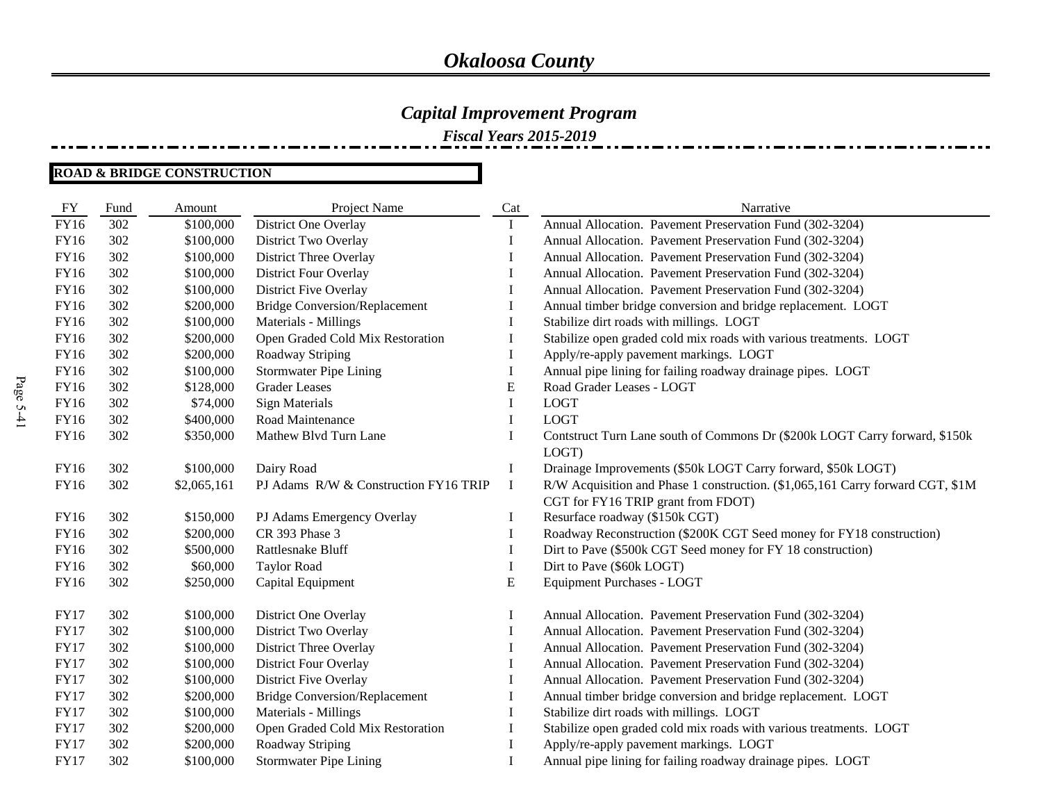*Fiscal Years 2015-2019*

| FY          | Fund | Amount      | Project Name                          | Cat         | Narrative                                                                                                            |
|-------------|------|-------------|---------------------------------------|-------------|----------------------------------------------------------------------------------------------------------------------|
| <b>FY16</b> | 302  | \$100,000   | District One Overlay                  | $\bf{I}$    | Annual Allocation. Pavement Preservation Fund (302-3204)                                                             |
| <b>FY16</b> | 302  | \$100,000   | District Two Overlay                  | I           | Annual Allocation. Pavement Preservation Fund (302-3204)                                                             |
| FY16        | 302  | \$100,000   | District Three Overlay                | I           | Annual Allocation. Pavement Preservation Fund (302-3204)                                                             |
| FY16        | 302  | \$100,000   | <b>District Four Overlay</b>          | I           | Annual Allocation. Pavement Preservation Fund (302-3204)                                                             |
| FY16        | 302  | \$100,000   | District Five Overlay                 | I           | Annual Allocation. Pavement Preservation Fund (302-3204)                                                             |
| FY16        | 302  | \$200,000   | <b>Bridge Conversion/Replacement</b>  | I           | Annual timber bridge conversion and bridge replacement. LOGT                                                         |
| FY16        | 302  | \$100,000   | Materials - Millings                  | 1           | Stabilize dirt roads with millings. LOGT                                                                             |
| FY16        | 302  | \$200,000   | Open Graded Cold Mix Restoration      | I           | Stabilize open graded cold mix roads with various treatments. LOGT                                                   |
| FY16        | 302  | \$200,000   | Roadway Striping                      | I           | Apply/re-apply pavement markings. LOGT                                                                               |
| FY16        | 302  | \$100,000   | <b>Stormwater Pipe Lining</b>         | $\mathbf I$ | Annual pipe lining for failing roadway drainage pipes. LOGT                                                          |
| FY16        | 302  | \$128,000   | <b>Grader Leases</b>                  | E           | Road Grader Leases - LOGT                                                                                            |
| FY16        | 302  | \$74,000    | <b>Sign Materials</b>                 | $\mathbf I$ | <b>LOGT</b>                                                                                                          |
| FY16        | 302  | \$400,000   | Road Maintenance                      | I           | <b>LOGT</b>                                                                                                          |
| FY16        | 302  | \$350,000   | Mathew Blvd Turn Lane                 | I           | Contstruct Turn Lane south of Commons Dr (\$200k LOGT Carry forward, \$150k                                          |
|             |      |             |                                       |             | LOGT)                                                                                                                |
| FY16        | 302  | \$100,000   | Dairy Road                            | $\bf{I}$    | Drainage Improvements (\$50k LOGT Carry forward, \$50k LOGT)                                                         |
| FY16        | 302  | \$2,065,161 | PJ Adams R/W & Construction FY16 TRIP | $\bf{I}$    | R/W Acquisition and Phase 1 construction. (\$1,065,161 Carry forward CGT, \$1M                                       |
|             |      |             |                                       |             | CGT for FY16 TRIP grant from FDOT)                                                                                   |
| FY16        | 302  | \$150,000   | PJ Adams Emergency Overlay            | $\bf{l}$    | Resurface roadway (\$150k CGT)                                                                                       |
| FY16        | 302  | \$200,000   | CR 393 Phase 3                        | $\bf I$     | Roadway Reconstruction (\$200K CGT Seed money for FY18 construction)                                                 |
| FY16        | 302  | \$500,000   | Rattlesnake Bluff                     | 1           | Dirt to Pave (\$500k CGT Seed money for FY 18 construction)                                                          |
| FY16        | 302  | \$60,000    | <b>Taylor Road</b>                    | I           | Dirt to Pave (\$60k LOGT)                                                                                            |
| FY16        | 302  | \$250,000   | Capital Equipment                     | ${\bf E}$   | <b>Equipment Purchases - LOGT</b>                                                                                    |
| <b>FY17</b> | 302  |             |                                       |             |                                                                                                                      |
| <b>FY17</b> | 302  | \$100,000   | District One Overlay                  | Ι<br>I      | Annual Allocation. Pavement Preservation Fund (302-3204)<br>Annual Allocation. Pavement Preservation Fund (302-3204) |
| <b>FY17</b> | 302  | \$100,000   | District Two Overlay                  |             | Annual Allocation. Pavement Preservation Fund (302-3204)                                                             |
| <b>FY17</b> |      | \$100,000   | District Three Overlay                | I           |                                                                                                                      |
|             | 302  | \$100,000   | <b>District Four Overlay</b>          | I           | Annual Allocation. Pavement Preservation Fund (302-3204)                                                             |
| <b>FY17</b> | 302  | \$100,000   | District Five Overlay                 | I           | Annual Allocation. Pavement Preservation Fund (302-3204)                                                             |
| <b>FY17</b> | 302  | \$200,000   | <b>Bridge Conversion/Replacement</b>  | I           | Annual timber bridge conversion and bridge replacement. LOGT                                                         |
| <b>FY17</b> | 302  | \$100,000   | Materials - Millings                  | I           | Stabilize dirt roads with millings. LOGT                                                                             |
| <b>FY17</b> | 302  | \$200,000   | Open Graded Cold Mix Restoration      | I           | Stabilize open graded cold mix roads with various treatments. LOGT                                                   |
| <b>FY17</b> | 302  | \$200,000   | Roadway Striping                      | I           | Apply/re-apply pavement markings. LOGT                                                                               |
| <b>FY17</b> | 302  | \$100,000   | <b>Stormwater Pipe Lining</b>         | I           | Annual pipe lining for failing roadway drainage pipes. LOGT                                                          |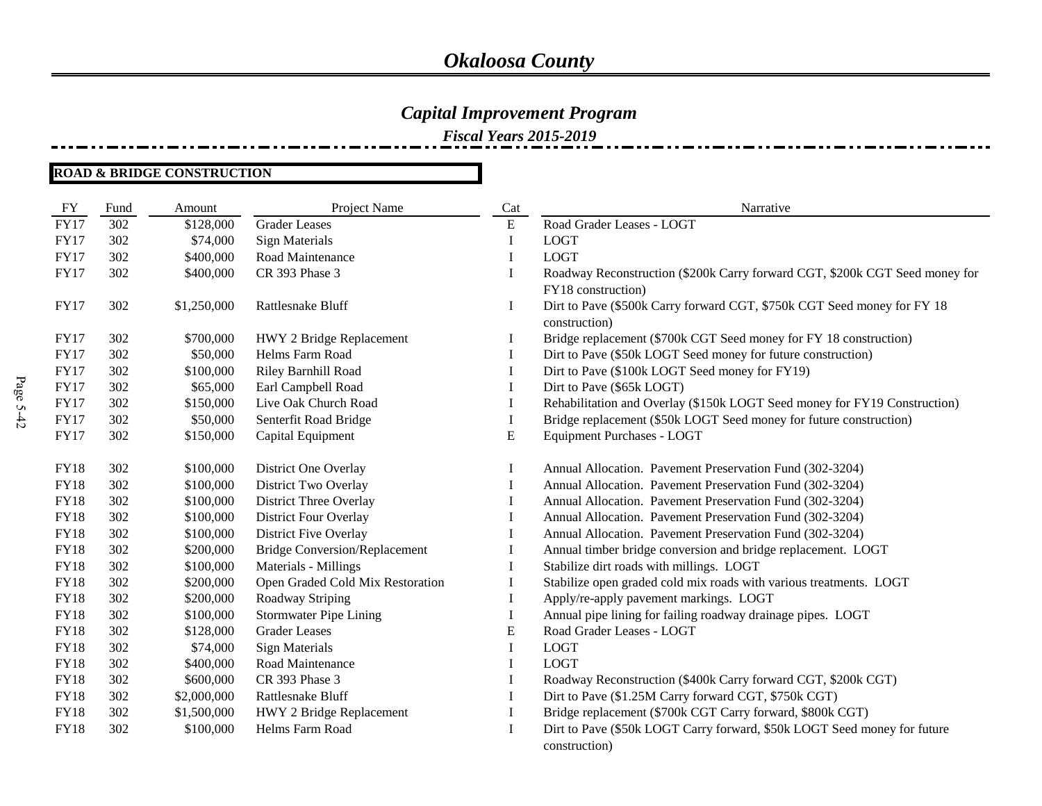*Fiscal Years 2015-2019*

| FY          | Fund | Amount      | Project Name                         | Cat | Narrative                                                                                |
|-------------|------|-------------|--------------------------------------|-----|------------------------------------------------------------------------------------------|
| <b>FY17</b> | 302  | \$128,000   | <b>Grader Leases</b>                 | E   | Road Grader Leases - LOGT                                                                |
| <b>FY17</b> | 302  | \$74,000    | <b>Sign Materials</b>                | Ι   | <b>LOGT</b>                                                                              |
| <b>FY17</b> | 302  | \$400,000   | Road Maintenance                     | I   | <b>LOGT</b>                                                                              |
| <b>FY17</b> | 302  | \$400,000   | CR 393 Phase 3                       | I   | Roadway Reconstruction (\$200k Carry forward CGT, \$200k CGT Seed money for              |
|             |      |             |                                      |     | FY18 construction)                                                                       |
| <b>FY17</b> | 302  | \$1,250,000 | Rattlesnake Bluff                    | I   | Dirt to Pave (\$500k Carry forward CGT, \$750k CGT Seed money for FY 18<br>construction) |
| <b>FY17</b> | 302  | \$700,000   | HWY 2 Bridge Replacement             | Ι   | Bridge replacement (\$700k CGT Seed money for FY 18 construction)                        |
| <b>FY17</b> | 302  | \$50,000    | Helms Farm Road                      | I   | Dirt to Pave (\$50k LOGT Seed money for future construction)                             |
| <b>FY17</b> | 302  | \$100,000   | Riley Barnhill Road                  | I   | Dirt to Pave (\$100k LOGT Seed money for FY19)                                           |
| <b>FY17</b> | 302  | \$65,000    | Earl Campbell Road                   | I   | Dirt to Pave (\$65k LOGT)                                                                |
| <b>FY17</b> | 302  | \$150,000   | Live Oak Church Road                 | Ι   | Rehabilitation and Overlay (\$150k LOGT Seed money for FY19 Construction)                |
| <b>FY17</b> | 302  | \$50,000    | Senterfit Road Bridge                | I   | Bridge replacement (\$50k LOGT Seed money for future construction)                       |
| <b>FY17</b> | 302  | \$150,000   | Capital Equipment                    | E   | Equipment Purchases - LOGT                                                               |
|             |      |             |                                      |     |                                                                                          |
| <b>FY18</b> | 302  | \$100,000   | District One Overlay                 | I   | Annual Allocation. Pavement Preservation Fund (302-3204)                                 |
| <b>FY18</b> | 302  | \$100,000   | District Two Overlay                 | I   | Annual Allocation. Pavement Preservation Fund (302-3204)                                 |
| <b>FY18</b> | 302  | \$100,000   | District Three Overlay               | I   | Annual Allocation. Pavement Preservation Fund (302-3204)                                 |
| <b>FY18</b> | 302  | \$100,000   | District Four Overlay                | Ι   | Annual Allocation. Pavement Preservation Fund (302-3204)                                 |
| <b>FY18</b> | 302  | \$100,000   | District Five Overlay                | I   | Annual Allocation. Pavement Preservation Fund (302-3204)                                 |
| <b>FY18</b> | 302  | \$200,000   | <b>Bridge Conversion/Replacement</b> |     | Annual timber bridge conversion and bridge replacement. LOGT                             |
| <b>FY18</b> | 302  | \$100,000   | Materials - Millings                 | Ι   | Stabilize dirt roads with millings. LOGT                                                 |
| <b>FY18</b> | 302  | \$200,000   | Open Graded Cold Mix Restoration     | 1   | Stabilize open graded cold mix roads with various treatments. LOGT                       |
| <b>FY18</b> | 302  | \$200,000   | Roadway Striping                     | I   | Apply/re-apply pavement markings. LOGT                                                   |
| <b>FY18</b> | 302  | \$100,000   | <b>Stormwater Pipe Lining</b>        | I   | Annual pipe lining for failing roadway drainage pipes. LOGT                              |
| <b>FY18</b> | 302  | \$128,000   | <b>Grader Leases</b>                 | E   | Road Grader Leases - LOGT                                                                |
| <b>FY18</b> | 302  | \$74,000    | <b>Sign Materials</b>                | I   | <b>LOGT</b>                                                                              |
| <b>FY18</b> | 302  | \$400,000   | Road Maintenance                     | Ι   | <b>LOGT</b>                                                                              |
| <b>FY18</b> | 302  | \$600,000   | CR 393 Phase 3                       | Ι   | Roadway Reconstruction (\$400k Carry forward CGT, \$200k CGT)                            |
| <b>FY18</b> | 302  | \$2,000,000 | Rattlesnake Bluff                    | I   | Dirt to Pave (\$1.25M Carry forward CGT, \$750k CGT)                                     |
| <b>FY18</b> | 302  | \$1,500,000 | HWY 2 Bridge Replacement             | Ι   | Bridge replacement (\$700k CGT Carry forward, \$800k CGT)                                |
| <b>FY18</b> | 302  | \$100,000   | Helms Farm Road                      | I   | Dirt to Pave (\$50k LOGT Carry forward, \$50k LOGT Seed money for future                 |
|             |      |             |                                      |     | construction)                                                                            |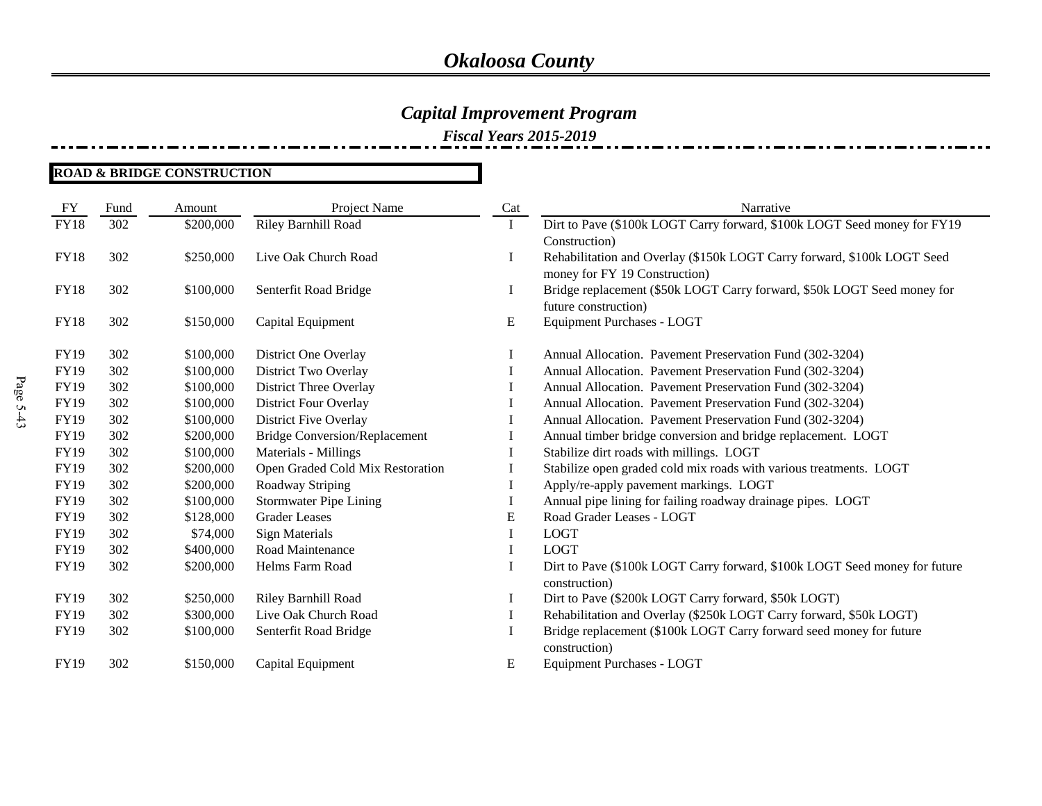*Fiscal Years 2015-2019*

| FY          | Fund | Amount    | Project Name                         | Cat       | Narrative                                                                  |
|-------------|------|-----------|--------------------------------------|-----------|----------------------------------------------------------------------------|
| <b>FY18</b> | 302  | \$200,000 | <b>Riley Barnhill Road</b>           | I         | Dirt to Pave (\$100k LOGT Carry forward, \$100k LOGT Seed money for FY19   |
|             |      |           |                                      |           | Construction)                                                              |
| <b>FY18</b> | 302  | \$250,000 | Live Oak Church Road                 | $\bf{I}$  | Rehabilitation and Overlay (\$150k LOGT Carry forward, \$100k LOGT Seed    |
|             |      |           |                                      |           | money for FY 19 Construction)                                              |
| <b>FY18</b> | 302  | \$100,000 | Senterfit Road Bridge                | I         | Bridge replacement (\$50k LOGT Carry forward, \$50k LOGT Seed money for    |
|             |      |           |                                      |           | future construction)                                                       |
| <b>FY18</b> | 302  | \$150,000 | Capital Equipment                    | ${\bf E}$ | Equipment Purchases - LOGT                                                 |
|             |      |           |                                      |           |                                                                            |
| <b>FY19</b> | 302  | \$100,000 | District One Overlay                 | I         | Annual Allocation. Pavement Preservation Fund (302-3204)                   |
| <b>FY19</b> | 302  | \$100,000 | District Two Overlay                 | I         | Annual Allocation. Pavement Preservation Fund (302-3204)                   |
| FY19        | 302  | \$100,000 | District Three Overlay               | Ι         | Annual Allocation. Pavement Preservation Fund (302-3204)                   |
| FY19        | 302  | \$100,000 | <b>District Four Overlay</b>         |           | Annual Allocation. Pavement Preservation Fund (302-3204)                   |
| FY19        | 302  | \$100,000 | District Five Overlay                |           | Annual Allocation. Pavement Preservation Fund (302-3204)                   |
| FY19        | 302  | \$200,000 | <b>Bridge Conversion/Replacement</b> |           | Annual timber bridge conversion and bridge replacement. LOGT               |
| FY19        | 302  | \$100,000 | Materials - Millings                 |           | Stabilize dirt roads with millings. LOGT                                   |
| <b>FY19</b> | 302  | \$200,000 | Open Graded Cold Mix Restoration     |           | Stabilize open graded cold mix roads with various treatments. LOGT         |
| FY19        | 302  | \$200,000 | Roadway Striping                     |           | Apply/re-apply pavement markings. LOGT                                     |
| <b>FY19</b> | 302  | \$100,000 | <b>Stormwater Pipe Lining</b>        | 1         | Annual pipe lining for failing roadway drainage pipes. LOGT                |
| FY19        | 302  | \$128,000 | <b>Grader Leases</b>                 | E         | Road Grader Leases - LOGT                                                  |
| FY19        | 302  | \$74,000  | <b>Sign Materials</b>                |           | <b>LOGT</b>                                                                |
| FY19        | 302  | \$400,000 | Road Maintenance                     | $\bf{I}$  | <b>LOGT</b>                                                                |
| FY19        | 302  | \$200,000 | Helms Farm Road                      |           | Dirt to Pave (\$100k LOGT Carry forward, \$100k LOGT Seed money for future |
|             |      |           |                                      |           | construction)                                                              |
| <b>FY19</b> | 302  | \$250,000 | Riley Barnhill Road                  |           | Dirt to Pave (\$200k LOGT Carry forward, \$50k LOGT)                       |
| FY19        | 302  | \$300,000 | Live Oak Church Road                 | I         | Rehabilitation and Overlay (\$250k LOGT Carry forward, \$50k LOGT)         |
| <b>FY19</b> | 302  | \$100,000 | Senterfit Road Bridge                |           | Bridge replacement (\$100k LOGT Carry forward seed money for future        |
|             |      |           |                                      |           | construction)                                                              |
| <b>FY19</b> | 302  | \$150,000 | Capital Equipment                    | E         | Equipment Purchases - LOGT                                                 |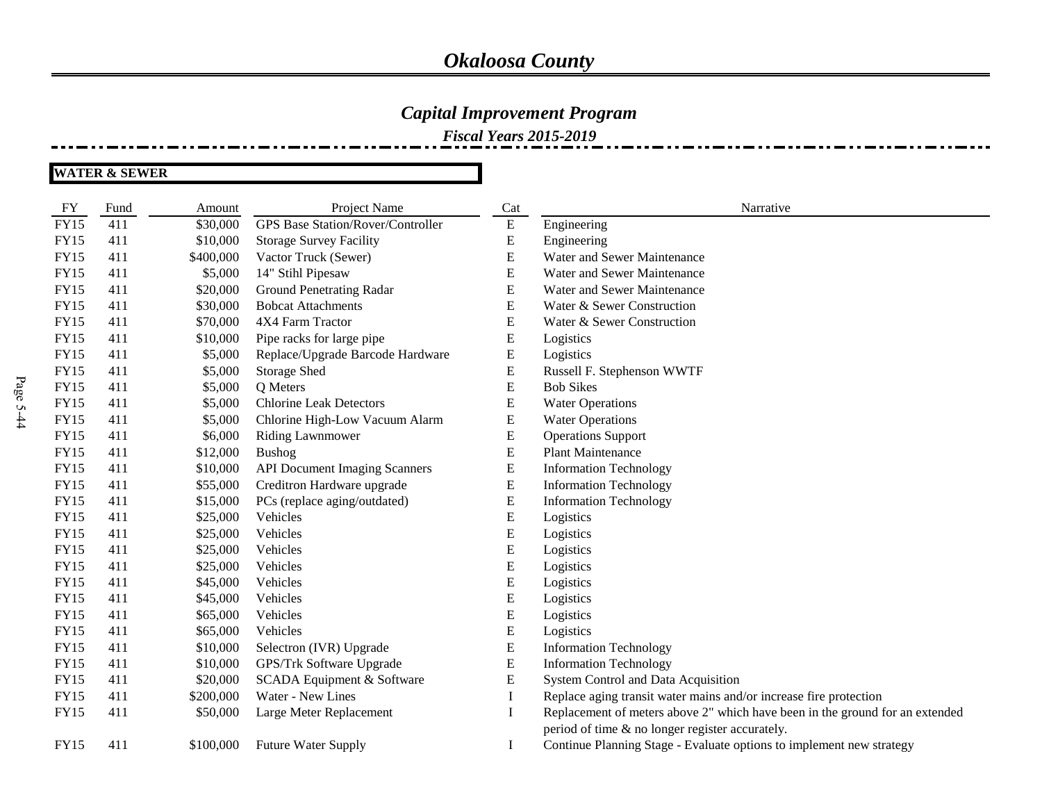### *Capital Improvement Program*

*Fiscal Years 2015-2019*

| <b>FY</b>   | Fund | Amount    | Project Name                             | Cat       | Narrative                                                                    |
|-------------|------|-----------|------------------------------------------|-----------|------------------------------------------------------------------------------|
| <b>FY15</b> | 411  | \$30,000  | <b>GPS Base Station/Rover/Controller</b> | ${\bf E}$ | Engineering                                                                  |
| <b>FY15</b> | 411  | \$10,000  | <b>Storage Survey Facility</b>           | E         | Engineering                                                                  |
| <b>FY15</b> | 411  | \$400,000 | Vactor Truck (Sewer)                     | ${\bf E}$ | Water and Sewer Maintenance                                                  |
| <b>FY15</b> | 411  | \$5,000   | 14" Stihl Pipesaw                        | E         | Water and Sewer Maintenance                                                  |
| <b>FY15</b> | 411  | \$20,000  | <b>Ground Penetrating Radar</b>          | E         | Water and Sewer Maintenance                                                  |
| <b>FY15</b> | 411  | \$30,000  | <b>Bobcat Attachments</b>                | E         | Water & Sewer Construction                                                   |
| <b>FY15</b> | 411  | \$70,000  | 4X4 Farm Tractor                         | E         | Water & Sewer Construction                                                   |
| <b>FY15</b> | 411  | \$10,000  | Pipe racks for large pipe                | ${\bf E}$ | Logistics                                                                    |
| <b>FY15</b> | 411  | \$5,000   | Replace/Upgrade Barcode Hardware         | E         | Logistics                                                                    |
| <b>FY15</b> | 411  | \$5,000   | <b>Storage Shed</b>                      | ${\bf E}$ | Russell F. Stephenson WWTF                                                   |
| <b>FY15</b> | 411  | \$5,000   | Q Meters                                 | E         | <b>Bob Sikes</b>                                                             |
| <b>FY15</b> | 411  | \$5,000   | <b>Chlorine Leak Detectors</b>           | E         | <b>Water Operations</b>                                                      |
| <b>FY15</b> | 411  | \$5,000   | Chlorine High-Low Vacuum Alarm           | E         | <b>Water Operations</b>                                                      |
| <b>FY15</b> | 411  | \$6,000   | <b>Riding Lawnmower</b>                  | E         | <b>Operations Support</b>                                                    |
| <b>FY15</b> | 411  | \$12,000  | <b>Bushog</b>                            | E         | <b>Plant Maintenance</b>                                                     |
| <b>FY15</b> | 411  | \$10,000  | <b>API Document Imaging Scanners</b>     | E         | <b>Information Technology</b>                                                |
| <b>FY15</b> | 411  | \$55,000  | Creditron Hardware upgrade               | E         | <b>Information Technology</b>                                                |
| <b>FY15</b> | 411  | \$15,000  | PCs (replace aging/outdated)             | Ε         | <b>Information Technology</b>                                                |
| <b>FY15</b> | 411  | \$25,000  | Vehicles                                 | E         | Logistics                                                                    |
| <b>FY15</b> | 411  | \$25,000  | Vehicles                                 | E         | Logistics                                                                    |
| <b>FY15</b> | 411  | \$25,000  | Vehicles                                 | E         | Logistics                                                                    |
| <b>FY15</b> | 411  | \$25,000  | Vehicles                                 | E         | Logistics                                                                    |
| <b>FY15</b> | 411  | \$45,000  | Vehicles                                 | E         | Logistics                                                                    |
| <b>FY15</b> | 411  | \$45,000  | Vehicles                                 | E         | Logistics                                                                    |
| <b>FY15</b> | 411  | \$65,000  | Vehicles                                 | E         | Logistics                                                                    |
| <b>FY15</b> | 411  | \$65,000  | Vehicles                                 | E         | Logistics                                                                    |
| <b>FY15</b> | 411  | \$10,000  | Selectron (IVR) Upgrade                  | E         | <b>Information Technology</b>                                                |
| <b>FY15</b> | 411  | \$10,000  | GPS/Trk Software Upgrade                 | E         | <b>Information Technology</b>                                                |
| <b>FY15</b> | 411  | \$20,000  | SCADA Equipment & Software               | E         | System Control and Data Acquisition                                          |
| <b>FY15</b> | 411  | \$200,000 | Water - New Lines                        | 1         | Replace aging transit water mains and/or increase fire protection            |
| <b>FY15</b> | 411  | \$50,000  | Large Meter Replacement                  | I         | Replacement of meters above 2" which have been in the ground for an extended |
|             |      |           |                                          |           | period of time & no longer register accurately.                              |
| <b>FY15</b> | 411  | \$100,000 | Future Water Supply                      | I         | Continue Planning Stage - Evaluate options to implement new strategy         |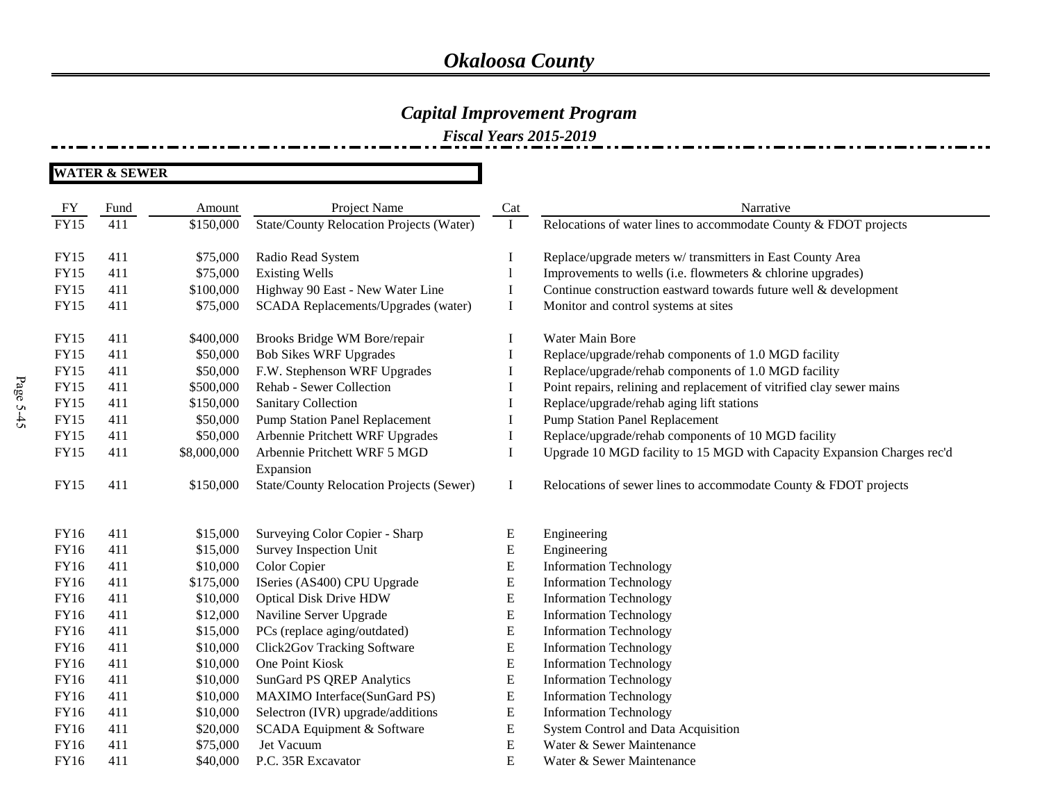### *Capital Improvement Program*

*Fiscal Years 2015-2019*

| FY          | Fund | Amount      | Project Name                                    | Cat       | Narrative                                                               |
|-------------|------|-------------|-------------------------------------------------|-----------|-------------------------------------------------------------------------|
| <b>FY15</b> | 411  | \$150,000   | <b>State/County Relocation Projects (Water)</b> | $\bf{I}$  | Relocations of water lines to accommodate County & FDOT projects        |
|             |      |             |                                                 |           |                                                                         |
| <b>FY15</b> | 411  | \$75,000    | Radio Read System                               | Ι         | Replace/upgrade meters w/ transmitters in East County Area              |
| <b>FY15</b> | 411  | \$75,000    | <b>Existing Wells</b>                           |           | Improvements to wells (i.e. flowmeters & chlorine upgrades)             |
| <b>FY15</b> | 411  | \$100,000   | Highway 90 East - New Water Line                | Ι         | Continue construction eastward towards future well & development        |
| <b>FY15</b> | 411  | \$75,000    | SCADA Replacements/Upgrades (water)             | $\bf{I}$  | Monitor and control systems at sites                                    |
| <b>FY15</b> | 411  | \$400,000   | Brooks Bridge WM Bore/repair                    | I         | Water Main Bore                                                         |
| <b>FY15</b> | 411  | \$50,000    | <b>Bob Sikes WRF Upgrades</b>                   | I         | Replace/upgrade/rehab components of 1.0 MGD facility                    |
| <b>FY15</b> | 411  | \$50,000    | F.W. Stephenson WRF Upgrades                    | I         | Replace/upgrade/rehab components of 1.0 MGD facility                    |
| <b>FY15</b> | 411  | \$500,000   | Rehab - Sewer Collection                        | I         | Point repairs, relining and replacement of vitrified clay sewer mains   |
| <b>FY15</b> | 411  | \$150,000   | <b>Sanitary Collection</b>                      | I         | Replace/upgrade/rehab aging lift stations                               |
| <b>FY15</b> | 411  | \$50,000    | <b>Pump Station Panel Replacement</b>           | Ι         | <b>Pump Station Panel Replacement</b>                                   |
| <b>FY15</b> | 411  | \$50,000    | Arbennie Pritchett WRF Upgrades                 | I         | Replace/upgrade/rehab components of 10 MGD facility                     |
| <b>FY15</b> | 411  | \$8,000,000 | Arbennie Pritchett WRF 5 MGD                    | I         | Upgrade 10 MGD facility to 15 MGD with Capacity Expansion Charges rec'd |
|             |      |             | Expansion                                       |           |                                                                         |
| <b>FY15</b> | 411  | \$150,000   | <b>State/County Relocation Projects (Sewer)</b> | Ι         | Relocations of sewer lines to accommodate County & FDOT projects        |
|             |      |             |                                                 |           |                                                                         |
| FY16        | 411  | \$15,000    | Surveying Color Copier - Sharp                  | E         | Engineering                                                             |
| <b>FY16</b> | 411  | \$15,000    | Survey Inspection Unit                          | E         | Engineering                                                             |
| FY16        | 411  | \$10,000    | Color Copier                                    | E         | <b>Information Technology</b>                                           |
| FY16        | 411  | \$175,000   | ISeries (AS400) CPU Upgrade                     | ${\bf E}$ | <b>Information Technology</b>                                           |
| <b>FY16</b> | 411  | \$10,000    | <b>Optical Disk Drive HDW</b>                   | E         | <b>Information Technology</b>                                           |
| FY16        | 411  | \$12,000    | Naviline Server Upgrade                         | E         | <b>Information Technology</b>                                           |
| FY16        | 411  | \$15,000    | PCs (replace aging/outdated)                    | ${\bf E}$ | <b>Information Technology</b>                                           |
| FY16        | 411  | \$10,000    | Click2Gov Tracking Software                     | E         | <b>Information Technology</b>                                           |
| FY16        | 411  | \$10,000    | One Point Kiosk                                 | ${\bf E}$ | <b>Information Technology</b>                                           |
| FY16        | 411  | \$10,000    | <b>SunGard PS QREP Analytics</b>                | E         | <b>Information Technology</b>                                           |
| <b>FY16</b> | 411  | \$10,000    | MAXIMO Interface(SunGard PS)                    | E         | <b>Information Technology</b>                                           |
| FY16        | 411  | \$10,000    | Selectron (IVR) upgrade/additions               | ${\bf E}$ | <b>Information Technology</b>                                           |
| FY16        | 411  | \$20,000    | SCADA Equipment & Software                      | ${\bf E}$ | System Control and Data Acquisition                                     |
| <b>FY16</b> | 411  | \$75,000    | Jet Vacuum                                      | ${\bf E}$ | Water & Sewer Maintenance                                               |
| FY16        | 411  | \$40,000    | P.C. 35R Excavator                              | E         | Water & Sewer Maintenance                                               |
|             |      |             |                                                 |           |                                                                         |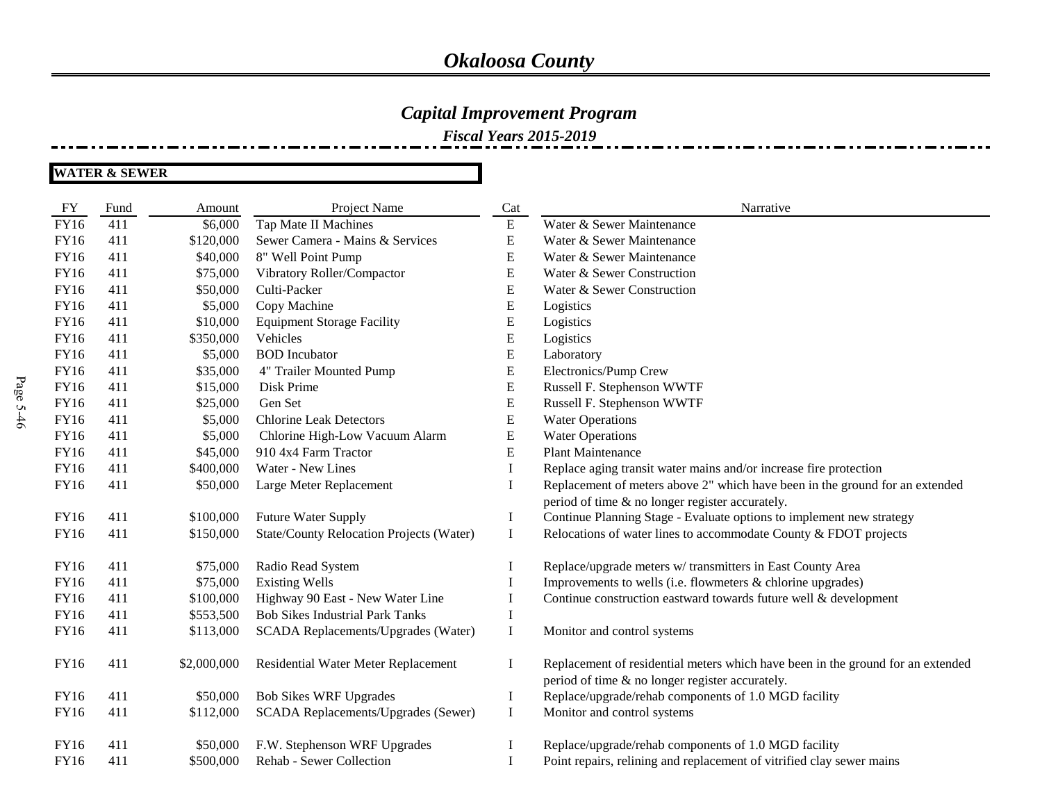### *Capital Improvement Program*

*Fiscal Years 2015-2019*

| FY          | Fund | Amount      | Project Name                                    | Cat       | Narrative                                                                       |
|-------------|------|-------------|-------------------------------------------------|-----------|---------------------------------------------------------------------------------|
| <b>FY16</b> | 411  | \$6,000     | Tap Mate II Machines                            | ${\bf E}$ | Water & Sewer Maintenance                                                       |
| <b>FY16</b> | 411  | \$120,000   | Sewer Camera - Mains & Services                 | ${\bf E}$ | Water & Sewer Maintenance                                                       |
| FY16        | 411  | \$40,000    | 8" Well Point Pump                              | ${\bf E}$ | Water & Sewer Maintenance                                                       |
| FY16        | 411  | \$75,000    | Vibratory Roller/Compactor                      | ${\bf E}$ | Water & Sewer Construction                                                      |
| FY16        | 411  | \$50,000    | Culti-Packer                                    | ${\bf E}$ | Water & Sewer Construction                                                      |
| FY16        | 411  | \$5,000     | Copy Machine                                    | ${\bf E}$ | Logistics                                                                       |
| FY16        | 411  | \$10,000    | <b>Equipment Storage Facility</b>               | ${\bf E}$ | Logistics                                                                       |
| FY16        | 411  | \$350,000   | Vehicles                                        | E         | Logistics                                                                       |
| FY16        | 411  | \$5,000     | <b>BOD</b> Incubator                            | E         | Laboratory                                                                      |
| FY16        | 411  | \$35,000    | 4" Trailer Mounted Pump                         | ${\bf E}$ | Electronics/Pump Crew                                                           |
| FY16        | 411  | \$15,000    | Disk Prime                                      | ${\bf E}$ | Russell F. Stephenson WWTF                                                      |
| FY16        | 411  | \$25,000    | Gen Set                                         | ${\bf E}$ | Russell F. Stephenson WWTF                                                      |
| FY16        | 411  | \$5,000     | <b>Chlorine Leak Detectors</b>                  | E         | <b>Water Operations</b>                                                         |
| <b>FY16</b> | 411  | \$5,000     | Chlorine High-Low Vacuum Alarm                  | E         | <b>Water Operations</b>                                                         |
| FY16        | 411  | \$45,000    | 910 4x4 Farm Tractor                            | ${\bf E}$ | <b>Plant Maintenance</b>                                                        |
| FY16        | 411  | \$400,000   | Water - New Lines                               | I         | Replace aging transit water mains and/or increase fire protection               |
| FY16        | 411  | \$50,000    | Large Meter Replacement                         | I         | Replacement of meters above 2" which have been in the ground for an extended    |
|             |      |             |                                                 |           | period of time & no longer register accurately.                                 |
| <b>FY16</b> | 411  | \$100,000   | Future Water Supply                             | I         | Continue Planning Stage - Evaluate options to implement new strategy            |
| FY16        | 411  | \$150,000   | <b>State/County Relocation Projects (Water)</b> | $\bf{I}$  | Relocations of water lines to accommodate County & FDOT projects                |
| FY16        | 411  | \$75,000    | Radio Read System                               | $\bf{l}$  | Replace/upgrade meters w/ transmitters in East County Area                      |
| FY16        | 411  | \$75,000    | <b>Existing Wells</b>                           | 1         | Improvements to wells (i.e. flowmeters & chlorine upgrades)                     |
| <b>FY16</b> | 411  | \$100,000   | Highway 90 East - New Water Line                |           | Continue construction eastward towards future well & development                |
| <b>FY16</b> | 411  | \$553,500   | <b>Bob Sikes Industrial Park Tanks</b>          | I         |                                                                                 |
| <b>FY16</b> | 411  | \$113,000   | SCADA Replacements/Upgrades (Water)             | 1         | Monitor and control systems                                                     |
| FY16        | 411  | \$2,000,000 | Residential Water Meter Replacement             | $\bf{I}$  | Replacement of residential meters which have been in the ground for an extended |
|             |      |             |                                                 |           | period of time & no longer register accurately.                                 |
| <b>FY16</b> | 411  | \$50,000    | <b>Bob Sikes WRF Upgrades</b>                   | I         | Replace/upgrade/rehab components of 1.0 MGD facility                            |
| FY16        | 411  | \$112,000   | SCADA Replacements/Upgrades (Sewer)             | $\bf{I}$  | Monitor and control systems                                                     |
| FY16        | 411  | \$50,000    | F.W. Stephenson WRF Upgrades                    |           | Replace/upgrade/rehab components of 1.0 MGD facility                            |
| FY16        | 411  | \$500,000   | Rehab - Sewer Collection                        | I         | Point repairs, relining and replacement of vitrified clay sewer mains           |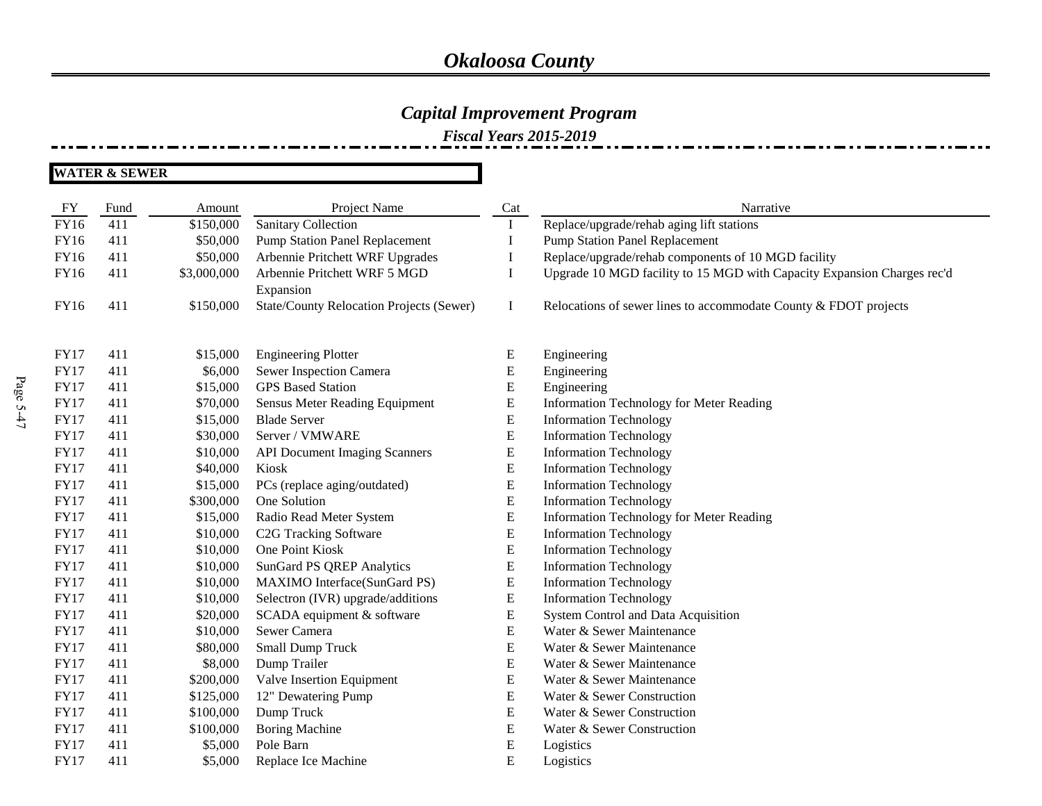### *Capital Improvement Program*

*Fiscal Years 2015-2019*

| FY          | Fund | Amount      | Project Name                             | Cat       | Narrative                                                               |
|-------------|------|-------------|------------------------------------------|-----------|-------------------------------------------------------------------------|
| <b>FY16</b> | 411  | \$150,000   | <b>Sanitary Collection</b>               | 1         | Replace/upgrade/rehab aging lift stations                               |
| <b>FY16</b> | 411  | \$50,000    | <b>Pump Station Panel Replacement</b>    | 1         | <b>Pump Station Panel Replacement</b>                                   |
| FY16        | 411  | \$50,000    | Arbennie Pritchett WRF Upgrades          | 1         | Replace/upgrade/rehab components of 10 MGD facility                     |
| <b>FY16</b> | 411  | \$3,000,000 | Arbennie Pritchett WRF 5 MGD             | I         | Upgrade 10 MGD facility to 15 MGD with Capacity Expansion Charges rec'd |
|             |      |             | Expansion                                |           |                                                                         |
| FY16        | 411  | \$150,000   | State/County Relocation Projects (Sewer) | $\bf{I}$  | Relocations of sewer lines to accommodate County & FDOT projects        |
|             |      |             |                                          |           |                                                                         |
| <b>FY17</b> | 411  | \$15,000    | <b>Engineering Plotter</b>               | ${\bf E}$ | Engineering                                                             |
| <b>FY17</b> | 411  | \$6,000     | Sewer Inspection Camera                  | ${\bf E}$ | Engineering                                                             |
| <b>FY17</b> | 411  | \$15,000    | <b>GPS</b> Based Station                 | ${\bf E}$ | Engineering                                                             |
| <b>FY17</b> | 411  | \$70,000    | Sensus Meter Reading Equipment           | ${\bf E}$ | <b>Information Technology for Meter Reading</b>                         |
| <b>FY17</b> | 411  | \$15,000    | <b>Blade Server</b>                      | E         | <b>Information Technology</b>                                           |
| <b>FY17</b> | 411  | \$30,000    | Server / VMWARE                          | ${\bf E}$ | <b>Information Technology</b>                                           |
| <b>FY17</b> | 411  | \$10,000    | <b>API Document Imaging Scanners</b>     | ${\bf E}$ | <b>Information Technology</b>                                           |
| <b>FY17</b> | 411  | \$40,000    | Kiosk                                    | ${\bf E}$ | <b>Information Technology</b>                                           |
| <b>FY17</b> | 411  | \$15,000    | PCs (replace aging/outdated)             | ${\bf E}$ | <b>Information Technology</b>                                           |
| <b>FY17</b> | 411  | \$300,000   | One Solution                             | ${\bf E}$ | <b>Information Technology</b>                                           |
| <b>FY17</b> | 411  | \$15,000    | Radio Read Meter System                  | ${\bf E}$ | Information Technology for Meter Reading                                |
| <b>FY17</b> | 411  | \$10,000    | C <sub>2</sub> G Tracking Software       | ${\bf E}$ | <b>Information Technology</b>                                           |
| <b>FY17</b> | 411  | \$10,000    | One Point Kiosk                          | E         | <b>Information Technology</b>                                           |
| <b>FY17</b> | 411  | \$10,000    | <b>SunGard PS QREP Analytics</b>         | ${\bf E}$ | <b>Information Technology</b>                                           |
| <b>FY17</b> | 411  | \$10,000    | MAXIMO Interface(SunGard PS)             | ${\bf E}$ | <b>Information Technology</b>                                           |
| <b>FY17</b> | 411  | \$10,000    | Selectron (IVR) upgrade/additions        | ${\bf E}$ | <b>Information Technology</b>                                           |
| <b>FY17</b> | 411  | \$20,000    | SCADA equipment & software               | ${\bf E}$ | System Control and Data Acquisition                                     |
| <b>FY17</b> | 411  | \$10,000    | Sewer Camera                             | ${\bf E}$ | Water & Sewer Maintenance                                               |
| <b>FY17</b> | 411  | \$80,000    | Small Dump Truck                         | ${\bf E}$ | Water & Sewer Maintenance                                               |
| <b>FY17</b> | 411  | \$8,000     | Dump Trailer                             | ${\bf E}$ | Water & Sewer Maintenance                                               |
| <b>FY17</b> | 411  | \$200,000   | Valve Insertion Equipment                | ${\bf E}$ | Water & Sewer Maintenance                                               |
| <b>FY17</b> | 411  | \$125,000   | 12" Dewatering Pump                      | E         | Water & Sewer Construction                                              |
| <b>FY17</b> | 411  | \$100,000   | Dump Truck                               | E         | Water & Sewer Construction                                              |
| <b>FY17</b> | 411  | \$100,000   | <b>Boring Machine</b>                    | E         | Water & Sewer Construction                                              |
| <b>FY17</b> | 411  | \$5,000     | Pole Barn                                | ${\bf E}$ | Logistics                                                               |
| <b>FY17</b> | 411  | \$5,000     | Replace Ice Machine                      | E         | Logistics                                                               |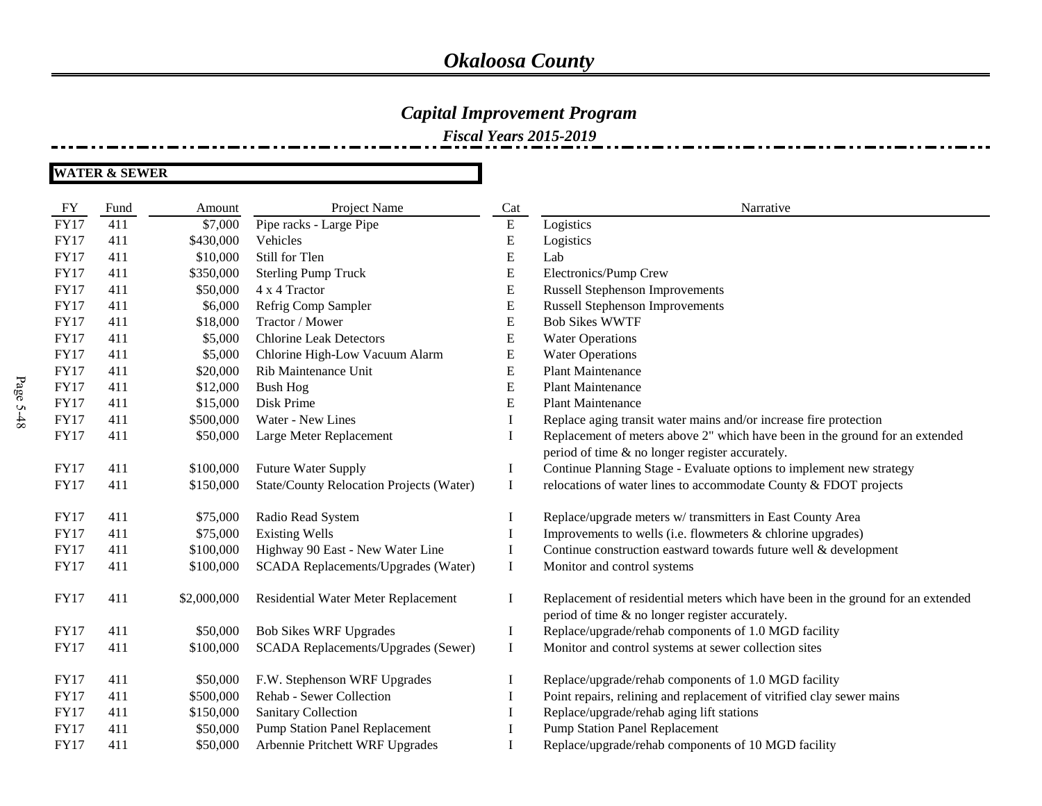### *Capital Improvement Program*

*Fiscal Years 2015-2019*

| FY          | Fund | Amount      | Project Name                             | Cat       | Narrative                                                                       |
|-------------|------|-------------|------------------------------------------|-----------|---------------------------------------------------------------------------------|
| <b>FY17</b> | 411  | \$7,000     | Pipe racks - Large Pipe                  | ${\bf E}$ | Logistics                                                                       |
| <b>FY17</b> | 411  | \$430,000   | Vehicles                                 | E         | Logistics                                                                       |
| <b>FY17</b> | 411  | \$10,000    | Still for Tlen                           | E         | Lab                                                                             |
| <b>FY17</b> | 411  | \$350,000   | <b>Sterling Pump Truck</b>               | E         | Electronics/Pump Crew                                                           |
| <b>FY17</b> | 411  | \$50,000    | 4 x 4 Tractor                            | E         | <b>Russell Stephenson Improvements</b>                                          |
| <b>FY17</b> | 411  | \$6,000     | Refrig Comp Sampler                      | E         | <b>Russell Stephenson Improvements</b>                                          |
| <b>FY17</b> | 411  | \$18,000    | Tractor / Mower                          | ${\bf E}$ | <b>Bob Sikes WWTF</b>                                                           |
| <b>FY17</b> | 411  | \$5,000     | <b>Chlorine Leak Detectors</b>           | E         | <b>Water Operations</b>                                                         |
| <b>FY17</b> | 411  | \$5,000     | Chlorine High-Low Vacuum Alarm           | E         | <b>Water Operations</b>                                                         |
| <b>FY17</b> | 411  | \$20,000    | Rib Maintenance Unit                     | E         | <b>Plant Maintenance</b>                                                        |
| <b>FY17</b> | 411  | \$12,000    | <b>Bush Hog</b>                          | ${\bf E}$ | <b>Plant Maintenance</b>                                                        |
| <b>FY17</b> | 411  | \$15,000    | Disk Prime                               | ${\bf E}$ | <b>Plant Maintenance</b>                                                        |
| <b>FY17</b> | 411  | \$500,000   | Water - New Lines                        | Ι         | Replace aging transit water mains and/or increase fire protection               |
| <b>FY17</b> | 411  | \$50,000    | Large Meter Replacement                  | I         | Replacement of meters above 2" which have been in the ground for an extended    |
|             |      |             |                                          |           | period of time & no longer register accurately.                                 |
| <b>FY17</b> | 411  | \$100,000   | Future Water Supply                      | I         | Continue Planning Stage - Evaluate options to implement new strategy            |
| <b>FY17</b> | 411  | \$150,000   | State/County Relocation Projects (Water) | $\bf{I}$  | relocations of water lines to accommodate County & FDOT projects                |
|             |      |             |                                          |           |                                                                                 |
| <b>FY17</b> | 411  | \$75,000    | Radio Read System                        | 1         | Replace/upgrade meters w/ transmitters in East County Area                      |
| <b>FY17</b> | 411  | \$75,000    | <b>Existing Wells</b>                    |           | Improvements to wells (i.e. flowmeters & chlorine upgrades)                     |
| <b>FY17</b> | 411  | \$100,000   | Highway 90 East - New Water Line         | I         | Continue construction eastward towards future well & development                |
| <b>FY17</b> | 411  | \$100,000   | SCADA Replacements/Upgrades (Water)      | Ι.        | Monitor and control systems                                                     |
| <b>FY17</b> | 411  | \$2,000,000 | Residential Water Meter Replacement      | Ι         | Replacement of residential meters which have been in the ground for an extended |
|             |      |             |                                          |           | period of time & no longer register accurately.                                 |
| <b>FY17</b> | 411  | \$50,000    | <b>Bob Sikes WRF Upgrades</b>            | I         | Replace/upgrade/rehab components of 1.0 MGD facility                            |
| <b>FY17</b> | 411  | \$100,000   | SCADA Replacements/Upgrades (Sewer)      | Ι         | Monitor and control systems at sewer collection sites                           |
| <b>FY17</b> | 411  | \$50,000    | F.W. Stephenson WRF Upgrades             |           | Replace/upgrade/rehab components of 1.0 MGD facility                            |
| <b>FY17</b> | 411  | \$500,000   | Rehab - Sewer Collection                 |           | Point repairs, relining and replacement of vitrified clay sewer mains           |
| <b>FY17</b> | 411  | \$150,000   | Sanitary Collection                      |           | Replace/upgrade/rehab aging lift stations                                       |
| <b>FY17</b> | 411  | \$50,000    | <b>Pump Station Panel Replacement</b>    |           | <b>Pump Station Panel Replacement</b>                                           |
| <b>FY17</b> | 411  | \$50,000    | Arbennie Pritchett WRF Upgrades          |           | Replace/upgrade/rehab components of 10 MGD facility                             |
|             |      |             |                                          |           |                                                                                 |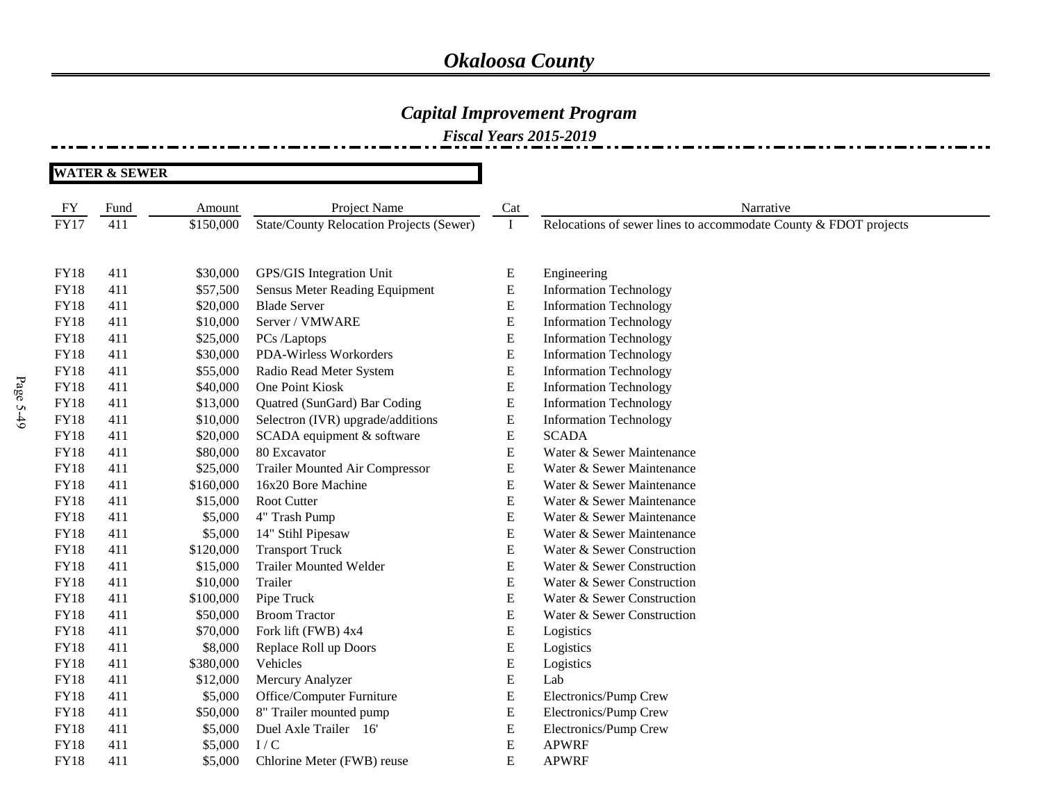### *Capital Improvement Program*

|             | <b>WATER &amp; SEWER</b> |           |                                                 |           |                                                                  |  |
|-------------|--------------------------|-----------|-------------------------------------------------|-----------|------------------------------------------------------------------|--|
| FY          | Fund                     | Amount    | Project Name                                    | Cat       | Narrative                                                        |  |
| <b>FY17</b> | 411                      | \$150,000 | <b>State/County Relocation Projects (Sewer)</b> | $\bf{I}$  | Relocations of sewer lines to accommodate County & FDOT projects |  |
| <b>FY18</b> | 411                      | \$30,000  | GPS/GIS Integration Unit                        | ${\bf E}$ | Engineering                                                      |  |
| <b>FY18</b> | 411                      | \$57,500  | Sensus Meter Reading Equipment                  | ${\bf E}$ | <b>Information Technology</b>                                    |  |
| <b>FY18</b> | 411                      | \$20,000  | <b>Blade Server</b>                             | ${\bf E}$ | <b>Information Technology</b>                                    |  |
| <b>FY18</b> | 411                      | \$10,000  | Server / VMWARE                                 | E         | <b>Information Technology</b>                                    |  |
| <b>FY18</b> | 411                      | \$25,000  | PCs /Laptops                                    | E         | <b>Information Technology</b>                                    |  |
| <b>FY18</b> | 411                      | \$30,000  | PDA-Wirless Workorders                          | ${\bf E}$ | <b>Information Technology</b>                                    |  |
| <b>FY18</b> | 411                      | \$55,000  | Radio Read Meter System                         | ${\bf E}$ | <b>Information Technology</b>                                    |  |
| <b>FY18</b> | 411                      | \$40,000  | One Point Kiosk                                 | ${\bf E}$ | <b>Information Technology</b>                                    |  |
| <b>FY18</b> | 411                      | \$13,000  | Quatred (SunGard) Bar Coding                    | ${\bf E}$ | <b>Information Technology</b>                                    |  |
| <b>FY18</b> | 411                      | \$10,000  | Selectron (IVR) upgrade/additions               | E         | <b>Information Technology</b>                                    |  |
| <b>FY18</b> | 411                      | \$20,000  | SCADA equipment & software                      | E         | <b>SCADA</b>                                                     |  |
| <b>FY18</b> | 411                      | \$80,000  | 80 Excavator                                    | E         | Water & Sewer Maintenance                                        |  |
| <b>FY18</b> | 411                      | \$25,000  | <b>Trailer Mounted Air Compressor</b>           | ${\bf E}$ | Water & Sewer Maintenance                                        |  |
| <b>FY18</b> | 411                      | \$160,000 | 16x20 Bore Machine                              | ${\bf E}$ | Water & Sewer Maintenance                                        |  |
| <b>FY18</b> | 411                      | \$15,000  | Root Cutter                                     | ${\bf E}$ | Water & Sewer Maintenance                                        |  |
| <b>FY18</b> | 411                      | \$5,000   | 4" Trash Pump                                   | ${\bf E}$ | Water & Sewer Maintenance                                        |  |
| <b>FY18</b> | 411                      | \$5,000   | 14" Stihl Pipesaw                               | ${\bf E}$ | Water & Sewer Maintenance                                        |  |
| <b>FY18</b> | 411                      | \$120,000 | <b>Transport Truck</b>                          | E         | Water & Sewer Construction                                       |  |
| <b>FY18</b> | 411                      | \$15,000  | <b>Trailer Mounted Welder</b>                   | ${\bf E}$ | Water & Sewer Construction                                       |  |
| <b>FY18</b> | 411                      | \$10,000  | Trailer                                         | ${\bf E}$ | Water & Sewer Construction                                       |  |
| <b>FY18</b> | 411                      | \$100,000 | Pipe Truck                                      | ${\bf E}$ | Water & Sewer Construction                                       |  |
| <b>FY18</b> | 411                      | \$50,000  | <b>Broom Tractor</b>                            | ${\bf E}$ | Water & Sewer Construction                                       |  |
| <b>FY18</b> | 411                      | \$70,000  | Fork lift (FWB) 4x4                             | ${\bf E}$ | Logistics                                                        |  |
| <b>FY18</b> | 411                      | \$8,000   | Replace Roll up Doors                           | ${\bf E}$ | Logistics                                                        |  |
| <b>FY18</b> | 411                      | \$380,000 | Vehicles                                        | E         | Logistics                                                        |  |
| <b>FY18</b> | 411                      | \$12,000  | Mercury Analyzer                                | ${\bf E}$ | Lab                                                              |  |
| <b>FY18</b> | 411                      | \$5,000   | Office/Computer Furniture                       | ${\bf E}$ | Electronics/Pump Crew                                            |  |
| <b>FY18</b> | 411                      | \$50,000  | 8" Trailer mounted pump                         | ${\bf E}$ | Electronics/Pump Crew                                            |  |
| <b>FY18</b> | 411                      | \$5,000   | Duel Axle Trailer 16'                           | ${\bf E}$ | Electronics/Pump Crew                                            |  |
| <b>FY18</b> | 411                      | \$5,000   | I/C                                             | ${\bf E}$ | <b>APWRF</b>                                                     |  |
| <b>FY18</b> | 411                      | \$5,000   | Chlorine Meter (FWB) reuse                      | E         | <b>APWRF</b>                                                     |  |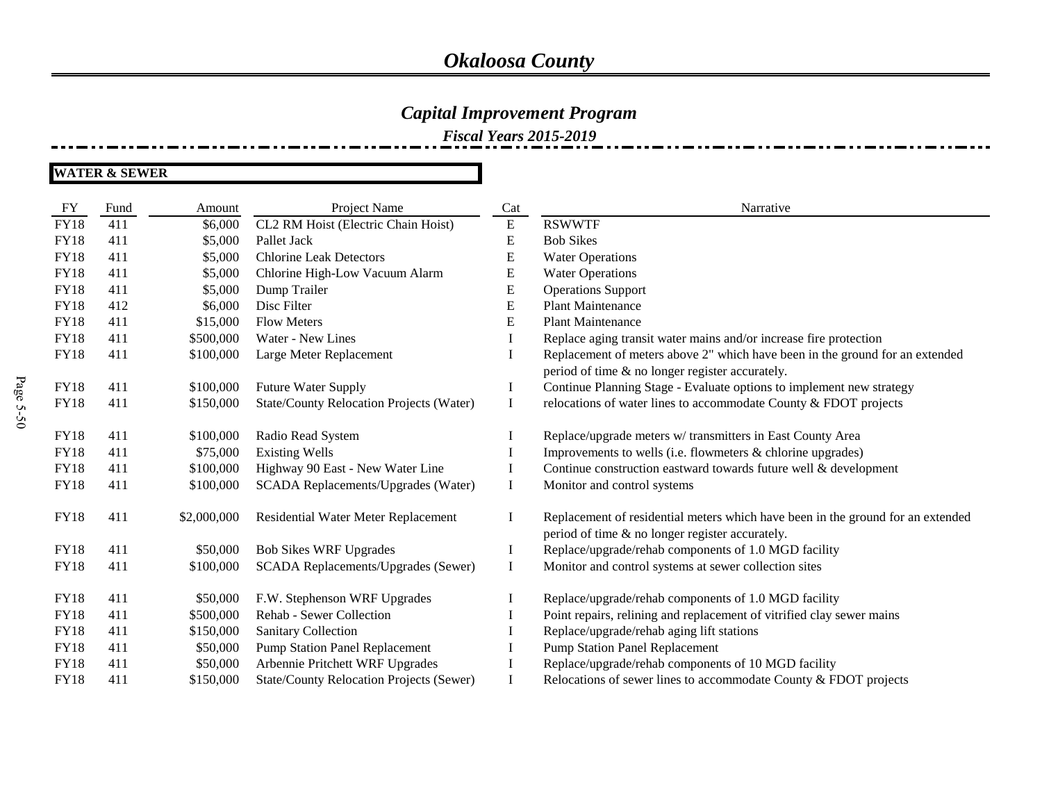### *Capital Improvement Program*

*Fiscal Years 2015-2019*

| FY          | Fund | Amount      | Project Name                                    | Cat          | Narrative                                                                                                                          |
|-------------|------|-------------|-------------------------------------------------|--------------|------------------------------------------------------------------------------------------------------------------------------------|
| <b>FY18</b> | 411  | \$6,000     | CL2 RM Hoist (Electric Chain Hoist)             | ${\bf E}$    | <b>RSWWTF</b>                                                                                                                      |
| <b>FY18</b> | 411  | \$5,000     | Pallet Jack                                     | E            | <b>Bob Sikes</b>                                                                                                                   |
| <b>FY18</b> | 411  | \$5,000     | <b>Chlorine Leak Detectors</b>                  | E            | <b>Water Operations</b>                                                                                                            |
| <b>FY18</b> | 411  | \$5,000     | Chlorine High-Low Vacuum Alarm                  | E            | <b>Water Operations</b>                                                                                                            |
| <b>FY18</b> | 411  | \$5,000     | Dump Trailer                                    | E            | <b>Operations Support</b>                                                                                                          |
| <b>FY18</b> | 412  | \$6,000     | Disc Filter                                     | E            | <b>Plant Maintenance</b>                                                                                                           |
| <b>FY18</b> | 411  | \$15,000    | <b>Flow Meters</b>                              | E            | <b>Plant Maintenance</b>                                                                                                           |
| <b>FY18</b> | 411  | \$500,000   | Water - New Lines                               |              | Replace aging transit water mains and/or increase fire protection                                                                  |
| <b>FY18</b> | 411  | \$100,000   | Large Meter Replacement                         |              | Replacement of meters above 2" which have been in the ground for an extended<br>period of time & no longer register accurately.    |
| <b>FY18</b> | 411  | \$100,000   | Future Water Supply                             | $\bf{l}$     | Continue Planning Stage - Evaluate options to implement new strategy                                                               |
| <b>FY18</b> | 411  | \$150,000   | State/County Relocation Projects (Water)        | $\bf{I}$     | relocations of water lines to accommodate County & FDOT projects                                                                   |
|             |      |             |                                                 |              |                                                                                                                                    |
| <b>FY18</b> | 411  | \$100,000   | Radio Read System                               |              | Replace/upgrade meters w/ transmitters in East County Area                                                                         |
| <b>FY18</b> | 411  | \$75,000    | <b>Existing Wells</b>                           |              | Improvements to wells (i.e. flowmeters & chlorine upgrades)                                                                        |
| <b>FY18</b> | 411  | \$100,000   | Highway 90 East - New Water Line                | $\mathbf{I}$ | Continue construction eastward towards future well & development                                                                   |
| <b>FY18</b> | 411  | \$100,000   | SCADA Replacements/Upgrades (Water)             | Ι.           | Monitor and control systems                                                                                                        |
| <b>FY18</b> | 411  | \$2,000,000 | Residential Water Meter Replacement             | Ι.           | Replacement of residential meters which have been in the ground for an extended<br>period of time & no longer register accurately. |
| <b>FY18</b> | 411  | \$50,000    | <b>Bob Sikes WRF Upgrades</b>                   | $\bf{I}$     | Replace/upgrade/rehab components of 1.0 MGD facility                                                                               |
| <b>FY18</b> | 411  | \$100,000   | SCADA Replacements/Upgrades (Sewer)             | $\bf{I}$     | Monitor and control systems at sewer collection sites                                                                              |
| <b>FY18</b> | 411  | \$50,000    | F.W. Stephenson WRF Upgrades                    |              | Replace/upgrade/rehab components of 1.0 MGD facility                                                                               |
| <b>FY18</b> | 411  | \$500,000   | Rehab - Sewer Collection                        |              | Point repairs, relining and replacement of vitrified clay sewer mains                                                              |
| <b>FY18</b> | 411  | \$150,000   | <b>Sanitary Collection</b>                      |              | Replace/upgrade/rehab aging lift stations                                                                                          |
| <b>FY18</b> | 411  | \$50,000    | <b>Pump Station Panel Replacement</b>           |              | <b>Pump Station Panel Replacement</b>                                                                                              |
| <b>FY18</b> | 411  | \$50,000    | Arbennie Pritchett WRF Upgrades                 |              | Replace/upgrade/rehab components of 10 MGD facility                                                                                |
| <b>FY18</b> | 411  | \$150,000   | <b>State/County Relocation Projects (Sewer)</b> |              | Relocations of sewer lines to accommodate County & FDOT projects                                                                   |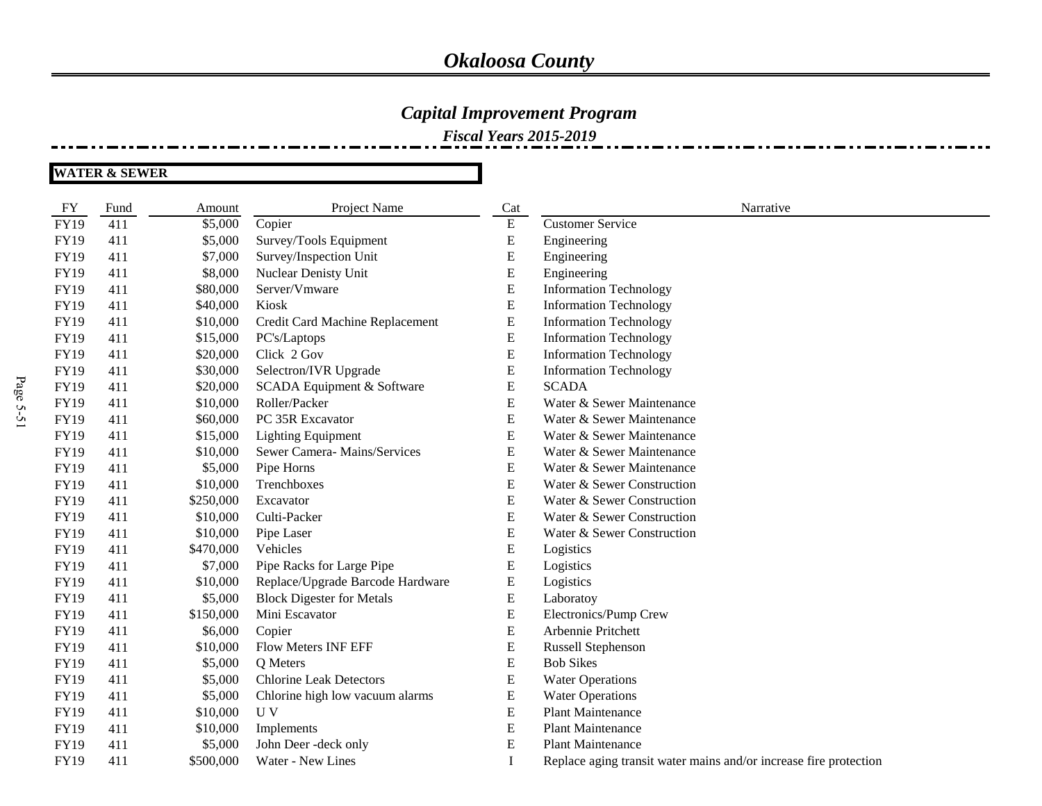### *Capital Improvement Program*

*Fiscal Years 2015-2019*

| <b>FY</b>   | Fund | Amount    | Project Name                     | Cat       | Narrative                                                         |
|-------------|------|-----------|----------------------------------|-----------|-------------------------------------------------------------------|
| <b>FY19</b> | 411  | \$5,000   | Copier                           | ${\bf E}$ | <b>Customer Service</b>                                           |
| <b>FY19</b> | 411  | \$5,000   | Survey/Tools Equipment           | E         | Engineering                                                       |
| <b>FY19</b> | 411  | \$7,000   | Survey/Inspection Unit           | E         | Engineering                                                       |
| <b>FY19</b> | 411  | \$8,000   | Nuclear Denisty Unit             | ${\bf E}$ | Engineering                                                       |
| <b>FY19</b> | 411  | \$80,000  | Server/Vmware                    | E         | <b>Information Technology</b>                                     |
| <b>FY19</b> | 411  | \$40,000  | Kiosk                            | ${\bf E}$ | <b>Information Technology</b>                                     |
| <b>FY19</b> | 411  | \$10,000  | Credit Card Machine Replacement  | ${\bf E}$ | <b>Information Technology</b>                                     |
| <b>FY19</b> | 411  | \$15,000  | PC's/Laptops                     | E         | <b>Information Technology</b>                                     |
| <b>FY19</b> | 411  | \$20,000  | Click 2 Gov                      | E         | <b>Information Technology</b>                                     |
| <b>FY19</b> | 411  | \$30,000  | Selectron/IVR Upgrade            | ${\bf E}$ | <b>Information Technology</b>                                     |
| <b>FY19</b> | 411  | \$20,000  | SCADA Equipment & Software       | E         | <b>SCADA</b>                                                      |
| <b>FY19</b> | 411  | \$10,000  | Roller/Packer                    | E         | Water & Sewer Maintenance                                         |
| <b>FY19</b> | 411  | \$60,000  | PC 35R Excavator                 | ${\bf E}$ | Water & Sewer Maintenance                                         |
| <b>FY19</b> | 411  | \$15,000  | <b>Lighting Equipment</b>        | ${\bf E}$ | Water & Sewer Maintenance                                         |
| <b>FY19</b> | 411  | \$10,000  | Sewer Camera- Mains/Services     | E         | Water & Sewer Maintenance                                         |
| <b>FY19</b> | 411  | \$5,000   | Pipe Horns                       | E         | Water & Sewer Maintenance                                         |
| <b>FY19</b> | 411  | \$10,000  | Trenchboxes                      | ${\bf E}$ | Water & Sewer Construction                                        |
| <b>FY19</b> | 411  | \$250,000 | Excavator                        | E         | Water & Sewer Construction                                        |
| <b>FY19</b> | 411  | \$10,000  | Culti-Packer                     | E         | Water & Sewer Construction                                        |
| <b>FY19</b> | 411  | \$10,000  | Pipe Laser                       | ${\bf E}$ | Water & Sewer Construction                                        |
| FY19        | 411  | \$470,000 | Vehicles                         | E         | Logistics                                                         |
| <b>FY19</b> | 411  | \$7,000   | Pipe Racks for Large Pipe        | E         | Logistics                                                         |
| FY19        | 411  | \$10,000  | Replace/Upgrade Barcode Hardware | E         | Logistics                                                         |
| <b>FY19</b> | 411  | \$5,000   | <b>Block Digester for Metals</b> | ${\bf E}$ | Laboratoy                                                         |
| <b>FY19</b> | 411  | \$150,000 | Mini Escavator                   | E         | Electronics/Pump Crew                                             |
| <b>FY19</b> | 411  | \$6,000   | Copier                           | ${\bf E}$ | Arbennie Pritchett                                                |
| FY19        | 411  | \$10,000  | Flow Meters INF EFF              | E         | Russell Stephenson                                                |
| <b>FY19</b> | 411  | \$5,000   | Q Meters                         | ${\bf E}$ | <b>Bob Sikes</b>                                                  |
| <b>FY19</b> | 411  | \$5,000   | <b>Chlorine Leak Detectors</b>   | ${\bf E}$ | <b>Water Operations</b>                                           |
| <b>FY19</b> | 411  | \$5,000   | Chlorine high low vacuum alarms  | E         | <b>Water Operations</b>                                           |
| <b>FY19</b> | 411  | \$10,000  | U V                              | E         | <b>Plant Maintenance</b>                                          |
| <b>FY19</b> | 411  | \$10,000  | Implements                       | E         | <b>Plant Maintenance</b>                                          |
| <b>FY19</b> | 411  | \$5,000   | John Deer -deck only             | ${\bf E}$ | <b>Plant Maintenance</b>                                          |
| <b>FY19</b> | 411  | \$500,000 | Water - New Lines                | I         | Replace aging transit water mains and/or increase fire protection |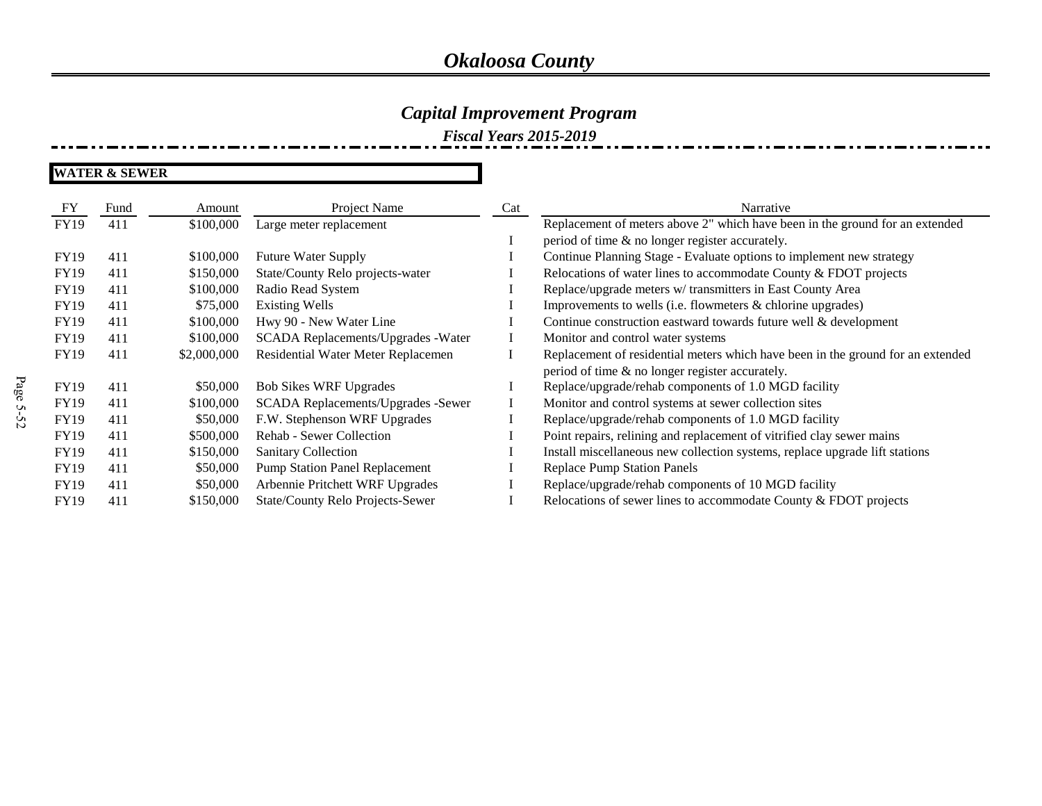### *Capital Improvement Program*

*Fiscal Years 2015-2019*

| FY          | Fund | Amount      | Project Name                          | Cat | Narrative                                                                       |
|-------------|------|-------------|---------------------------------------|-----|---------------------------------------------------------------------------------|
| <b>FY19</b> | 411  | \$100,000   | Large meter replacement               |     | Replacement of meters above 2" which have been in the ground for an extended    |
|             |      |             |                                       |     | period of time & no longer register accurately.                                 |
| <b>FY19</b> | 411  | \$100,000   | <b>Future Water Supply</b>            |     | Continue Planning Stage - Evaluate options to implement new strategy            |
| <b>FY19</b> | 411  | \$150,000   | State/County Relo projects-water      |     | Relocations of water lines to accommodate County & FDOT projects                |
| <b>FY19</b> | 411  | \$100,000   | Radio Read System                     |     | Replace/upgrade meters w/ transmitters in East County Area                      |
| <b>FY19</b> | 411  | \$75,000    | <b>Existing Wells</b>                 |     | Improvements to wells (i.e. flowmeters & chlorine upgrades)                     |
| <b>FY19</b> | 411  | \$100,000   | Hwy 90 - New Water Line               |     | Continue construction eastward towards future well & development                |
| <b>FY19</b> | 411  | \$100,000   | SCADA Replacements/Upgrades -Water    |     | Monitor and control water systems                                               |
| <b>FY19</b> | 411  | \$2,000,000 | Residential Water Meter Replacemen    |     | Replacement of residential meters which have been in the ground for an extended |
|             |      |             |                                       |     | period of time & no longer register accurately.                                 |
| <b>FY19</b> | 411  | \$50,000    | <b>Bob Sikes WRF Upgrades</b>         |     | Replace/upgrade/rehab components of 1.0 MGD facility                            |
| <b>FY19</b> | 411  | \$100,000   | SCADA Replacements/Upgrades -Sewer    |     | Monitor and control systems at sewer collection sites                           |
| <b>FY19</b> | 411  | \$50,000    | F.W. Stephenson WRF Upgrades          |     | Replace/upgrade/rehab components of 1.0 MGD facility                            |
| <b>FY19</b> | 411  | \$500,000   | Rehab - Sewer Collection              |     | Point repairs, relining and replacement of vitrified clay sewer mains           |
| FY19        | 411  | \$150,000   | <b>Sanitary Collection</b>            |     | Install miscellaneous new collection systems, replace upgrade lift stations     |
| <b>FY19</b> | 411  | \$50,000    | <b>Pump Station Panel Replacement</b> |     | <b>Replace Pump Station Panels</b>                                              |
| <b>FY19</b> | 411  | \$50,000    | Arbennie Pritchett WRF Upgrades       |     | Replace/upgrade/rehab components of 10 MGD facility                             |
| <b>FY19</b> | 411  | \$150,000   | State/County Relo Projects-Sewer      |     | Relocations of sewer lines to accommodate County $& \text{FDOT}$ projects       |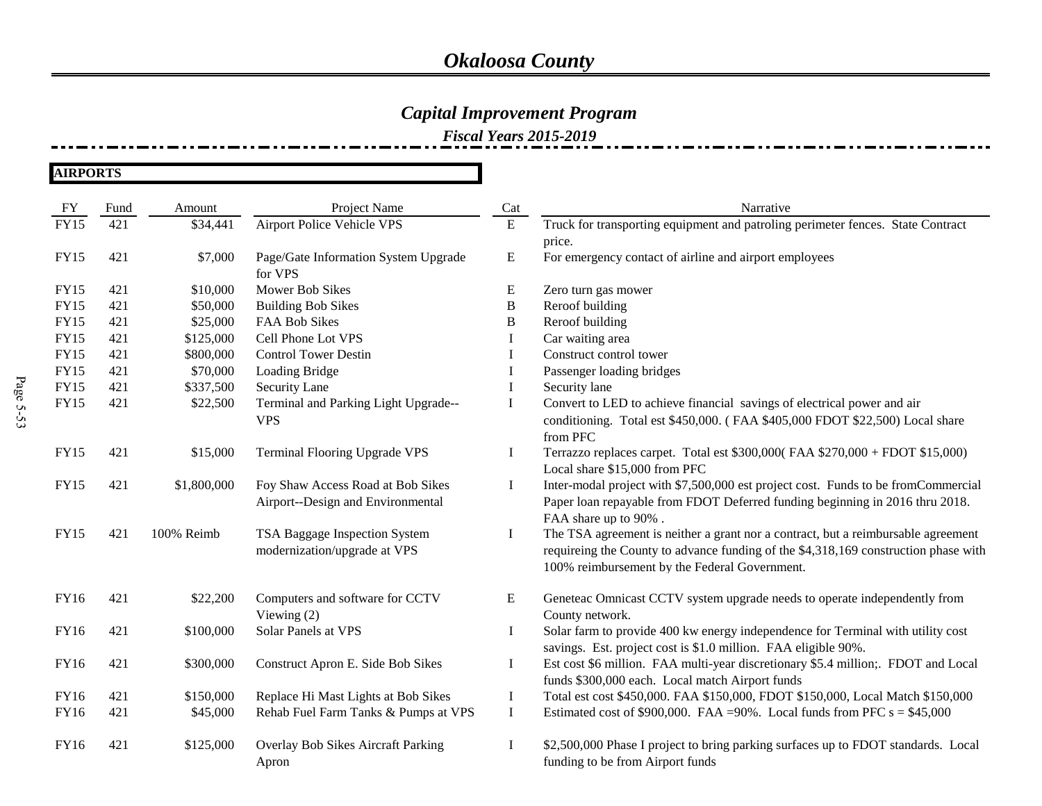## *Capital Improvement Program*

| <b>AIRPORTS</b> |  |
|-----------------|--|
|-----------------|--|

| FY          | Fund | Amount      | Project Name                         | Cat       | Narrative                                                                           |
|-------------|------|-------------|--------------------------------------|-----------|-------------------------------------------------------------------------------------|
| <b>FY15</b> | 421  | \$34,441    | <b>Airport Police Vehicle VPS</b>    | ${\bf E}$ | Truck for transporting equipment and patroling perimeter fences. State Contract     |
|             |      |             |                                      |           | price.                                                                              |
| FY15        | 421  | \$7,000     | Page/Gate Information System Upgrade | E         | For emergency contact of airline and airport employees                              |
|             |      |             | for VPS                              |           |                                                                                     |
| FY15        | 421  | \$10,000    | Mower Bob Sikes                      | E         | Zero turn gas mower                                                                 |
| <b>FY15</b> | 421  | \$50,000    | <b>Building Bob Sikes</b>            | B         | Reroof building                                                                     |
| <b>FY15</b> | 421  | \$25,000    | FAA Bob Sikes                        | B         | Reroof building                                                                     |
| FY15        | 421  | \$125,000   | Cell Phone Lot VPS                   |           | Car waiting area                                                                    |
| <b>FY15</b> | 421  | \$800,000   | <b>Control Tower Destin</b>          | Ι.        | Construct control tower                                                             |
| <b>FY15</b> | 421  | \$70,000    | Loading Bridge                       | Ι.        | Passenger loading bridges                                                           |
| <b>FY15</b> | 421  | \$337,500   | Security Lane                        | Ι         | Security lane                                                                       |
| <b>FY15</b> | 421  | \$22,500    | Terminal and Parking Light Upgrade-- | Ι.        | Convert to LED to achieve financial savings of electrical power and air             |
|             |      |             | <b>VPS</b>                           |           | conditioning. Total est \$450,000. (FAA \$405,000 FDOT \$22,500) Local share        |
|             |      |             |                                      |           | from PFC                                                                            |
| <b>FY15</b> | 421  | \$15,000    | Terminal Flooring Upgrade VPS        | $\bf{I}$  | Terrazzo replaces carpet. Total est $$300,000$ (FAA $$270,000 + F$ DOT $$15,000$ )  |
|             |      |             |                                      |           | Local share \$15,000 from PFC                                                       |
| <b>FY15</b> | 421  | \$1,800,000 | Foy Shaw Access Road at Bob Sikes    | Ι.        | Inter-modal project with \$7,500,000 est project cost. Funds to be fromCommercial   |
|             |      |             | Airport--Design and Environmental    |           | Paper loan repayable from FDOT Deferred funding beginning in 2016 thru 2018.        |
|             |      |             |                                      |           | FAA share up to 90%.                                                                |
| FY15        | 421  | 100% Reimb  | TSA Baggage Inspection System        | $\bf{I}$  | The TSA agreement is neither a grant nor a contract, but a reimbursable agreement   |
|             |      |             | modernization/upgrade at VPS         |           | requireing the County to advance funding of the \$4,318,169 construction phase with |
|             |      |             |                                      |           | 100% reimbursement by the Federal Government.                                       |
|             |      |             |                                      |           |                                                                                     |
| <b>FY16</b> | 421  | \$22,200    | Computers and software for CCTV      | E         | Geneteac Omnicast CCTV system upgrade needs to operate independently from           |
|             |      |             | Viewing $(2)$                        |           | County network.                                                                     |
| FY16        | 421  | \$100,000   | Solar Panels at VPS                  | Ι.        | Solar farm to provide 400 kw energy independence for Terminal with utility cost     |
|             |      |             |                                      |           | savings. Est. project cost is \$1.0 million. FAA eligible 90%.                      |
| <b>FY16</b> | 421  | \$300,000   | Construct Apron E. Side Bob Sikes    | Ι.        | Est cost \$6 million. FAA multi-year discretionary \$5.4 million;. FDOT and Local   |
|             |      |             |                                      |           | funds \$300,000 each. Local match Airport funds                                     |
| FY16        | 421  | \$150,000   | Replace Hi Mast Lights at Bob Sikes  | $\bf{I}$  | Total est cost \$450,000. FAA \$150,000, FDOT \$150,000, Local Match \$150,000      |
| FY16        | 421  | \$45,000    | Rehab Fuel Farm Tanks & Pumps at VPS | $\bf{I}$  | Estimated cost of \$900,000. FAA = 90%. Local funds from PFC $s = $45,000$          |
|             |      |             |                                      |           |                                                                                     |
| FY16        | 421  | \$125,000   | Overlay Bob Sikes Aircraft Parking   | Ι.        | \$2,500,000 Phase I project to bring parking surfaces up to FDOT standards. Local   |
|             |      |             | Apron                                |           | funding to be from Airport funds                                                    |
|             |      |             |                                      |           |                                                                                     |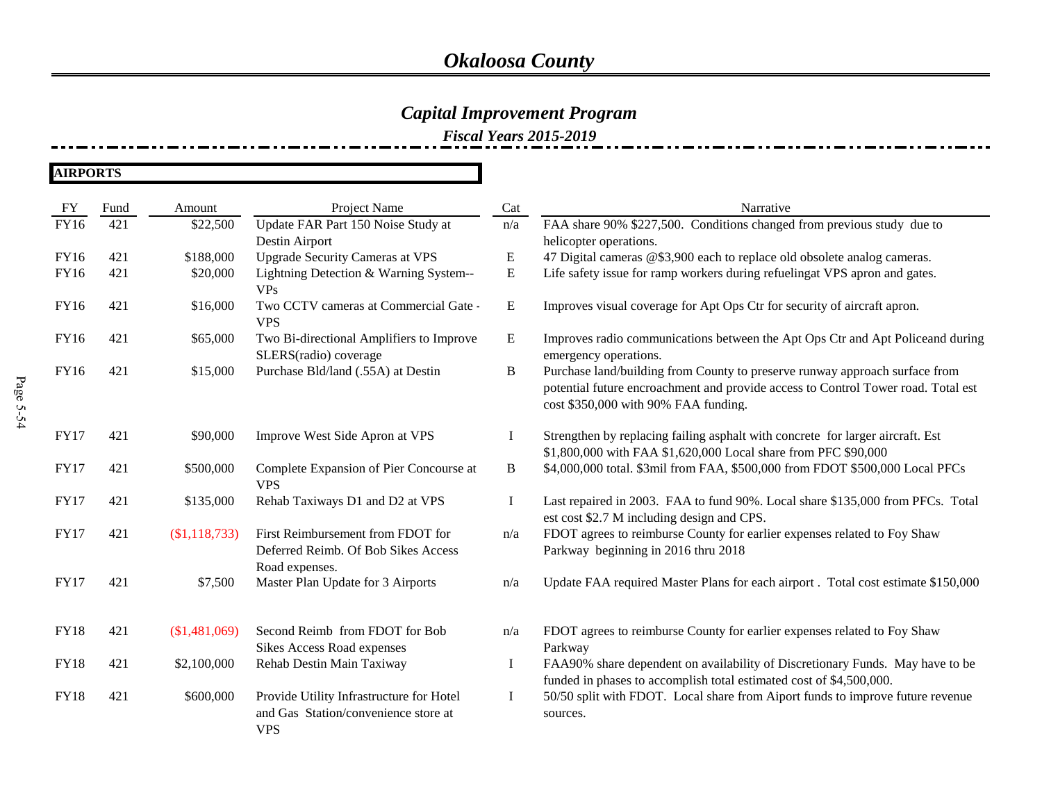## *Capital Improvement Program*

| FY          | Fund | Amount        | Project Name                                                                                   | Cat         | Narrative                                                                                                                                                                                                |
|-------------|------|---------------|------------------------------------------------------------------------------------------------|-------------|----------------------------------------------------------------------------------------------------------------------------------------------------------------------------------------------------------|
| <b>FY16</b> | 421  | \$22,500      | Update FAR Part 150 Noise Study at                                                             | n/a         | FAA share 90% \$227,500. Conditions changed from previous study due to                                                                                                                                   |
|             |      |               | Destin Airport                                                                                 |             | helicopter operations.                                                                                                                                                                                   |
| <b>FY16</b> | 421  | \$188,000     | <b>Upgrade Security Cameras at VPS</b>                                                         | E           | 47 Digital cameras @\$3,900 each to replace old obsolete analog cameras.                                                                                                                                 |
| <b>FY16</b> | 421  | \$20,000      | Lightning Detection & Warning System--<br><b>VPs</b>                                           | ${\bf E}$   | Life safety issue for ramp workers during refuelingat VPS apron and gates.                                                                                                                               |
| <b>FY16</b> | 421  | \$16,000      | Two CCTV cameras at Commercial Gate -<br><b>VPS</b>                                            | ${\bf E}$   | Improves visual coverage for Apt Ops Ctr for security of aircraft apron.                                                                                                                                 |
| <b>FY16</b> | 421  | \$65,000      | Two Bi-directional Amplifiers to Improve<br>SLERS(radio) coverage                              | E           | Improves radio communications between the Apt Ops Ctr and Apt Policeand during<br>emergency operations.                                                                                                  |
| <b>FY16</b> | 421  | \$15,000      | Purchase Bld/land (.55A) at Destin                                                             | B           | Purchase land/building from County to preserve runway approach surface from<br>potential future encroachment and provide access to Control Tower road. Total est<br>cost \$350,000 with 90% FAA funding. |
| <b>FY17</b> | 421  | \$90,000      | Improve West Side Apron at VPS                                                                 | -1          | Strengthen by replacing failing asphalt with concrete for larger aircraft. Est<br>\$1,800,000 with FAA \$1,620,000 Local share from PFC \$90,000                                                         |
| <b>FY17</b> | 421  | \$500,000     | Complete Expansion of Pier Concourse at<br><b>VPS</b>                                          | B           | \$4,000,000 total. \$3mil from FAA, \$500,000 from FDOT \$500,000 Local PFCs                                                                                                                             |
| <b>FY17</b> | 421  | \$135,000     | Rehab Taxiways D1 and D2 at VPS                                                                | $\mathbf I$ | Last repaired in 2003. FAA to fund 90%. Local share \$135,000 from PFCs. Total<br>est cost \$2.7 M including design and CPS.                                                                             |
| <b>FY17</b> | 421  | (\$1,118,733) | First Reimbursement from FDOT for<br>Deferred Reimb. Of Bob Sikes Access                       | n/a         | FDOT agrees to reimburse County for earlier expenses related to Foy Shaw<br>Parkway beginning in 2016 thru 2018                                                                                          |
| <b>FY17</b> | 421  | \$7,500       | Road expenses.<br>Master Plan Update for 3 Airports                                            | n/a         | Update FAA required Master Plans for each airport. Total cost estimate \$150,000                                                                                                                         |
| <b>FY18</b> | 421  | (\$1,481,069) | Second Reimb from FDOT for Bob<br><b>Sikes Access Road expenses</b>                            | n/a         | FDOT agrees to reimburse County for earlier expenses related to Foy Shaw<br>Parkway                                                                                                                      |
| <b>FY18</b> | 421  | \$2,100,000   | Rehab Destin Main Taxiway                                                                      | $\bf{I}$    | FAA90% share dependent on availability of Discretionary Funds. May have to be<br>funded in phases to accomplish total estimated cost of \$4,500,000.                                                     |
| <b>FY18</b> | 421  | \$600,000     | Provide Utility Infrastructure for Hotel<br>and Gas Station/convenience store at<br><b>VPS</b> | Ι.          | 50/50 split with FDOT. Local share from Aiport funds to improve future revenue<br>sources.                                                                                                               |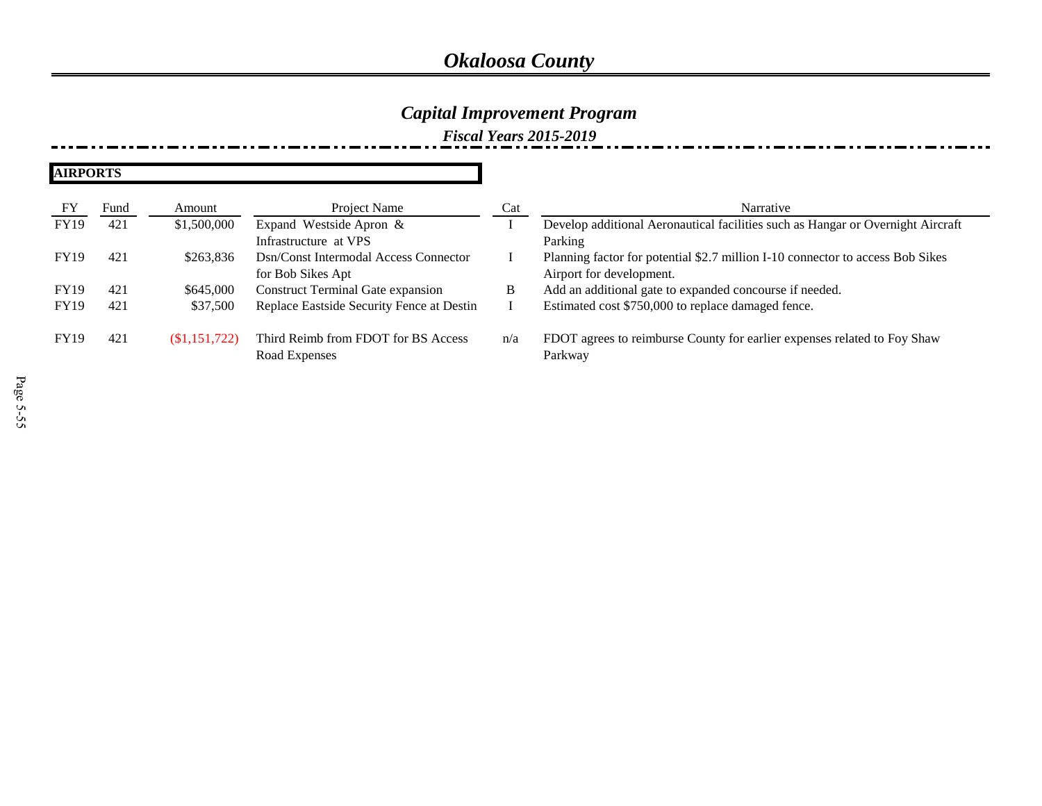### *Capital Improvement Program*

| FY          | Fund | Amount       | Project Name                                         | Cat | Narrative                                                                           |
|-------------|------|--------------|------------------------------------------------------|-----|-------------------------------------------------------------------------------------|
| <b>FY19</b> | 421  | \$1,500,000  | Expand Westside Apron &                              |     | Develop additional Aeronautical facilities such as Hangar or Overnight Aircraft     |
|             |      |              | Infrastructure at VPS                                |     | Parking                                                                             |
| <b>FY19</b> | 421  | \$263.836    | Dsn/Const Intermodal Access Connector                |     | Planning factor for potential \$2.7 million I-10 connector to access Bob Sikes      |
|             |      |              | for Bob Sikes Apt                                    |     | Airport for development.                                                            |
| <b>FY19</b> | 421  | \$645,000    | <b>Construct Terminal Gate expansion</b>             | B   | Add an additional gate to expanded concourse if needed.                             |
| <b>FY19</b> | 421  | \$37,500     | Replace Eastside Security Fence at Destin            |     | Estimated cost \$750,000 to replace damaged fence.                                  |
| <b>FY19</b> | 421  | (S1,151,722) | Third Reimb from FDOT for BS Access<br>Road Expenses | n/a | FDOT agrees to reimburse County for earlier expenses related to Foy Shaw<br>Parkway |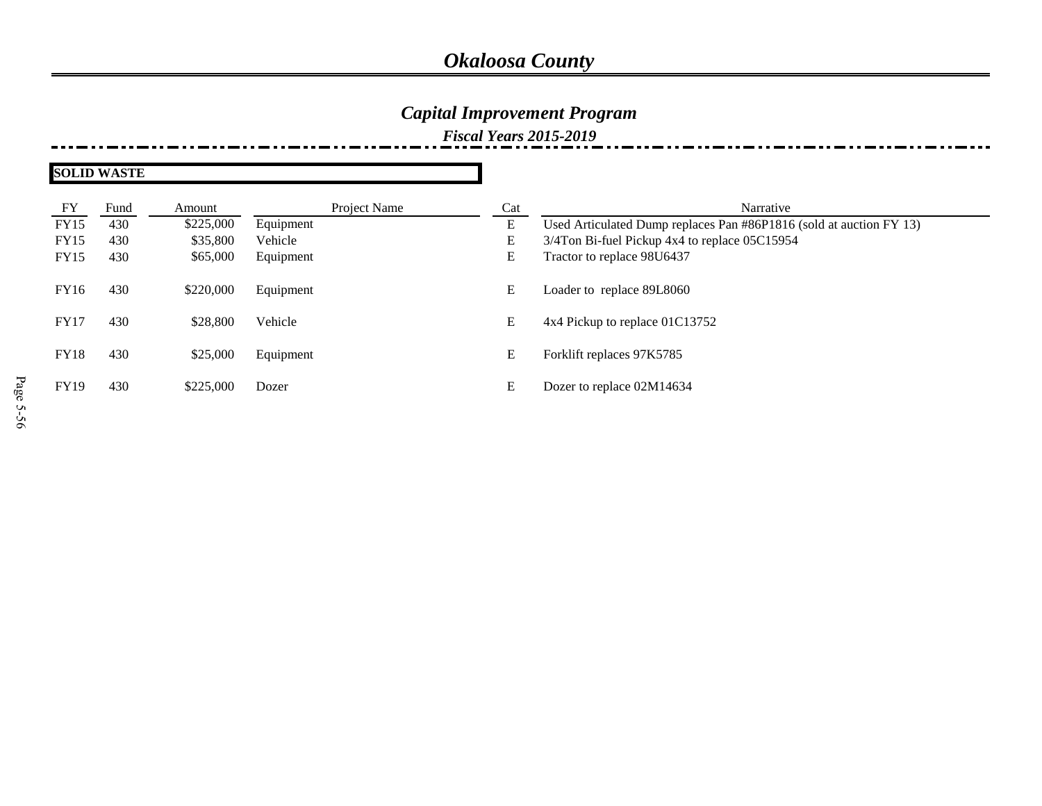## *Capital Improvement Program*

| FY          | Fund | Amount    | Project Name | Cat | Narrative                                                           |
|-------------|------|-----------|--------------|-----|---------------------------------------------------------------------|
| FY15        | 430  | \$225,000 | Equipment    | E   | Used Articulated Dump replaces Pan #86P1816 (sold at auction FY 13) |
| <b>FY15</b> | 430  | \$35,800  | Vehicle      | E   | 3/4Ton Bi-fuel Pickup 4x4 to replace 05C15954                       |
| <b>FY15</b> | 430  | \$65,000  | Equipment    | E   | Tractor to replace 98U6437                                          |
| <b>FY16</b> | 430  | \$220,000 | Equipment    | E   | Loader to replace 89L8060                                           |
| <b>FY17</b> | 430  | \$28,800  | Vehicle      | E   | 4x4 Pickup to replace 01C13752                                      |
| <b>FY18</b> | 430  | \$25,000  | Equipment    | E   | Forklift replaces 97K5785                                           |
| <b>FY19</b> | 430  | \$225,000 | Dozer        | E   | Dozer to replace 02M14634                                           |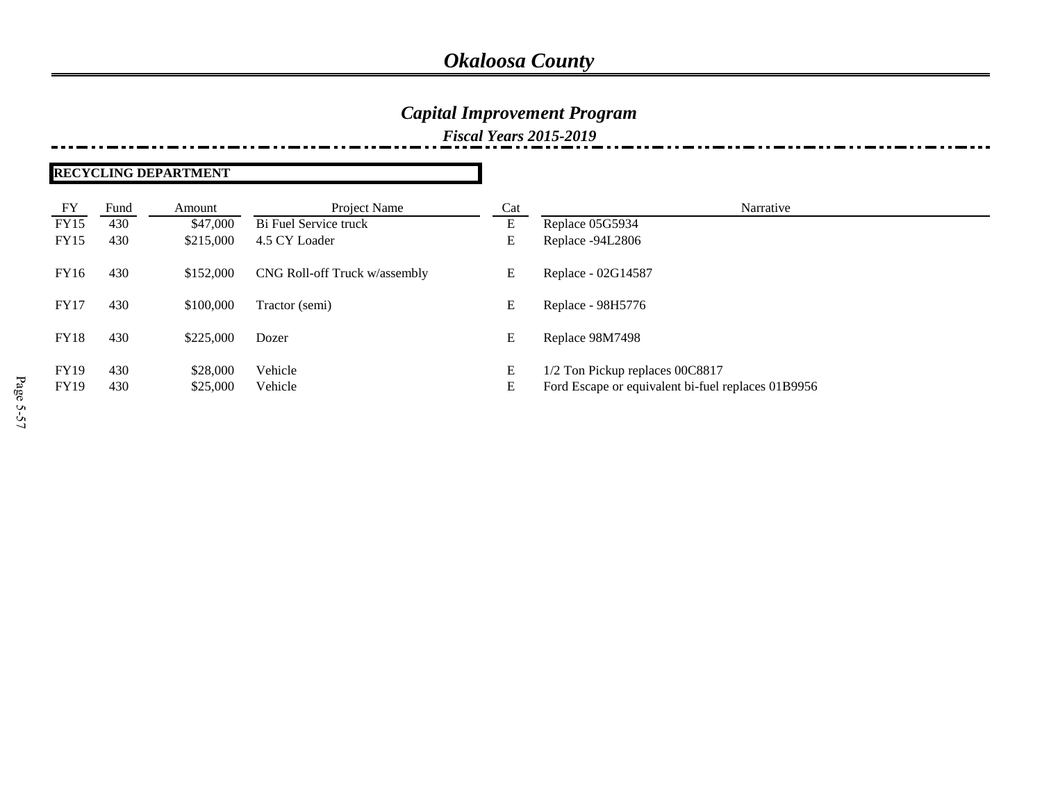### *Capital Improvement Program*

#### *Fiscal Years 2015-2019*

#### **RECYCLING DEPARTMENT**

| FY          | Fund | Amount    | Project Name                  | Cat | Narrative                                          |
|-------------|------|-----------|-------------------------------|-----|----------------------------------------------------|
| <b>FY15</b> | 430  | \$47,000  | Bi Fuel Service truck         | E   | Replace 05G5934                                    |
| FY15        | 430  | \$215,000 | 4.5 CY Loader                 | E   | Replace -94L2806                                   |
| <b>FY16</b> | 430  | \$152,000 | CNG Roll-off Truck w/assembly | E   | Replace - 02G14587                                 |
| <b>FY17</b> | 430  | \$100,000 | Tractor (semi)                | Е   | Replace - 98H5776                                  |
| <b>FY18</b> | 430  | \$225,000 | Dozer                         | E   | Replace 98M7498                                    |
| <b>FY19</b> | 430  | \$28,000  | Vehicle                       | E   | 1/2 Ton Pickup replaces 00C8817                    |
| <b>FY19</b> | 430  | \$25,000  | Vehicle                       | Е   | Ford Escape or equivalent bi-fuel replaces 01B9956 |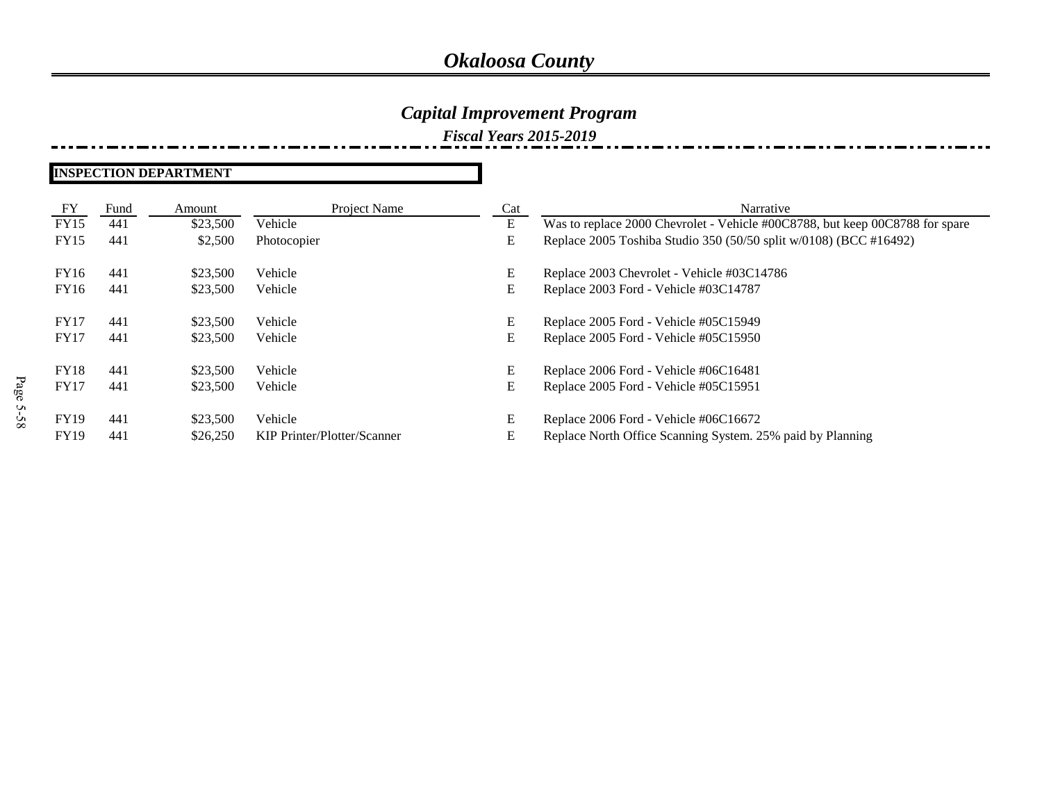### *Capital Improvement Program*

*Fiscal Years 2015-2019*

#### **INSPECTION DEPARTMENT**

| FY          | Fund | Amount   | Project Name                | Cat | Narrative                                                                    |
|-------------|------|----------|-----------------------------|-----|------------------------------------------------------------------------------|
| <b>FY15</b> | 441  | \$23,500 | Vehicle                     | E   | Was to replace 2000 Chevrolet - Vehicle #00C8788, but keep 00C8788 for spare |
| <b>FY15</b> | 441  | \$2,500  | Photocopier                 | E   | Replace 2005 Toshiba Studio 350 (50/50 split w/0108) (BCC #16492)            |
| FY16        | 441  | \$23,500 | Vehicle                     | Е   | Replace 2003 Chevrolet - Vehicle #03C14786                                   |
| FY16        | 441  | \$23,500 | Vehicle                     | E   | Replace 2003 Ford - Vehicle #03C14787                                        |
| FY17        | 441  | \$23,500 | Vehicle                     | E   | Replace 2005 Ford - Vehicle #05C15949                                        |
| FY17        | 441  | \$23,500 | Vehicle                     | E   | Replace 2005 Ford - Vehicle #05C15950                                        |
| <b>FY18</b> | 441  | \$23,500 | Vehicle                     | Е   | Replace 2006 Ford - Vehicle #06C16481                                        |
| <b>FY17</b> | 441  | \$23,500 | Vehicle                     | E   | Replace 2005 Ford - Vehicle #05C15951                                        |
| <b>FY19</b> | 441  | \$23,500 | Vehicle                     | Е   | Replace 2006 Ford - Vehicle #06C16672                                        |
| <b>FY19</b> | 441  | \$26,250 | KIP Printer/Plotter/Scanner | E   | Replace North Office Scanning System. 25% paid by Planning                   |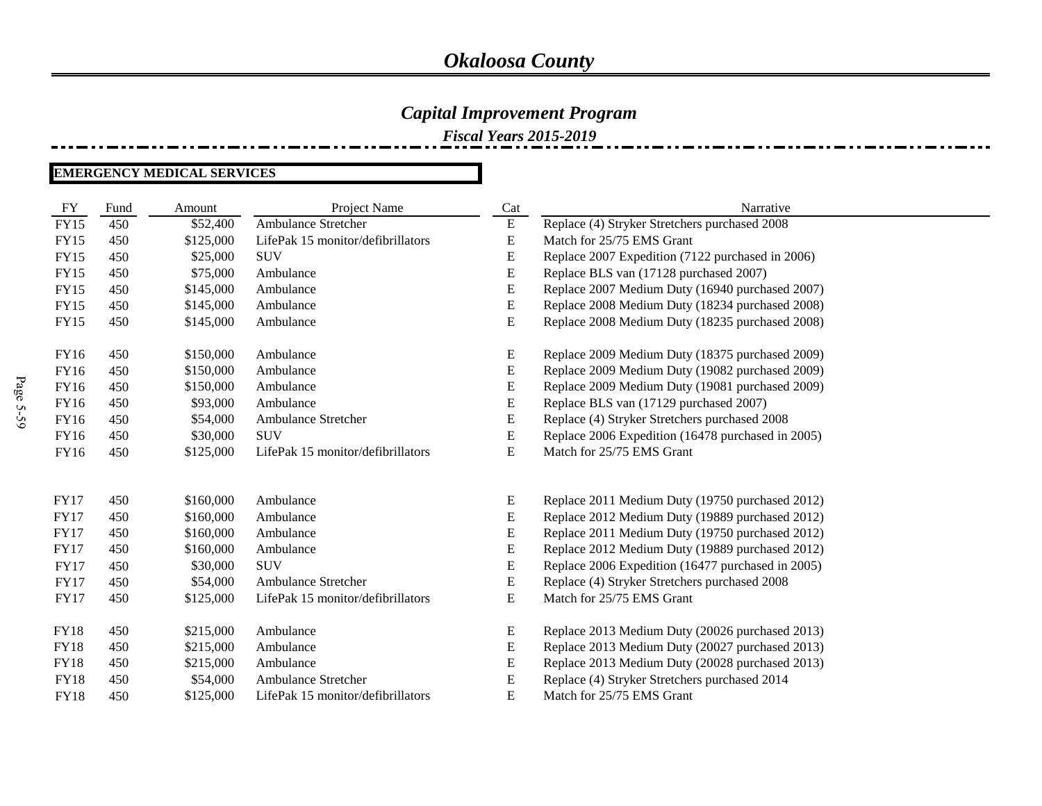*Fiscal Years 2015-2019*

#### **EMERGENCY MEDICAL SERVICES**

| FY          | Fund | Amount    | Project Name                      | Cat       | Narrative                                         |
|-------------|------|-----------|-----------------------------------|-----------|---------------------------------------------------|
| <b>FY15</b> | 450  | \$52,400  | Ambulance Stretcher               | ${\bf E}$ | Replace (4) Stryker Stretchers purchased 2008     |
| <b>FY15</b> | 450  | \$125,000 | LifePak 15 monitor/defibrillators | E         | Match for 25/75 EMS Grant                         |
| <b>FY15</b> | 450  | \$25,000  | <b>SUV</b>                        | E         | Replace 2007 Expedition (7122 purchased in 2006)  |
| <b>FY15</b> | 450  | \$75,000  | Ambulance                         | ${\bf E}$ | Replace BLS van (17128 purchased 2007)            |
| <b>FY15</b> | 450  | \$145,000 | Ambulance                         | E         | Replace 2007 Medium Duty (16940 purchased 2007)   |
| <b>FY15</b> | 450  | \$145,000 | Ambulance                         | ${\bf E}$ | Replace 2008 Medium Duty (18234 purchased 2008)   |
| <b>FY15</b> | 450  | \$145,000 | Ambulance                         | E         | Replace 2008 Medium Duty (18235 purchased 2008)   |
| <b>FY16</b> | 450  | \$150,000 | Ambulance                         | E         | Replace 2009 Medium Duty (18375 purchased 2009)   |
| FY16        | 450  | \$150,000 | Ambulance                         | E         | Replace 2009 Medium Duty (19082 purchased 2009)   |
| FY16        | 450  | \$150,000 | Ambulance                         | E         | Replace 2009 Medium Duty (19081 purchased 2009)   |
| FY16        | 450  | \$93,000  | Ambulance                         | ${\bf E}$ | Replace BLS van (17129 purchased 2007)            |
| FY16        | 450  | \$54,000  | Ambulance Stretcher               | ${\bf E}$ | Replace (4) Stryker Stretchers purchased 2008     |
| <b>FY16</b> | 450  | \$30,000  | <b>SUV</b>                        | E         | Replace 2006 Expedition (16478 purchased in 2005) |
| FY16        | 450  | \$125,000 | LifePak 15 monitor/defibrillators | E         | Match for 25/75 EMS Grant                         |
| <b>FY17</b> | 450  | \$160,000 | Ambulance                         | E         | Replace 2011 Medium Duty (19750 purchased 2012)   |
| <b>FY17</b> | 450  | \$160,000 | Ambulance                         | ${\bf E}$ | Replace 2012 Medium Duty (19889 purchased 2012)   |
| <b>FY17</b> | 450  | \$160,000 | Ambulance                         | E         | Replace 2011 Medium Duty (19750 purchased 2012)   |
| <b>FY17</b> | 450  | \$160,000 | Ambulance                         | E         | Replace 2012 Medium Duty (19889 purchased 2012)   |
| <b>FY17</b> | 450  | \$30,000  | <b>SUV</b>                        | E         | Replace 2006 Expedition (16477 purchased in 2005) |
| <b>FY17</b> | 450  | \$54,000  | <b>Ambulance Stretcher</b>        | ${\bf E}$ | Replace (4) Stryker Stretchers purchased 2008     |
| <b>FY17</b> | 450  | \$125,000 | LifePak 15 monitor/defibrillators | E         | Match for 25/75 EMS Grant                         |
| <b>FY18</b> | 450  | \$215,000 | Ambulance                         | E         | Replace 2013 Medium Duty (20026 purchased 2013)   |
| <b>FY18</b> | 450  | \$215,000 | Ambulance                         | E         | Replace 2013 Medium Duty (20027 purchased 2013)   |
| <b>FY18</b> | 450  | \$215,000 | Ambulance                         | E         | Replace 2013 Medium Duty (20028 purchased 2013)   |
| <b>FY18</b> | 450  | \$54,000  | Ambulance Stretcher               | E         | Replace (4) Stryker Stretchers purchased 2014     |
| <b>FY18</b> | 450  | \$125,000 | LifePak 15 monitor/defibrillators | ${\bf E}$ | Match for 25/75 EMS Grant                         |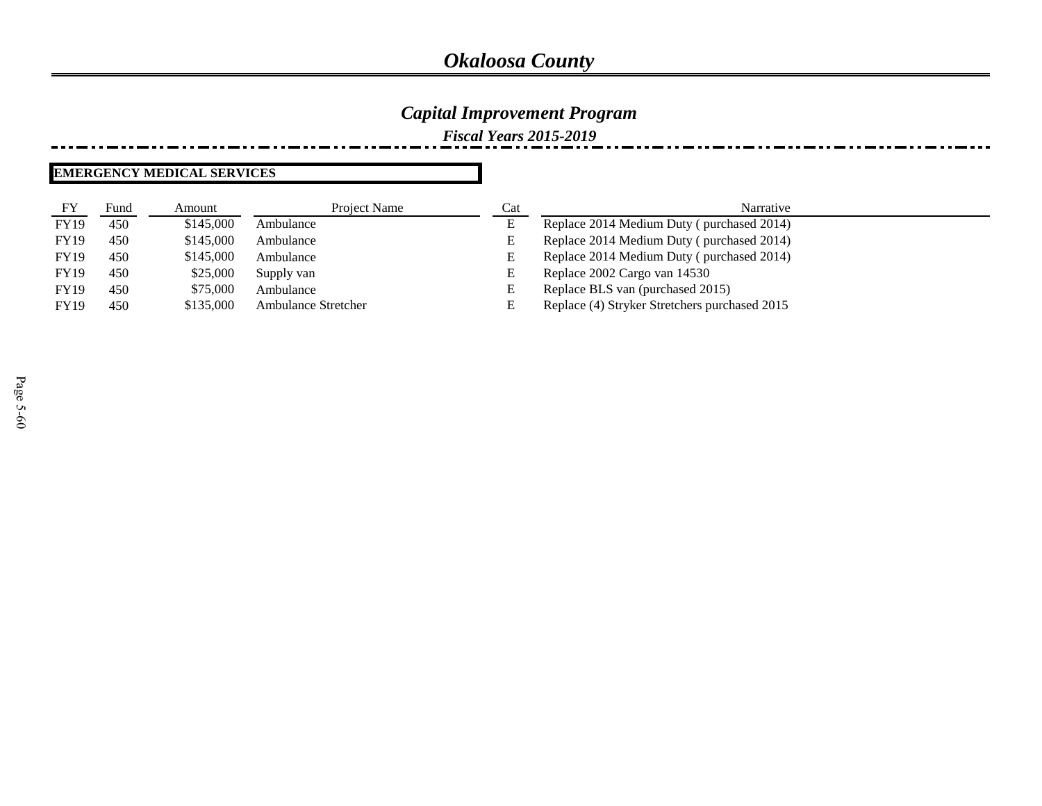### *Capital Improvement Program*

*Fiscal Years 2015-2019*

#### **EMERGENCY MEDICAL SERVICES**

| FY          | Fund | Amount    | Project Name               | Cat | Narrative                                     |
|-------------|------|-----------|----------------------------|-----|-----------------------------------------------|
| <b>FY19</b> | 450  | \$145,000 | Ambulance                  | E   | Replace 2014 Medium Duty (purchased 2014)     |
| <b>FY19</b> | 450  | \$145,000 | Ambulance                  | E   | Replace 2014 Medium Duty (purchased 2014)     |
| <b>FY19</b> | 450  | \$145,000 | Ambulance                  | Е   | Replace 2014 Medium Duty (purchased 2014)     |
| <b>FY19</b> | 450  | \$25,000  | Supply van                 | E   | Replace 2002 Cargo van 14530                  |
| <b>FY19</b> | 450  | \$75,000  | Ambulance                  | E   | Replace BLS van (purchased 2015)              |
| <b>FY19</b> | 450  | \$135,000 | <b>Ambulance Stretcher</b> |     | Replace (4) Stryker Stretchers purchased 2015 |